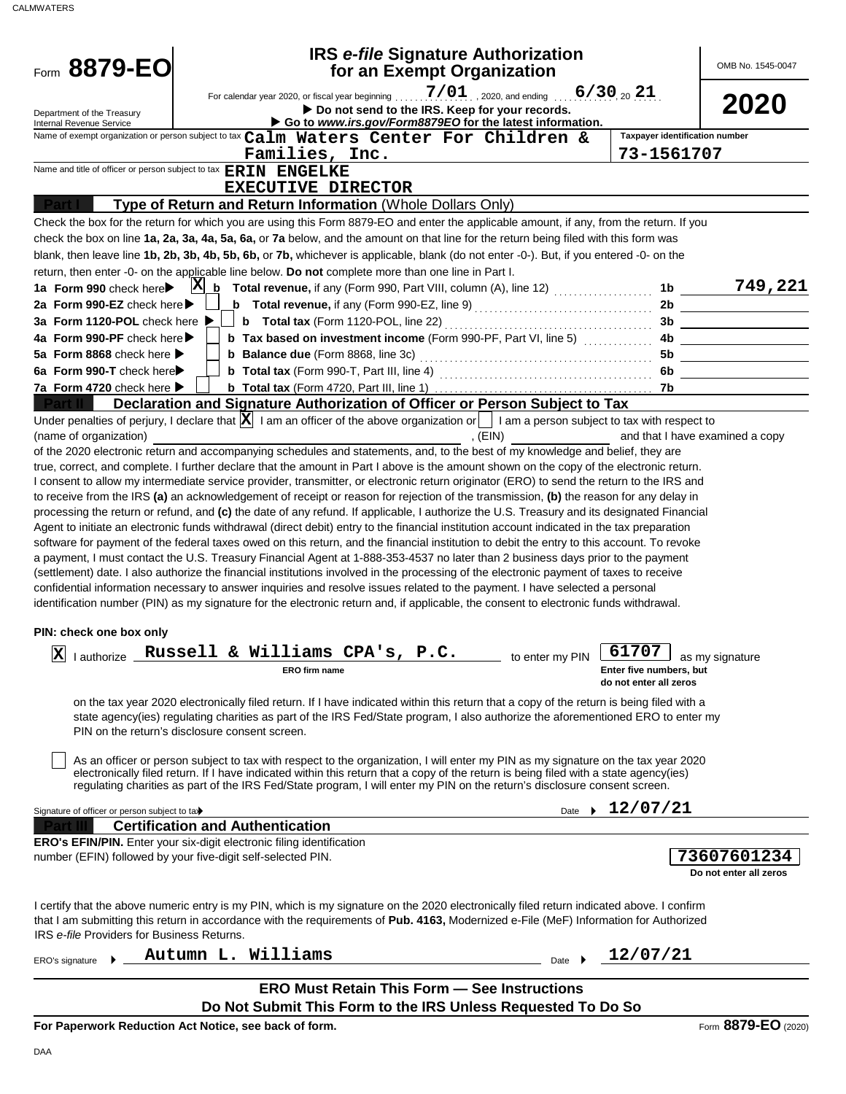| Form 8879-EO                                           |                                                                                                                                                                                                                                                                              | <b>IRS e-file Signature Authorization</b><br>for an Exempt Organization                                    |                 |                                                   | OMB No. 1545-0047               |
|--------------------------------------------------------|------------------------------------------------------------------------------------------------------------------------------------------------------------------------------------------------------------------------------------------------------------------------------|------------------------------------------------------------------------------------------------------------|-----------------|---------------------------------------------------|---------------------------------|
|                                                        |                                                                                                                                                                                                                                                                              |                                                                                                            |                 |                                                   |                                 |
| Department of the Treasury<br>Internal Revenue Service |                                                                                                                                                                                                                                                                              | Do not send to the IRS. Keep for your records.<br>Go to www.irs.gov/Form8879EO for the latest information. |                 |                                                   | 2020                            |
|                                                        | Name of exempt organization or person subject to tax Calm Waters Center For Children &                                                                                                                                                                                       |                                                                                                            |                 | <b>Taxpayer identification number</b>             |                                 |
|                                                        | Families, Inc.                                                                                                                                                                                                                                                               |                                                                                                            |                 | 73-1561707                                        |                                 |
|                                                        | Name and title of officer or person subject to tax ERIN ENGELKE                                                                                                                                                                                                              |                                                                                                            |                 |                                                   |                                 |
|                                                        | <b>EXECUTIVE DIRECTOR</b>                                                                                                                                                                                                                                                    |                                                                                                            |                 |                                                   |                                 |
|                                                        | Type of Return and Return Information (Whole Dollars Only)                                                                                                                                                                                                                   |                                                                                                            |                 |                                                   |                                 |
|                                                        | Check the box for the return for which you are using this Form 8879-EO and enter the applicable amount, if any, from the return. If you                                                                                                                                      |                                                                                                            |                 |                                                   |                                 |
|                                                        | check the box on line 1a, 2a, 3a, 4a, 5a, 6a, or 7a below, and the amount on that line for the return being filed with this form was                                                                                                                                         |                                                                                                            |                 |                                                   |                                 |
|                                                        | blank, then leave line 1b, 2b, 3b, 4b, 5b, 6b, or 7b, whichever is applicable, blank (do not enter -0-). But, if you entered -0- on the                                                                                                                                      |                                                                                                            |                 |                                                   |                                 |
|                                                        | return, then enter -0- on the applicable line below. Do not complete more than one line in Part I.                                                                                                                                                                           |                                                                                                            |                 |                                                   |                                 |
| 1a Form 990 check here                                 |                                                                                                                                                                                                                                                                              |                                                                                                            |                 |                                                   |                                 |
| 2a Form 990-EZ check here ▶                            |                                                                                                                                                                                                                                                                              | <b>b</b> Total revenue, if any (Form 990-EZ, line 9) $\ldots$ $\ldots$ $\ldots$ $\ldots$ $\ldots$ $\ldots$ |                 |                                                   | 2b                              |
| 3a Form 1120-POL check here ▶                          | <b>b</b> Total tax (Form 1120-POL, line 22) $\ldots$ $\ldots$ $\ldots$ $\ldots$ $\ldots$ $\ldots$                                                                                                                                                                            |                                                                                                            |                 |                                                   |                                 |
| 4a Form 990-PF check here                              | <b>b</b> Tax based on investment income (Form 990-PF, Part VI, line 5)                                                                                                                                                                                                       |                                                                                                            |                 |                                                   |                                 |
| 5a Form 8868 check here                                |                                                                                                                                                                                                                                                                              |                                                                                                            |                 |                                                   |                                 |
| 6a Form 990-T check here                               |                                                                                                                                                                                                                                                                              |                                                                                                            |                 |                                                   | 6b                              |
| 7a Form 4720 check here ▶                              |                                                                                                                                                                                                                                                                              |                                                                                                            |                 |                                                   |                                 |
|                                                        | Declaration and Signature Authorization of Officer or Person Subject to Tax                                                                                                                                                                                                  |                                                                                                            |                 |                                                   |                                 |
|                                                        | Under penalties of perjury, I declare that $ \mathbf{X} $ I am an officer of the above organization or $ $ I am a person subject to tax with respect to                                                                                                                      |                                                                                                            |                 |                                                   |                                 |
| (name of organization)                                 | of the 2020 electronic return and accompanying schedules and statements, and, to the best of my knowledge and belief, they are                                                                                                                                               | , (EIN)                                                                                                    |                 |                                                   | and that I have examined a copy |
|                                                        | true, correct, and complete. I further declare that the amount in Part I above is the amount shown on the copy of the electronic return.                                                                                                                                     |                                                                                                            |                 |                                                   |                                 |
|                                                        | I consent to allow my intermediate service provider, transmitter, or electronic return originator (ERO) to send the return to the IRS and                                                                                                                                    |                                                                                                            |                 |                                                   |                                 |
|                                                        | to receive from the IRS (a) an acknowledgement of receipt or reason for rejection of the transmission, (b) the reason for any delay in                                                                                                                                       |                                                                                                            |                 |                                                   |                                 |
|                                                        | processing the return or refund, and (c) the date of any refund. If applicable, I authorize the U.S. Treasury and its designated Financial                                                                                                                                   |                                                                                                            |                 |                                                   |                                 |
|                                                        | Agent to initiate an electronic funds withdrawal (direct debit) entry to the financial institution account indicated in the tax preparation                                                                                                                                  |                                                                                                            |                 |                                                   |                                 |
|                                                        | software for payment of the federal taxes owed on this return, and the financial institution to debit the entry to this account. To revoke                                                                                                                                   |                                                                                                            |                 |                                                   |                                 |
|                                                        | a payment, I must contact the U.S. Treasury Financial Agent at 1-888-353-4537 no later than 2 business days prior to the payment                                                                                                                                             |                                                                                                            |                 |                                                   |                                 |
|                                                        | (settlement) date. I also authorize the financial institutions involved in the processing of the electronic payment of taxes to receive                                                                                                                                      |                                                                                                            |                 |                                                   |                                 |
|                                                        | confidential information necessary to answer inquiries and resolve issues related to the payment. I have selected a personal                                                                                                                                                 |                                                                                                            |                 |                                                   |                                 |
|                                                        | identification number (PIN) as my signature for the electronic return and, if applicable, the consent to electronic funds withdrawal.                                                                                                                                        |                                                                                                            |                 |                                                   |                                 |
| PIN: check one box only                                |                                                                                                                                                                                                                                                                              |                                                                                                            |                 |                                                   |                                 |
|                                                        | <sub>ize</sub> Russell & Williams CPA's, P.C.                                                                                                                                                                                                                                |                                                                                                            |                 | 61707                                             |                                 |
| I authorize<br>lΔ                                      |                                                                                                                                                                                                                                                                              |                                                                                                            | to enter my PIN |                                                   | ⊿ as my signature               |
|                                                        | <b>ERO firm name</b>                                                                                                                                                                                                                                                         |                                                                                                            |                 | Enter five numbers, but<br>do not enter all zeros |                                 |
|                                                        |                                                                                                                                                                                                                                                                              |                                                                                                            |                 |                                                   |                                 |
|                                                        | on the tax year 2020 electronically filed return. If I have indicated within this return that a copy of the return is being filed with a<br>state agency(ies) regulating charities as part of the IRS Fed/State program, I also authorize the aforementioned ERO to enter my |                                                                                                            |                 |                                                   |                                 |
|                                                        | PIN on the return's disclosure consent screen.                                                                                                                                                                                                                               |                                                                                                            |                 |                                                   |                                 |
|                                                        |                                                                                                                                                                                                                                                                              |                                                                                                            |                 |                                                   |                                 |
|                                                        | As an officer or person subject to tax with respect to the organization, I will enter my PIN as my signature on the tax year 2020                                                                                                                                            |                                                                                                            |                 |                                                   |                                 |
|                                                        | electronically filed return. If I have indicated within this return that a copy of the return is being filed with a state agency(ies)                                                                                                                                        |                                                                                                            |                 |                                                   |                                 |
|                                                        | regulating charities as part of the IRS Fed/State program, I will enter my PIN on the return's disclosure consent screen.                                                                                                                                                    |                                                                                                            |                 |                                                   |                                 |
| Signature of officer or person subject to tax          |                                                                                                                                                                                                                                                                              |                                                                                                            | Date            | 12/07/21                                          |                                 |
|                                                        | <b>Certification and Authentication</b>                                                                                                                                                                                                                                      |                                                                                                            |                 |                                                   |                                 |
|                                                        | <b>ERO's EFIN/PIN.</b> Enter your six-digit electronic filing identification                                                                                                                                                                                                 |                                                                                                            |                 |                                                   |                                 |
|                                                        | number (EFIN) followed by your five-digit self-selected PIN.                                                                                                                                                                                                                 |                                                                                                            |                 |                                                   | 73607601234                     |
|                                                        |                                                                                                                                                                                                                                                                              |                                                                                                            |                 |                                                   | Do not enter all zeros          |
|                                                        |                                                                                                                                                                                                                                                                              |                                                                                                            |                 |                                                   |                                 |
|                                                        | I certify that the above numeric entry is my PIN, which is my signature on the 2020 electronically filed return indicated above. I confirm                                                                                                                                   |                                                                                                            |                 |                                                   |                                 |
|                                                        | that I am submitting this return in accordance with the requirements of Pub. 4163, Modernized e-File (MeF) Information for Authorized                                                                                                                                        |                                                                                                            |                 |                                                   |                                 |
| IRS e-file Providers for Business Returns.             |                                                                                                                                                                                                                                                                              |                                                                                                            |                 |                                                   |                                 |
| ERO's signature                                        | Autumn L. Williams                                                                                                                                                                                                                                                           |                                                                                                            | Date            | 12/07/21                                          |                                 |
|                                                        |                                                                                                                                                                                                                                                                              |                                                                                                            |                 |                                                   |                                 |
|                                                        |                                                                                                                                                                                                                                                                              | <b>ERO Must Retain This Form - See Instructions</b>                                                        |                 |                                                   |                                 |
|                                                        | Do Not Submit This Form to the IRS Unless Requested To Do So                                                                                                                                                                                                                 |                                                                                                            |                 |                                                   |                                 |
|                                                        | For Paperwork Reduction Act Notice, see back of form.                                                                                                                                                                                                                        |                                                                                                            |                 |                                                   | Form 8879-EO (2020)             |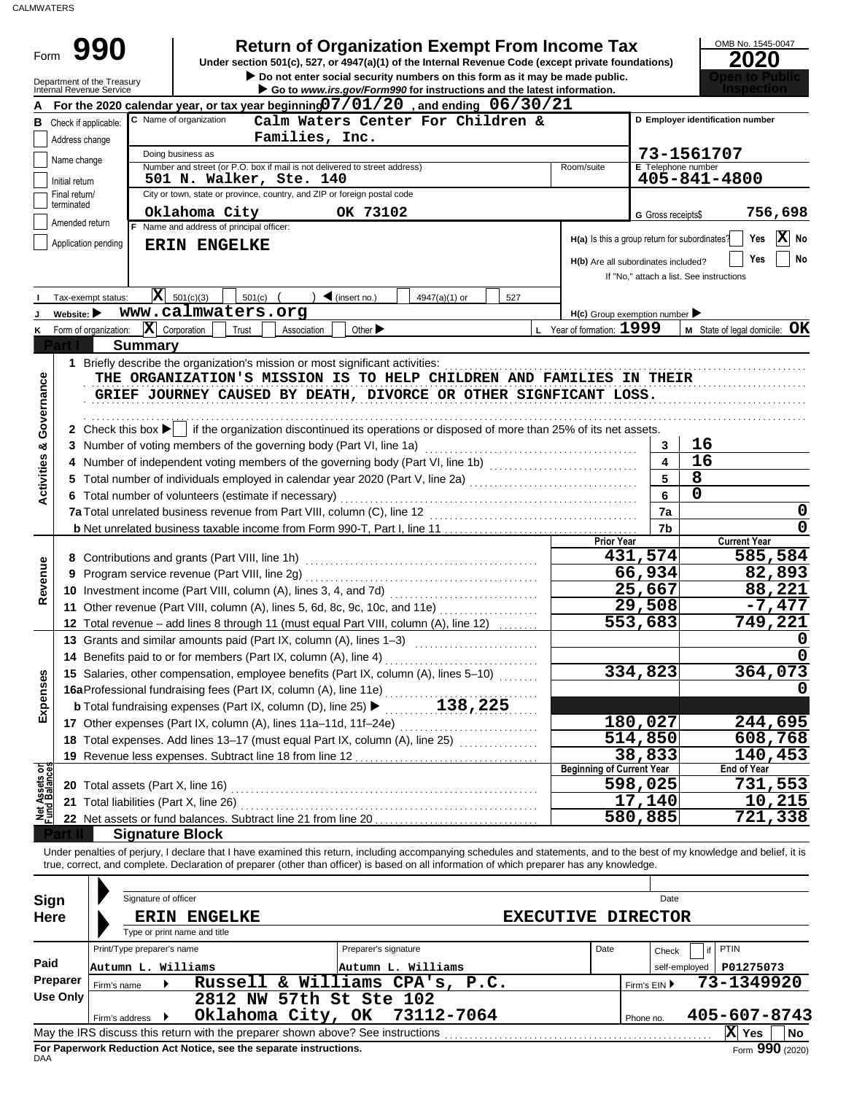CALMWATERS

| <b>Return of Organization Exempt From Income Tax</b> |  |  |
|------------------------------------------------------|--|--|

| 990<br>Form<br>Department of the Treasury                      | <b>Return of Organization Exempt From Income Tax</b><br>Under section 501(c), 527, or 4947(a)(1) of the Internal Revenue Code (except private foundations)<br>Do not enter social security numbers on this form as it may be made public.                                                                                                                                                                                                                                                                                                                           |                                                                                      | OMB No. 1545-0047<br>2020                                            |
|----------------------------------------------------------------|---------------------------------------------------------------------------------------------------------------------------------------------------------------------------------------------------------------------------------------------------------------------------------------------------------------------------------------------------------------------------------------------------------------------------------------------------------------------------------------------------------------------------------------------------------------------|--------------------------------------------------------------------------------------|----------------------------------------------------------------------|
| Internal Revenue Service                                       | Go to www.irs.gov/Form990 for instructions and the latest information.                                                                                                                                                                                                                                                                                                                                                                                                                                                                                              |                                                                                      |                                                                      |
|                                                                | For the 2020 calendar year, or tax year beginning $07/01/20$ , and ending $06/30/21$                                                                                                                                                                                                                                                                                                                                                                                                                                                                                |                                                                                      |                                                                      |
| <b>B</b> Check if applicable:                                  | C Name of organization<br>Calm Waters Center For Children &                                                                                                                                                                                                                                                                                                                                                                                                                                                                                                         |                                                                                      | D Employer identification number                                     |
| Address change                                                 | Families, Inc.                                                                                                                                                                                                                                                                                                                                                                                                                                                                                                                                                      |                                                                                      |                                                                      |
| Name change                                                    | Doing business as                                                                                                                                                                                                                                                                                                                                                                                                                                                                                                                                                   |                                                                                      | 73-1561707                                                           |
| Initial return                                                 | Number and street (or P.O. box if mail is not delivered to street address)<br>501 N. Walker, Ste. 140                                                                                                                                                                                                                                                                                                                                                                                                                                                               | Room/suite                                                                           | E Telephone number<br>405-841-4800                                   |
| Final return/                                                  | City or town, state or province, country, and ZIP or foreign postal code                                                                                                                                                                                                                                                                                                                                                                                                                                                                                            |                                                                                      |                                                                      |
| terminated                                                     | Oklahoma City<br>OK 73102                                                                                                                                                                                                                                                                                                                                                                                                                                                                                                                                           |                                                                                      | 756,698                                                              |
| Amended return                                                 | F Name and address of principal officer:                                                                                                                                                                                                                                                                                                                                                                                                                                                                                                                            | G Gross receipts\$                                                                   |                                                                      |
| Application pending                                            | <b>ERIN ENGELKE</b>                                                                                                                                                                                                                                                                                                                                                                                                                                                                                                                                                 | H(a) Is this a group return for subordinates?<br>H(b) Are all subordinates included? | X No<br>Yes<br>No<br>Yes<br>If "No," attach a list. See instructions |
| Tax-exempt status:                                             | $\mathbf{X}$ 501(c)(3)<br>501(c)<br>$\sum$ (insert no.)<br>4947(a)(1) or<br>527                                                                                                                                                                                                                                                                                                                                                                                                                                                                                     |                                                                                      |                                                                      |
| Website: $\blacktriangleright$                                 | www.calmwaters.org                                                                                                                                                                                                                                                                                                                                                                                                                                                                                                                                                  | H(c) Group exemption number                                                          |                                                                      |
| Form of organization:<br>κ                                     | $ \mathbf{X} $ Corporation<br>Trust<br>Other $\blacktriangleright$<br>Association                                                                                                                                                                                                                                                                                                                                                                                                                                                                                   | L Year of formation: 1999                                                            | <b>M</b> State of legal domicile: $OK$                               |
| <b>Summary</b>                                                 |                                                                                                                                                                                                                                                                                                                                                                                                                                                                                                                                                                     |                                                                                      |                                                                      |
| <b>Activities &amp; Governance</b>                             | 2 Check this box $\blacktriangleright$ if the organization discontinued its operations or disposed of more than 25% of its net assets.<br>3 Number of voting members of the governing body (Part VI, line 1a)<br>4 Number of independent voting members of the governing body (Part VI, line 1b) [1] [1] [1] Number of independent voting members of the governing body (Part VI, line 1b)<br>5 Total number of individuals employed in calendar year 2020 (Part V, line 2a) [[[[[[[[[[[[[[[[[[[[[[[[[[[[[[<br>6 Total number of volunteers (estimate if necessary) | 3<br>$\overline{\mathbf{4}}$<br>5<br>6                                               | 16<br>16<br>8<br>0                                                   |
|                                                                |                                                                                                                                                                                                                                                                                                                                                                                                                                                                                                                                                                     | 7a                                                                                   | 0                                                                    |
|                                                                |                                                                                                                                                                                                                                                                                                                                                                                                                                                                                                                                                                     | 7b                                                                                   | $\mathbf 0$                                                          |
|                                                                |                                                                                                                                                                                                                                                                                                                                                                                                                                                                                                                                                                     | <b>Prior Year</b>                                                                    | <b>Current Year</b>                                                  |
|                                                                | 8 Contributions and grants (Part VIII, line 1h)                                                                                                                                                                                                                                                                                                                                                                                                                                                                                                                     | 431,574                                                                              | 585,584                                                              |
| Revenue                                                        | 9 Program service revenue (Part VIII, line 2g)                                                                                                                                                                                                                                                                                                                                                                                                                                                                                                                      | 66,934                                                                               | 82,893                                                               |
|                                                                |                                                                                                                                                                                                                                                                                                                                                                                                                                                                                                                                                                     | 25,667                                                                               | 88,221                                                               |
|                                                                | 11 Other revenue (Part VIII, column (A), lines 5, 6d, 8c, 9c, 10c, and 11e)                                                                                                                                                                                                                                                                                                                                                                                                                                                                                         | $\overline{29,508}$                                                                  | $-7,477$                                                             |
|                                                                | 12 Total revenue - add lines 8 through 11 (must equal Part VIII, column (A), line 12)                                                                                                                                                                                                                                                                                                                                                                                                                                                                               | 553,683                                                                              | 749,221                                                              |
|                                                                | 13 Grants and similar amounts paid (Part IX, column (A), lines 1-3)                                                                                                                                                                                                                                                                                                                                                                                                                                                                                                 |                                                                                      |                                                                      |
|                                                                | 14 Benefits paid to or for members (Part IX, column (A), line 4)                                                                                                                                                                                                                                                                                                                                                                                                                                                                                                    |                                                                                      |                                                                      |
|                                                                | 15 Salaries, other compensation, employee benefits (Part IX, column (A), lines 5-10)                                                                                                                                                                                                                                                                                                                                                                                                                                                                                | 334,823                                                                              | 364,073                                                              |
| Expenses                                                       | 16aProfessional fundraising fees (Part IX, column (A), line 11e)                                                                                                                                                                                                                                                                                                                                                                                                                                                                                                    |                                                                                      | 0                                                                    |
|                                                                | 138,225<br><b>b</b> Total fundraising expenses (Part IX, column (D), line 25) >                                                                                                                                                                                                                                                                                                                                                                                                                                                                                     |                                                                                      |                                                                      |
|                                                                | 17 Other expenses (Part IX, column (A), lines 11a-11d, 11f-24e)                                                                                                                                                                                                                                                                                                                                                                                                                                                                                                     | 180,027                                                                              | <u>244,695</u>                                                       |
|                                                                | 18 Total expenses. Add lines 13-17 (must equal Part IX, column (A), line 25)                                                                                                                                                                                                                                                                                                                                                                                                                                                                                        | 514,850                                                                              | 608,768                                                              |
|                                                                | 19 Revenue less expenses. Subtract line 18 from line 12                                                                                                                                                                                                                                                                                                                                                                                                                                                                                                             | 38,833                                                                               | 140,453                                                              |
|                                                                |                                                                                                                                                                                                                                                                                                                                                                                                                                                                                                                                                                     | <b>Beginning of Current Year</b>                                                     | End of Year                                                          |
| : Assets or<br>d Balances<br>20 Total assets (Part X, line 16) |                                                                                                                                                                                                                                                                                                                                                                                                                                                                                                                                                                     | 598,025                                                                              | 731,553                                                              |
| 21 Total liabilities (Part X, line 26)                         |                                                                                                                                                                                                                                                                                                                                                                                                                                                                                                                                                                     | 17,140                                                                               | 10,215                                                               |
| 흋                                                              | 22 Net assets or fund balances. Subtract line 21 from line 20                                                                                                                                                                                                                                                                                                                                                                                                                                                                                                       | 580,885                                                                              | 721,338                                                              |
|                                                                | <b>Signature Block</b>                                                                                                                                                                                                                                                                                                                                                                                                                                                                                                                                              |                                                                                      |                                                                      |
|                                                                | Under penalties of perjury, I declare that I have examined this return, including accompanying schedules and statements, and to the best of my knowledge and belief, it is                                                                                                                                                                                                                                                                                                                                                                                          |                                                                                      |                                                                      |

true, correct, and complete. Declaration of preparer (other than officer) is based on all information of which preparer has any knowledge.

| Sign                                                                                         |                    | Signature of officer       |                              |  |                                                                                 |                    |      |              | Date          |              |           |
|----------------------------------------------------------------------------------------------|--------------------|----------------------------|------------------------------|--|---------------------------------------------------------------------------------|--------------------|------|--------------|---------------|--------------|-----------|
| <b>Here</b>                                                                                  |                    | <b>ERIN</b>                | <b>ENGELKE</b>               |  |                                                                                 | EXECUTIVE DIRECTOR |      |              |               |              |           |
|                                                                                              |                    |                            | Type or print name and title |  |                                                                                 |                    |      |              |               |              |           |
|                                                                                              |                    | Print/Type preparer's name |                              |  | Preparer's signature                                                            |                    | Date |              | Check         | PTIN         |           |
| Paid                                                                                         | Autumn L. Williams |                            |                              |  | Autumn L. Williams                                                              |                    |      |              | self-employed | P01275073    |           |
| Preparer                                                                                     |                    | Firm's name                |                              |  | Russell & Williams CPA's, P.C.                                                  |                    |      | Firm's $EIN$ |               | 73-1349920   |           |
| Use Only                                                                                     |                    |                            |                              |  | 2812 NW 57th St Ste 102                                                         |                    |      |              |               |              |           |
|                                                                                              |                    | Firm's address             |                              |  | Oklahoma City, OK 73112-7064                                                    |                    |      | Phone no.    |               | 405-607-8743 |           |
|                                                                                              |                    |                            |                              |  | May the IRS discuss this return with the preparer shown above? See instructions |                    |      |              |               | IхI<br>Yes   | <b>No</b> |
| Form 990 (2020)<br>For Paperwork Reduction Act Notice, see the separate instructions.<br>DAA |                    |                            |                              |  |                                                                                 |                    |      |              |               |              |           |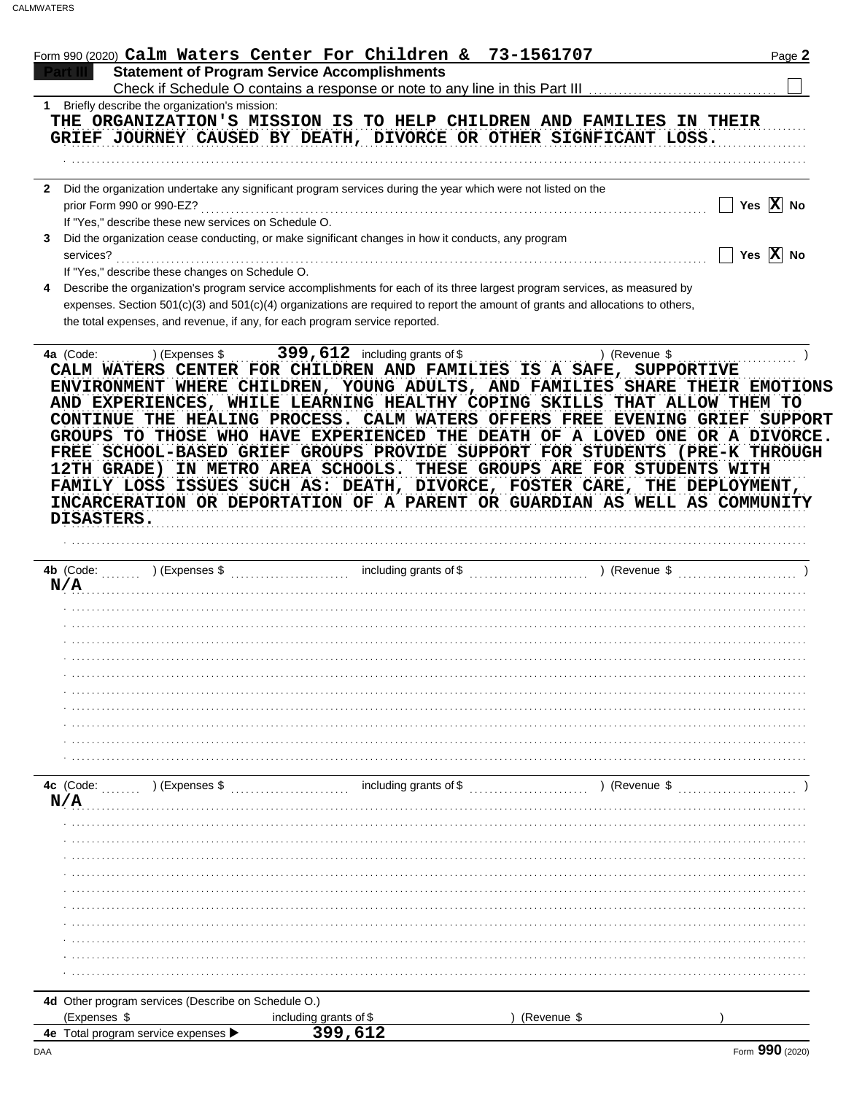$\overline{a}$ J.

| <b>Statement of Program Service Accomplishments</b>                                                                                                                                                                                                                                                                                                                                                                                                                                      |                       |
|------------------------------------------------------------------------------------------------------------------------------------------------------------------------------------------------------------------------------------------------------------------------------------------------------------------------------------------------------------------------------------------------------------------------------------------------------------------------------------------|-----------------------|
|                                                                                                                                                                                                                                                                                                                                                                                                                                                                                          |                       |
| Check if Schedule O contains a response or note to any line in this Part III                                                                                                                                                                                                                                                                                                                                                                                                             |                       |
| 1 Briefly describe the organization's mission:                                                                                                                                                                                                                                                                                                                                                                                                                                           |                       |
| THE ORGANIZATION'S MISSION IS TO HELP CHILDREN AND FAMILIES IN THEIR                                                                                                                                                                                                                                                                                                                                                                                                                     |                       |
| GRIEF JOURNEY CAUSED BY DEATH, DIVORCE OR OTHER SIGNFICANT LOSS.                                                                                                                                                                                                                                                                                                                                                                                                                         |                       |
|                                                                                                                                                                                                                                                                                                                                                                                                                                                                                          |                       |
| 2 Did the organization undertake any significant program services during the year which were not listed on the                                                                                                                                                                                                                                                                                                                                                                           |                       |
| prior Form 990 or 990-EZ?                                                                                                                                                                                                                                                                                                                                                                                                                                                                | Yes $\overline{X}$ No |
| If "Yes," describe these new services on Schedule O.                                                                                                                                                                                                                                                                                                                                                                                                                                     |                       |
| Did the organization cease conducting, or make significant changes in how it conducts, any program                                                                                                                                                                                                                                                                                                                                                                                       |                       |
| services?                                                                                                                                                                                                                                                                                                                                                                                                                                                                                | Yes $\overline{X}$ No |
| If "Yes," describe these changes on Schedule O.                                                                                                                                                                                                                                                                                                                                                                                                                                          |                       |
| Describe the organization's program service accomplishments for each of its three largest program services, as measured by                                                                                                                                                                                                                                                                                                                                                               |                       |
| expenses. Section 501(c)(3) and 501(c)(4) organizations are required to report the amount of grants and allocations to others,                                                                                                                                                                                                                                                                                                                                                           |                       |
| the total expenses, and revenue, if any, for each program service reported.                                                                                                                                                                                                                                                                                                                                                                                                              |                       |
|                                                                                                                                                                                                                                                                                                                                                                                                                                                                                          |                       |
| ) (Revenue \$<br>4a (Code:                                                                                                                                                                                                                                                                                                                                                                                                                                                               |                       |
| CONTINUE THE HEALING PROCESS. CALM WATERS OFFERS FREE EVENING GRIEF SUPPORT<br>GROUPS TO THOSE WHO HAVE EXPERIENCED THE DEATH OF A LOVED ONE OR A DIVORCE.<br>FREE SCHOOL-BASED GRIEF GROUPS PROVIDE SUPPORT FOR STUDENTS (PRE-K THROUGH<br>12TH GRADE) IN METRO AREA SCHOOLS. THESE GROUPS ARE FOR STUDENTS WITH<br>FAMILY LOSS ISSUES SUCH AS: DEATH, DIVORCE, FOSTER CARE, THE DEPLOYMENT,<br>INCARCERATION OR DEPORTATION OF A PARENT OR GUARDIAN AS WELL AS COMMUNITY<br>DISASTERS. |                       |
|                                                                                                                                                                                                                                                                                                                                                                                                                                                                                          |                       |
|                                                                                                                                                                                                                                                                                                                                                                                                                                                                                          |                       |
|                                                                                                                                                                                                                                                                                                                                                                                                                                                                                          |                       |
| N/A                                                                                                                                                                                                                                                                                                                                                                                                                                                                                      |                       |
|                                                                                                                                                                                                                                                                                                                                                                                                                                                                                          |                       |
|                                                                                                                                                                                                                                                                                                                                                                                                                                                                                          |                       |
|                                                                                                                                                                                                                                                                                                                                                                                                                                                                                          |                       |
|                                                                                                                                                                                                                                                                                                                                                                                                                                                                                          |                       |
|                                                                                                                                                                                                                                                                                                                                                                                                                                                                                          |                       |
|                                                                                                                                                                                                                                                                                                                                                                                                                                                                                          |                       |
|                                                                                                                                                                                                                                                                                                                                                                                                                                                                                          |                       |
|                                                                                                                                                                                                                                                                                                                                                                                                                                                                                          |                       |
|                                                                                                                                                                                                                                                                                                                                                                                                                                                                                          |                       |
|                                                                                                                                                                                                                                                                                                                                                                                                                                                                                          |                       |
|                                                                                                                                                                                                                                                                                                                                                                                                                                                                                          |                       |
| N/A                                                                                                                                                                                                                                                                                                                                                                                                                                                                                      |                       |
|                                                                                                                                                                                                                                                                                                                                                                                                                                                                                          |                       |
|                                                                                                                                                                                                                                                                                                                                                                                                                                                                                          |                       |
|                                                                                                                                                                                                                                                                                                                                                                                                                                                                                          |                       |
|                                                                                                                                                                                                                                                                                                                                                                                                                                                                                          |                       |
|                                                                                                                                                                                                                                                                                                                                                                                                                                                                                          |                       |
|                                                                                                                                                                                                                                                                                                                                                                                                                                                                                          |                       |
|                                                                                                                                                                                                                                                                                                                                                                                                                                                                                          |                       |
|                                                                                                                                                                                                                                                                                                                                                                                                                                                                                          |                       |
|                                                                                                                                                                                                                                                                                                                                                                                                                                                                                          |                       |
|                                                                                                                                                                                                                                                                                                                                                                                                                                                                                          |                       |
|                                                                                                                                                                                                                                                                                                                                                                                                                                                                                          |                       |
| 4d Other program services (Describe on Schedule O.)                                                                                                                                                                                                                                                                                                                                                                                                                                      |                       |
| (Expenses \$<br>including grants of \$<br>(Revenue \$                                                                                                                                                                                                                                                                                                                                                                                                                                    |                       |
| 399,612<br>4e Total program service expenses                                                                                                                                                                                                                                                                                                                                                                                                                                             |                       |

 $\overline{a}$ 

 $\overline{a}$  $\overline{a}$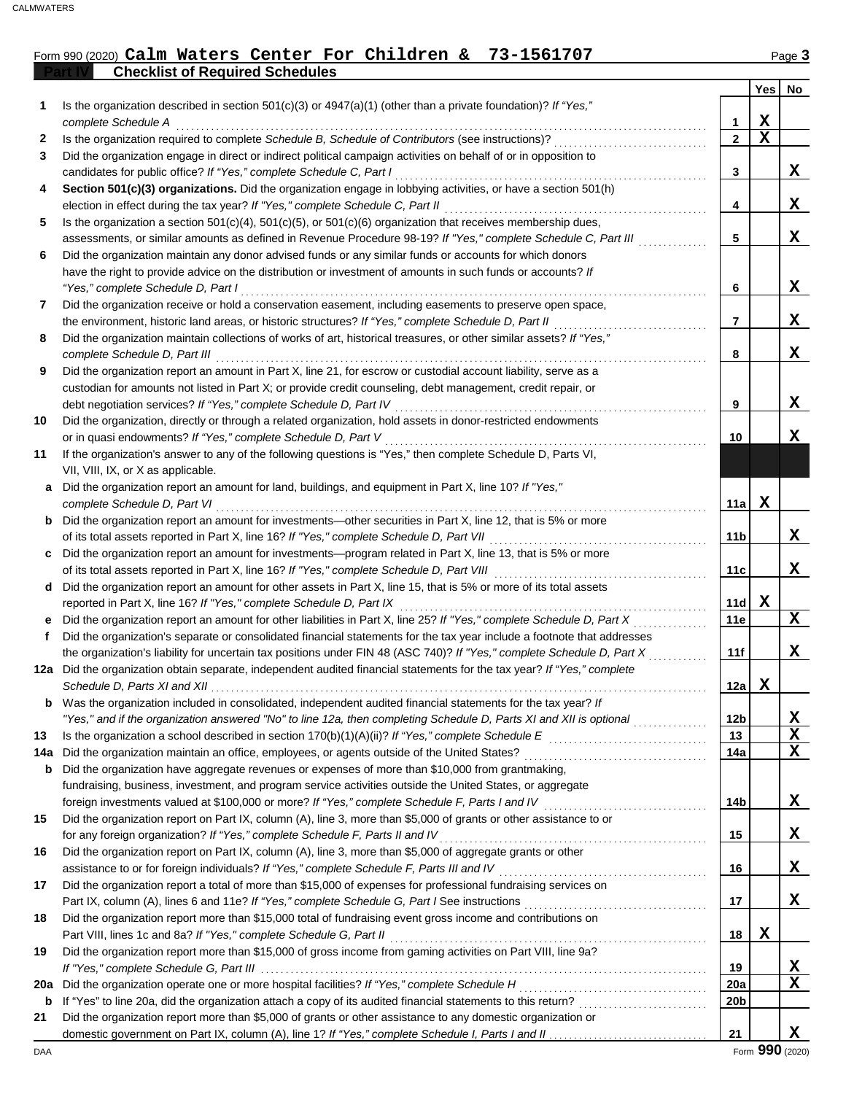### Form 990 (2020) Page **3 Calm Waters Center For Children & 73-1561707**

**Part IV Checklist of Required Schedules** 

|          |                                                                                                                                                                                                                                                   |                 | Yes | No     |
|----------|---------------------------------------------------------------------------------------------------------------------------------------------------------------------------------------------------------------------------------------------------|-----------------|-----|--------|
| 1.       | Is the organization described in section $501(c)(3)$ or $4947(a)(1)$ (other than a private foundation)? If "Yes,"                                                                                                                                 |                 |     |        |
|          | complete Schedule A                                                                                                                                                                                                                               | 1               | x   |        |
| 2        |                                                                                                                                                                                                                                                   | $\mathbf{2}$    | X   |        |
| 3        | Did the organization engage in direct or indirect political campaign activities on behalf of or in opposition to                                                                                                                                  |                 |     |        |
|          | candidates for public office? If "Yes," complete Schedule C, Part I                                                                                                                                                                               | 3               |     | X      |
| 4        | Section 501(c)(3) organizations. Did the organization engage in lobbying activities, or have a section 501(h)                                                                                                                                     |                 |     |        |
|          | election in effect during the tax year? If "Yes," complete Schedule C, Part II                                                                                                                                                                    | 4               |     | x      |
| 5        | Is the organization a section $501(c)(4)$ , $501(c)(5)$ , or $501(c)(6)$ organization that receives membership dues,                                                                                                                              |                 |     |        |
|          | assessments, or similar amounts as defined in Revenue Procedure 98-19? If "Yes," complete Schedule C, Part III                                                                                                                                    | 5               |     | x      |
| 6        | Did the organization maintain any donor advised funds or any similar funds or accounts for which donors                                                                                                                                           |                 |     |        |
|          | have the right to provide advice on the distribution or investment of amounts in such funds or accounts? If                                                                                                                                       |                 |     |        |
|          | "Yes," complete Schedule D, Part I                                                                                                                                                                                                                | 6               |     | X      |
| 7        | Did the organization receive or hold a conservation easement, including easements to preserve open space,                                                                                                                                         | 7               |     | X      |
| 8        | the environment, historic land areas, or historic structures? If "Yes," complete Schedule D, Part II<br>Did the organization maintain collections of works of art, historical treasures, or other similar assets? If "Yes,"                       |                 |     |        |
|          | complete Schedule D, Part III                                                                                                                                                                                                                     | 8               |     | x      |
| 9        | Did the organization report an amount in Part X, line 21, for escrow or custodial account liability, serve as a                                                                                                                                   |                 |     |        |
|          | custodian for amounts not listed in Part X; or provide credit counseling, debt management, credit repair, or                                                                                                                                      |                 |     |        |
|          | debt negotiation services? If "Yes," complete Schedule D, Part IV                                                                                                                                                                                 | 9               |     | X      |
| 10       | Did the organization, directly or through a related organization, hold assets in donor-restricted endowments                                                                                                                                      |                 |     |        |
|          | or in quasi endowments? If "Yes," complete Schedule D, Part V                                                                                                                                                                                     | 10              |     | X      |
| 11       | If the organization's answer to any of the following questions is "Yes," then complete Schedule D, Parts VI,                                                                                                                                      |                 |     |        |
|          | VII, VIII, IX, or X as applicable.                                                                                                                                                                                                                |                 |     |        |
|          | a Did the organization report an amount for land, buildings, and equipment in Part X, line 10? If "Yes,"                                                                                                                                          |                 |     |        |
|          | complete Schedule D, Part VI                                                                                                                                                                                                                      | 11a             | X   |        |
|          | <b>b</b> Did the organization report an amount for investments—other securities in Part X, line 12, that is 5% or more                                                                                                                            |                 |     |        |
|          | of its total assets reported in Part X, line 16? If "Yes," complete Schedule D, Part VII                                                                                                                                                          | 11 <sub>b</sub> |     | x      |
| C        | Did the organization report an amount for investments—program related in Part X, line 13, that is 5% or more                                                                                                                                      |                 |     |        |
|          | of its total assets reported in Part X, line 16? If "Yes," complete Schedule D, Part VIII [[[[[[[[[[[[[[[[[[[[                                                                                                                                    | 11c             |     | x      |
| d        | Did the organization report an amount for other assets in Part X, line 15, that is 5% or more of its total assets                                                                                                                                 |                 |     |        |
|          | reported in Part X, line 16? If "Yes," complete Schedule D, Part IX                                                                                                                                                                               | 11d             | x   |        |
| е        | Did the organization report an amount for other liabilities in Part X, line 25? If "Yes," complete Schedule D, Part X                                                                                                                             | 11e             |     | X      |
| f        | Did the organization's separate or consolidated financial statements for the tax year include a footnote that addresses                                                                                                                           |                 |     | X      |
|          | the organization's liability for uncertain tax positions under FIN 48 (ASC 740)? If "Yes," complete Schedule D, Part X<br>12a Did the organization obtain separate, independent audited financial statements for the tax year? If "Yes," complete | 11f             |     |        |
|          |                                                                                                                                                                                                                                                   | 12a             | x   |        |
| b        | Was the organization included in consolidated, independent audited financial statements for the tax year? If                                                                                                                                      |                 |     |        |
|          | "Yes," and if the organization answered "No" to line 12a, then completing Schedule D, Parts XI and XII is optional                                                                                                                                | 12b             |     | X      |
| 13       |                                                                                                                                                                                                                                                   | 13              |     | X      |
| 14a      |                                                                                                                                                                                                                                                   | 14a             |     | x      |
| b        | Did the organization have aggregate revenues or expenses of more than \$10,000 from grantmaking,                                                                                                                                                  |                 |     |        |
|          | fundraising, business, investment, and program service activities outside the United States, or aggregate                                                                                                                                         |                 |     |        |
|          |                                                                                                                                                                                                                                                   | 14b             |     | X      |
| 15       | Did the organization report on Part IX, column (A), line 3, more than \$5,000 of grants or other assistance to or                                                                                                                                 |                 |     |        |
|          | for any foreign organization? If "Yes," complete Schedule F, Parts II and IV                                                                                                                                                                      | 15              |     | X      |
| 16       | Did the organization report on Part IX, column (A), line 3, more than \$5,000 of aggregate grants or other                                                                                                                                        |                 |     |        |
|          | assistance to or for foreign individuals? If "Yes," complete Schedule F, Parts III and IV                                                                                                                                                         | 16              |     | x      |
| 17       | Did the organization report a total of more than \$15,000 of expenses for professional fundraising services on                                                                                                                                    |                 |     |        |
|          | Part IX, column (A), lines 6 and 11e? If "Yes," complete Schedule G, Part I See instructions [[[[[[[[[[[[[[[[                                                                                                                                     | 17              |     | X      |
| 18       | Did the organization report more than \$15,000 total of fundraising event gross income and contributions on                                                                                                                                       |                 |     |        |
|          | Part VIII, lines 1c and 8a? If "Yes," complete Schedule G, Part II                                                                                                                                                                                | 18              | x   |        |
| 19       | Did the organization report more than \$15,000 of gross income from gaming activities on Part VIII, line 9a?                                                                                                                                      |                 |     |        |
|          |                                                                                                                                                                                                                                                   | 19              |     | x<br>x |
| 20a<br>b | If "Yes" to line 20a, did the organization attach a copy of its audited financial statements to this return?                                                                                                                                      | 20a<br>20b      |     |        |
| 21       | Did the organization report more than \$5,000 of grants or other assistance to any domestic organization or                                                                                                                                       |                 |     |        |
|          |                                                                                                                                                                                                                                                   | 21              |     | X      |
|          |                                                                                                                                                                                                                                                   |                 |     |        |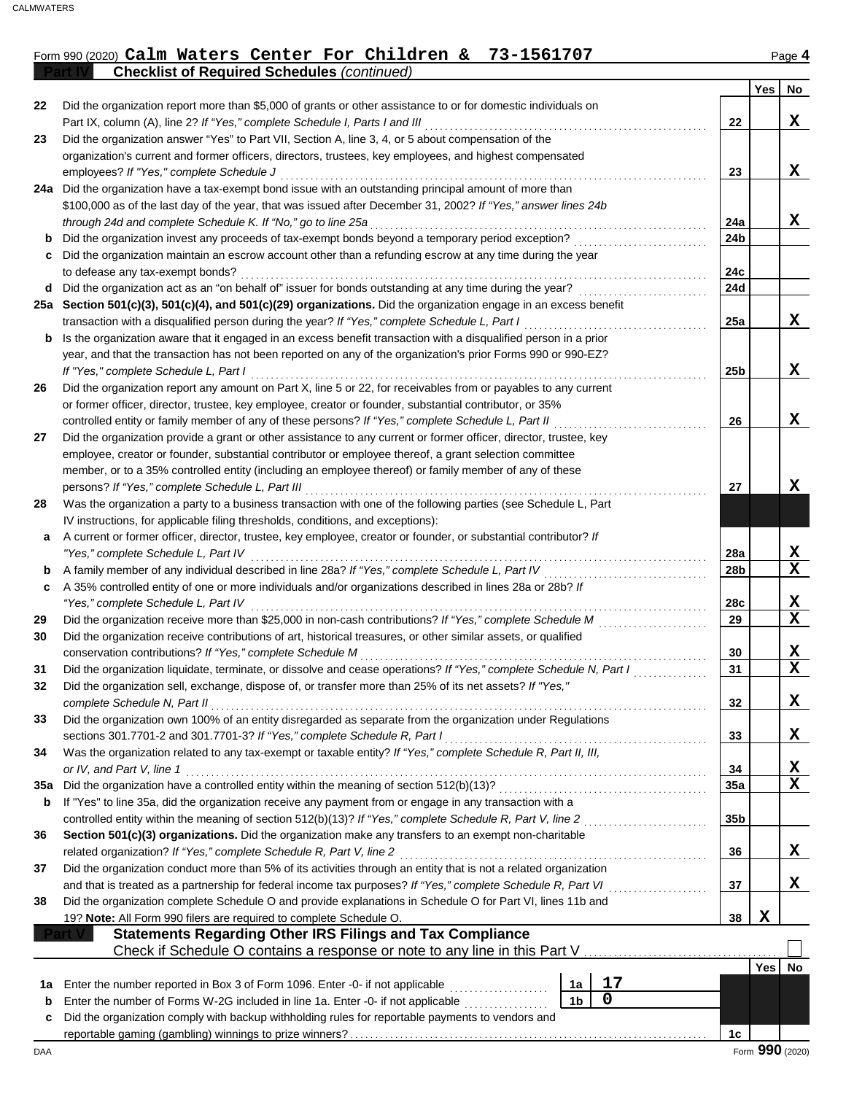#### Form 990 (2020) **Calm Waters Center For Children & 73-1561707** Page 4 **Calm Waters Center For Children & 73-1561707**

**Part IV Checklist of Required Schedules** *(continued)* 

|     |                                                                                                                                                                                  |                 | Yes    | No               |
|-----|----------------------------------------------------------------------------------------------------------------------------------------------------------------------------------|-----------------|--------|------------------|
| 22  | Did the organization report more than \$5,000 of grants or other assistance to or for domestic individuals on                                                                    |                 |        |                  |
|     | Part IX, column (A), line 2? If "Yes," complete Schedule I, Parts I and III                                                                                                      | 22              |        | X                |
| 23  | Did the organization answer "Yes" to Part VII, Section A, line 3, 4, or 5 about compensation of the                                                                              |                 |        |                  |
|     | organization's current and former officers, directors, trustees, key employees, and highest compensated                                                                          |                 |        |                  |
|     | employees? If "Yes," complete Schedule J                                                                                                                                         | 23              |        | X                |
|     | 24a Did the organization have a tax-exempt bond issue with an outstanding principal amount of more than                                                                          |                 |        |                  |
|     | \$100,000 as of the last day of the year, that was issued after December 31, 2002? If "Yes," answer lines 24b                                                                    |                 |        | X                |
| b   | through 24d and complete Schedule K. If "No," go to line 25a<br>Did the organization invest any proceeds of tax-exempt bonds beyond a temporary period exception?                | 24a<br>24b      |        |                  |
| c   | Did the organization maintain an escrow account other than a refunding escrow at any time during the year                                                                        |                 |        |                  |
|     | to defease any tax-exempt bonds?                                                                                                                                                 | 24c             |        |                  |
| d   | Did the organization act as an "on behalf of" issuer for bonds outstanding at any time during the year?                                                                          | 24d             |        |                  |
|     | 25a Section 501(c)(3), 501(c)(4), and 501(c)(29) organizations. Did the organization engage in an excess benefit                                                                 |                 |        |                  |
|     | transaction with a disqualified person during the year? If "Yes," complete Schedule L, Part I                                                                                    | 25a             |        | X                |
| b   | Is the organization aware that it engaged in an excess benefit transaction with a disqualified person in a prior                                                                 |                 |        |                  |
|     | year, and that the transaction has not been reported on any of the organization's prior Forms 990 or 990-EZ?                                                                     |                 |        |                  |
|     | If "Yes," complete Schedule L, Part I                                                                                                                                            | 25b             |        | X                |
| 26  | Did the organization report any amount on Part X, line 5 or 22, for receivables from or payables to any current                                                                  |                 |        |                  |
|     | or former officer, director, trustee, key employee, creator or founder, substantial contributor, or 35%                                                                          |                 |        |                  |
|     | controlled entity or family member of any of these persons? If "Yes," complete Schedule L, Part II                                                                               | 26              |        | X                |
| 27  | Did the organization provide a grant or other assistance to any current or former officer, director, trustee, key                                                                |                 |        |                  |
|     | employee, creator or founder, substantial contributor or employee thereof, a grant selection committee                                                                           |                 |        |                  |
|     | member, or to a 35% controlled entity (including an employee thereof) or family member of any of these                                                                           |                 |        |                  |
|     | persons? If "Yes," complete Schedule L, Part III                                                                                                                                 | 27              |        | x                |
| 28  | Was the organization a party to a business transaction with one of the following parties (see Schedule L, Part                                                                   |                 |        |                  |
|     | IV instructions, for applicable filing thresholds, conditions, and exceptions):                                                                                                  |                 |        |                  |
| a   | A current or former officer, director, trustee, key employee, creator or founder, or substantial contributor? If                                                                 |                 |        |                  |
|     | "Yes," complete Schedule L, Part IV                                                                                                                                              | 28a             |        | X<br>$\mathbf x$ |
| b   | A family member of any individual described in line 28a? If "Yes," complete Schedule L, Part IV                                                                                  | 28b             |        |                  |
| c   | A 35% controlled entity of one or more individuals and/or organizations described in lines 28a or 28b? If<br>"Yes," complete Schedule L, Part IV                                 | 28c             |        | X                |
| 29  | Did the organization receive more than \$25,000 in non-cash contributions? If "Yes," complete Schedule M                                                                         | 29              |        | $\mathbf X$      |
| 30  | Did the organization receive contributions of art, historical treasures, or other similar assets, or qualified                                                                   |                 |        |                  |
|     | conservation contributions? If "Yes," complete Schedule M                                                                                                                        | 30              |        | X                |
| 31  | Did the organization liquidate, terminate, or dissolve and cease operations? If "Yes," complete Schedule N, Part I                                                               | 31              |        | $\mathbf X$      |
| 32  | Did the organization sell, exchange, dispose of, or transfer more than 25% of its net assets? If "Yes,"                                                                          |                 |        |                  |
|     | complete Schedule N, Part II                                                                                                                                                     | 32              |        | Δ.               |
| 33  | Did the organization own 100% of an entity disregarded as separate from the organization under Regulations                                                                       |                 |        |                  |
|     | sections 301.7701-2 and 301.7701-3? If "Yes," complete Schedule R, Part I                                                                                                        | 33              |        | X                |
| 34  | Was the organization related to any tax-exempt or taxable entity? If "Yes," complete Schedule R, Part II, III,                                                                   |                 |        |                  |
|     | or IV, and Part V, line 1                                                                                                                                                        | 34              |        | X                |
| 35а | Did the organization have a controlled entity within the meaning of section 512(b)(13)?                                                                                          | 35a             |        | $\mathbf X$      |
| b   | If "Yes" to line 35a, did the organization receive any payment from or engage in any transaction with a                                                                          |                 |        |                  |
|     | controlled entity within the meaning of section 512(b)(13)? If "Yes," complete Schedule R, Part V, line 2                                                                        | 35 <sub>b</sub> |        |                  |
| 36  | Section 501(c)(3) organizations. Did the organization make any transfers to an exempt non-charitable                                                                             |                 |        |                  |
|     | related organization? If "Yes," complete Schedule R, Part V, line 2                                                                                                              | 36              |        | X                |
| 37  | Did the organization conduct more than 5% of its activities through an entity that is not a related organization                                                                 |                 |        |                  |
|     | and that is treated as a partnership for federal income tax purposes? If "Yes," complete Schedule R, Part VI                                                                     | 37              |        | X                |
| 38  | Did the organization complete Schedule O and provide explanations in Schedule O for Part VI, lines 11b and<br>19? Note: All Form 990 filers are required to complete Schedule O. | 38              | X      |                  |
|     | <b>Statements Regarding Other IRS Filings and Tax Compliance</b>                                                                                                                 |                 |        |                  |
|     | Check if Schedule O contains a response or note to any line in this Part V                                                                                                       |                 |        |                  |
|     |                                                                                                                                                                                  |                 | Yes No |                  |
| 1a  | 17<br>Enter the number reported in Box 3 of Form 1096. Enter -0- if not applicable<br>1a                                                                                         |                 |        |                  |
| b   | $\mathbf 0$<br>1 <sub>b</sub><br>Enter the number of Forms W-2G included in line 1a. Enter -0- if not applicable                                                                 |                 |        |                  |
| c   | Did the organization comply with backup withholding rules for reportable payments to vendors and                                                                                 |                 |        |                  |
|     |                                                                                                                                                                                  | 1 <sub>c</sub>  |        |                  |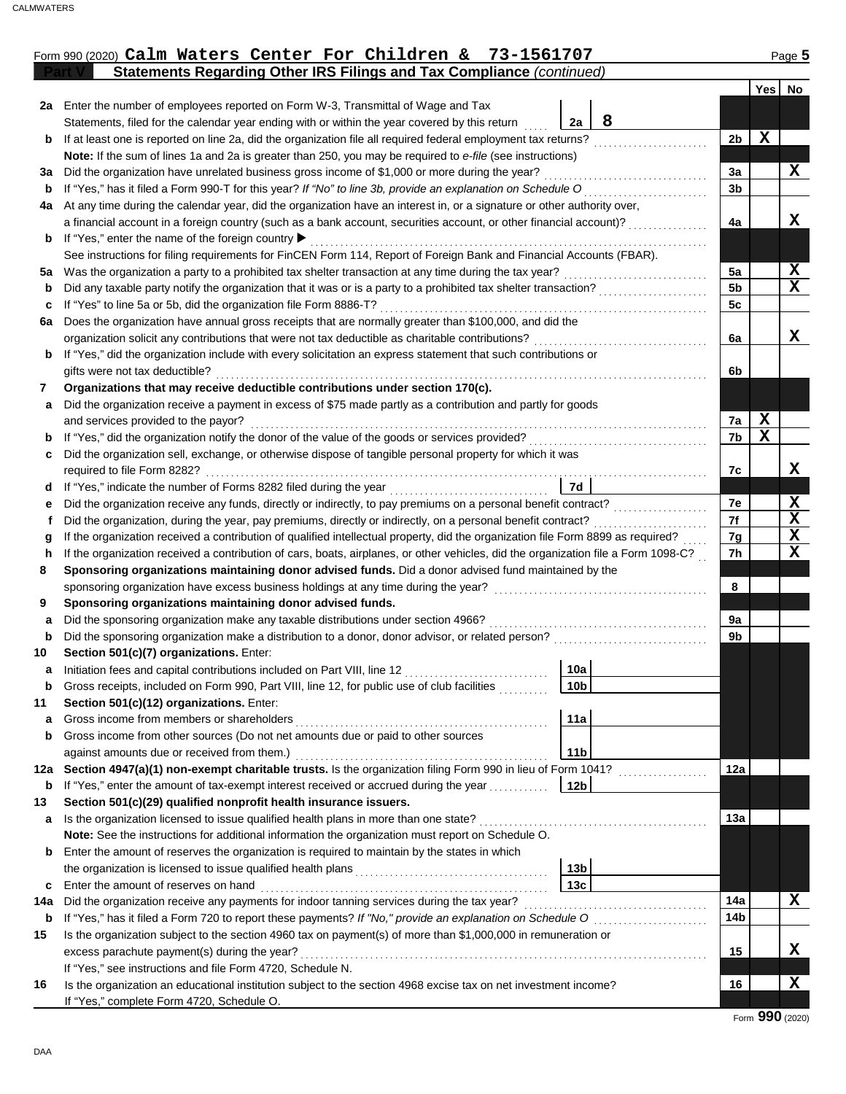|    | Form 990 (2020) Calm Waters Center For Children & 73-1561707<br>Statements Regarding Other IRS Filings and Tax Compliance (continued) |    |           |       | Page 5 |
|----|---------------------------------------------------------------------------------------------------------------------------------------|----|-----------|-------|--------|
|    |                                                                                                                                       |    |           | res l |        |
| 2a | Enter the number of employees reported on Form W-3, Transmittal of Wage and Tax                                                       |    |           |       |        |
|    | Statements, filed for the calendar year ending with or within the year covered by this return                                         | 2a |           |       |        |
| b  | If at least one is reported on line 2a, did the organization file all required federal employment tax returns?                        |    | <b>2b</b> |       |        |
|    | <b>Note:</b> If the sum of lines 1a and 2a is greater than 250, you may be required to e-file (see instructions)                      |    |           |       |        |

|         |                                                                                                                                                               |                 |  | 3a                   |             | X                |  |  |
|---------|---------------------------------------------------------------------------------------------------------------------------------------------------------------|-----------------|--|----------------------|-------------|------------------|--|--|
| За<br>b | If "Yes," has it filed a Form 990-T for this year? If "No" to line 3b, provide an explanation on Schedule O                                                   |                 |  | 3 <sub>b</sub>       |             |                  |  |  |
|         |                                                                                                                                                               |                 |  |                      |             |                  |  |  |
| 4a      | At any time during the calendar year, did the organization have an interest in, or a signature or other authority over,                                       |                 |  |                      |             | x                |  |  |
|         | a financial account in a foreign country (such as a bank account, securities account, or other financial account)?                                            |                 |  | 4a                   |             |                  |  |  |
| b       | If "Yes," enter the name of the foreign country ▶                                                                                                             |                 |  |                      |             |                  |  |  |
|         | See instructions for filing requirements for FinCEN Form 114, Report of Foreign Bank and Financial Accounts (FBAR).                                           |                 |  | 5a                   |             | X                |  |  |
| 5а      | Did any taxable party notify the organization that it was or is a party to a prohibited tax shelter transaction?                                              |                 |  |                      |             |                  |  |  |
| b       |                                                                                                                                                               |                 |  | 5 <sub>b</sub><br>5c |             | $\mathbf X$      |  |  |
| c       | If "Yes" to line 5a or 5b, did the organization file Form 8886-T?                                                                                             |                 |  |                      |             |                  |  |  |
| 6a      | Does the organization have annual gross receipts that are normally greater than \$100,000, and did the                                                        |                 |  |                      |             |                  |  |  |
|         | organization solicit any contributions that were not tax deductible as charitable contributions?                                                              |                 |  | 6a                   |             | X                |  |  |
| b       | If "Yes," did the organization include with every solicitation an express statement that such contributions or                                                |                 |  |                      |             |                  |  |  |
|         | gifts were not tax deductible?                                                                                                                                |                 |  | 6b                   |             |                  |  |  |
| 7       | Organizations that may receive deductible contributions under section 170(c).                                                                                 |                 |  |                      |             |                  |  |  |
| a       | Did the organization receive a payment in excess of \$75 made partly as a contribution and partly for goods                                                   |                 |  |                      |             |                  |  |  |
|         | and services provided to the payor?                                                                                                                           |                 |  | 7a                   | $\mathbf x$ |                  |  |  |
| b       |                                                                                                                                                               |                 |  | 7b                   | X           |                  |  |  |
| c       | Did the organization sell, exchange, or otherwise dispose of tangible personal property for which it was                                                      |                 |  |                      |             |                  |  |  |
|         | required to file Form 8282?                                                                                                                                   |                 |  | 7c                   |             | X                |  |  |
| d       |                                                                                                                                                               | 7d              |  |                      |             |                  |  |  |
| е       | Did the organization receive any funds, directly or indirectly, to pay premiums on a personal benefit contract?                                               |                 |  | 7e                   |             | X<br>$\mathbf x$ |  |  |
| f       | Did the organization, during the year, pay premiums, directly or indirectly, on a personal benefit contract?                                                  |                 |  | 7f                   |             | $\mathbf x$      |  |  |
| q       | If the organization received a contribution of qualified intellectual property, did the organization file Form 8899 as required?                              |                 |  | 7g                   |             | $\mathbf X$      |  |  |
| h       | If the organization received a contribution of cars, boats, airplanes, or other vehicles, did the organization file a Form 1098-C?                            |                 |  | 7h                   |             |                  |  |  |
| 8       | Sponsoring organizations maintaining donor advised funds. Did a donor advised fund maintained by the                                                          |                 |  |                      |             |                  |  |  |
|         | sponsoring organization have excess business holdings at any time during the year?                                                                            |                 |  | 8                    |             |                  |  |  |
| 9       | Sponsoring organizations maintaining donor advised funds.                                                                                                     |                 |  |                      |             |                  |  |  |
| a       | Did the sponsoring organization make any taxable distributions under section 4966?                                                                            |                 |  | 9a                   |             |                  |  |  |
| b       | Did the sponsoring organization make a distribution to a donor, donor advisor, or related person?                                                             |                 |  | 9b                   |             |                  |  |  |
| 10      | Section 501(c)(7) organizations. Enter:                                                                                                                       |                 |  |                      |             |                  |  |  |
| а       |                                                                                                                                                               | 10a             |  |                      |             |                  |  |  |
| b       | Gross receipts, included on Form 990, Part VIII, line 12, for public use of club facilities                                                                   | 10 <sub>b</sub> |  |                      |             |                  |  |  |
| 11      | Section 501(c)(12) organizations. Enter:                                                                                                                      |                 |  |                      |             |                  |  |  |
| a       | Gross income from members or shareholders<br>Gross income from other sources (Do not net amounts due or paid to other sources                                 | 11a             |  |                      |             |                  |  |  |
| b       |                                                                                                                                                               | 11b             |  |                      |             |                  |  |  |
|         | against amounts due or received from them.)<br>12a Section 4947(a)(1) non-exempt charitable trusts. Is the organization filing Form 990 in lieu of Form 1041? |                 |  | 12a                  |             |                  |  |  |
| b       | If "Yes," enter the amount of tax-exempt interest received or accrued during the year                                                                         |                 |  |                      |             |                  |  |  |
| 13      | Section 501(c)(29) qualified nonprofit health insurance issuers.                                                                                              | 12 <sub>b</sub> |  |                      |             |                  |  |  |
| a       | Is the organization licensed to issue qualified health plans in more than one state?                                                                          |                 |  | 13а                  |             |                  |  |  |
|         | Note: See the instructions for additional information the organization must report on Schedule O.                                                             |                 |  |                      |             |                  |  |  |
| b       | Enter the amount of reserves the organization is required to maintain by the states in which                                                                  |                 |  |                      |             |                  |  |  |
|         |                                                                                                                                                               | 13 <sub>b</sub> |  |                      |             |                  |  |  |
| c       | Enter the amount of reserves on hand                                                                                                                          | 13 <sub>c</sub> |  |                      |             |                  |  |  |
| 14a     |                                                                                                                                                               |                 |  | 14a                  |             | X                |  |  |
| b       | If "Yes," has it filed a Form 720 to report these payments? If "No," provide an explanation on Schedule O                                                     |                 |  | 14b                  |             |                  |  |  |
| 15      | Is the organization subject to the section 4960 tax on payment(s) of more than \$1,000,000 in remuneration or                                                 |                 |  |                      |             |                  |  |  |
|         |                                                                                                                                                               |                 |  | 15                   |             | X                |  |  |
|         |                                                                                                                                                               |                 |  |                      |             |                  |  |  |

**X**

**16**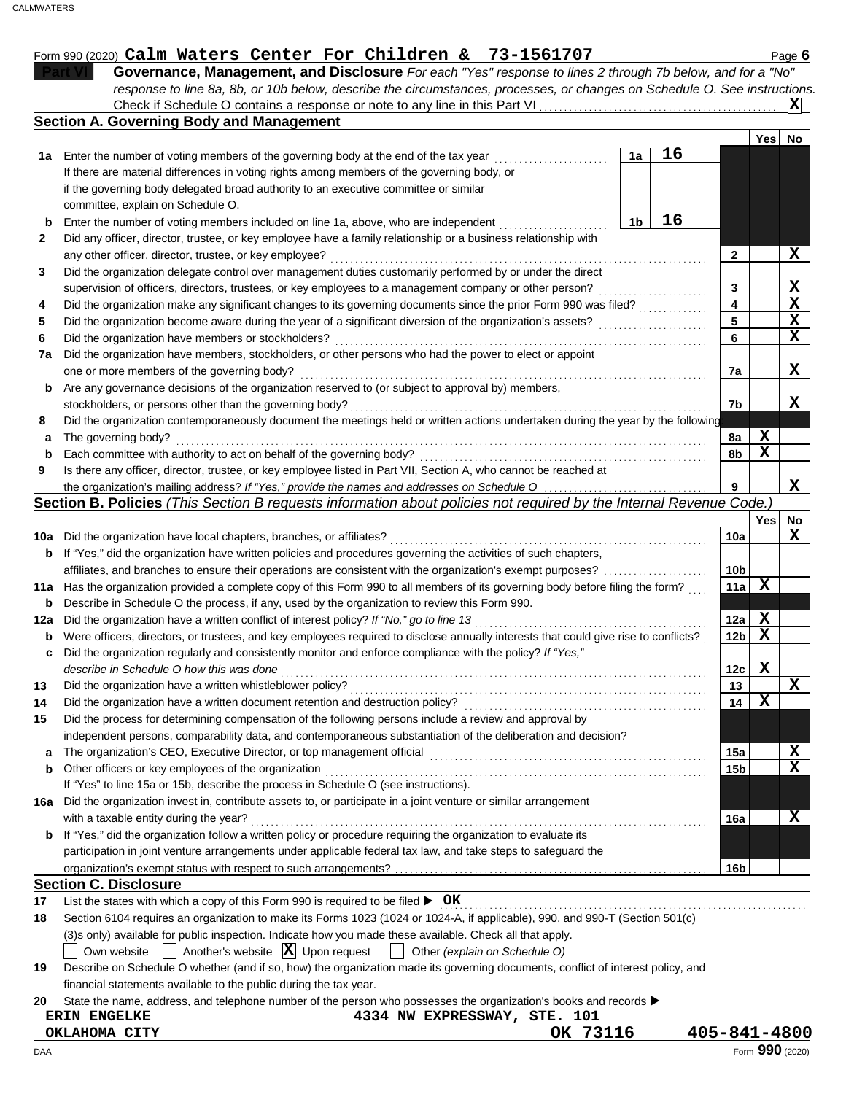|  |  |  | Form 990 (2020) Calm Waters Center For Children & $73-1561707$                                             | Page $6$ |
|--|--|--|------------------------------------------------------------------------------------------------------------|----------|
|  |  |  | Governance, Management, and Disclosure For each "Yes" response to lines 2 through 7b below, and for a "No" |          |

**Part VI Governance, Management, and Disclosure** *For each "Yes" response to lines 2 through 7b below, and for a "No" response to line 8a, 8b, or 10b below, describe the circumstances, processes, or changes on Schedule O. See instructions.* Check if Schedule O contains a response or note to any line in this Part VI . . . . . . . . . . . . . . . . . . . . . . . . . . . . . . . . . . . . . . . . . . . . . . . . **X**

|              | <b>Section A. Governing Body and Management</b>                                                                                                                          |    |    |                 |     |                         |
|--------------|--------------------------------------------------------------------------------------------------------------------------------------------------------------------------|----|----|-----------------|-----|-------------------------|
|              |                                                                                                                                                                          |    |    |                 | Yes | No                      |
| 1a           | Enter the number of voting members of the governing body at the end of the tax year                                                                                      | 1a | 16 |                 |     |                         |
|              | If there are material differences in voting rights among members of the governing body, or                                                                               |    |    |                 |     |                         |
|              | if the governing body delegated broad authority to an executive committee or similar                                                                                     |    |    |                 |     |                         |
|              | committee, explain on Schedule O.                                                                                                                                        | 1b | 16 |                 |     |                         |
| b            | Enter the number of voting members included on line 1a, above, who are independent                                                                                       |    |    |                 |     |                         |
| $\mathbf{2}$ | Did any officer, director, trustee, or key employee have a family relationship or a business relationship with<br>any other officer, director, trustee, or key employee? |    |    | 2               |     | X                       |
| 3            | Did the organization delegate control over management duties customarily performed by or under the direct                                                                |    |    |                 |     |                         |
|              | supervision of officers, directors, trustees, or key employees to a management company or other person?                                                                  |    |    | 3               |     | $\mathbf{X}$            |
| 4            | Did the organization make any significant changes to its governing documents since the prior Form 990 was filed?                                                         |    |    | 4               |     | $\overline{\mathbf{x}}$ |
| 5            | Did the organization become aware during the year of a significant diversion of the organization's assets?                                                               |    |    | 5               |     | X                       |
| 6            | Did the organization have members or stockholders?                                                                                                                       |    |    | 6               |     | X                       |
| 7a           | Did the organization have members, stockholders, or other persons who had the power to elect or appoint                                                                  |    |    |                 |     |                         |
|              | one or more members of the governing body?                                                                                                                               |    |    | 7a              |     | X                       |
| b            | Are any governance decisions of the organization reserved to (or subject to approval by) members,                                                                        |    |    |                 |     |                         |
|              | stockholders, or persons other than the governing body?                                                                                                                  |    |    | 7b              |     | x                       |
| 8            | Did the organization contemporaneously document the meetings held or written actions undertaken during the year by the following                                         |    |    |                 |     |                         |
| a            | The governing body?                                                                                                                                                      |    |    | 8a              | X   |                         |
| b            | Each committee with authority to act on behalf of the governing body?                                                                                                    |    |    | 8b              | Х   |                         |
| 9            | Is there any officer, director, trustee, or key employee listed in Part VII, Section A, who cannot be reached at                                                         |    |    |                 |     |                         |
|              |                                                                                                                                                                          |    |    | 9               |     | X                       |
|              | Section B. Policies (This Section B requests information about policies not required by the Internal Revenue Code.)                                                      |    |    |                 |     |                         |
|              |                                                                                                                                                                          |    |    |                 | Yes | No                      |
|              | 10a Did the organization have local chapters, branches, or affiliates?                                                                                                   |    |    | 10a             |     | X                       |
| b            | If "Yes," did the organization have written policies and procedures governing the activities of such chapters,                                                           |    |    |                 |     |                         |
|              | affiliates, and branches to ensure their operations are consistent with the organization's exempt purposes?                                                              |    |    | 10 <sub>b</sub> |     |                         |
|              | 11a Has the organization provided a complete copy of this Form 990 to all members of its governing body before filing the form?                                          |    |    | 11a             | X   |                         |
| b            | Describe in Schedule O the process, if any, used by the organization to review this Form 990.                                                                            |    |    |                 |     |                         |
| 12a          | Did the organization have a written conflict of interest policy? If "No," go to line 13                                                                                  |    |    | 12a             | X   |                         |
| b            | Were officers, directors, or trustees, and key employees required to disclose annually interests that could give rise to conflicts?                                      |    |    | 12b             | X   |                         |
| C            | Did the organization regularly and consistently monitor and enforce compliance with the policy? If "Yes,"                                                                |    |    |                 |     |                         |
|              | describe in Schedule O how this was done                                                                                                                                 |    |    | 12 <sub>c</sub> | X   |                         |
| 13           | Did the organization have a written whistleblower policy?                                                                                                                |    |    | 13              |     | X                       |
| 14           | Did the organization have a written document retention and destruction policy?                                                                                           |    |    | 14              | X   |                         |
| 15           | Did the process for determining compensation of the following persons include a review and approval by                                                                   |    |    |                 |     |                         |
|              | independent persons, comparability data, and contemporaneous substantiation of the deliberation and decision?                                                            |    |    |                 |     |                         |
|              | The organization's CEO, Executive Director, or top management official                                                                                                   |    |    | 15a             |     | X                       |
| b            | Other officers or key employees of the organization                                                                                                                      |    |    | 15b             |     | $\mathbf X$             |
|              | If "Yes" to line 15a or 15b, describe the process in Schedule O (see instructions).                                                                                      |    |    |                 |     |                         |
|              | 16a Did the organization invest in, contribute assets to, or participate in a joint venture or similar arrangement<br>with a taxable entity during the year?             |    |    |                 |     | X                       |
|              | <b>b</b> If "Yes," did the organization follow a written policy or procedure requiring the organization to evaluate its                                                  |    |    | 16a             |     |                         |
|              | participation in joint venture arrangements under applicable federal tax law, and take steps to safeguard the                                                            |    |    |                 |     |                         |
|              |                                                                                                                                                                          |    |    | 16 <sub>b</sub> |     |                         |
|              | <b>Section C. Disclosure</b>                                                                                                                                             |    |    |                 |     |                         |
| 17           | List the states with which a copy of this Form 990 is required to be filed $\triangleright$ OK                                                                           |    |    |                 |     |                         |
| 18           | Section 6104 requires an organization to make its Forms 1023 (1024 or 1024-A, if applicable), 990, and 990-T (Section 501(c)                                             |    |    |                 |     |                         |
|              | (3) s only) available for public inspection. Indicate how you made these available. Check all that apply.                                                                |    |    |                 |     |                         |
|              | Another's website $ \mathbf{X} $ Upon request<br>Own website<br>Other (explain on Schedule O)                                                                            |    |    |                 |     |                         |
| 19           | Describe on Schedule O whether (and if so, how) the organization made its governing documents, conflict of interest policy, and                                          |    |    |                 |     |                         |
|              | financial statements available to the public during the tax year.                                                                                                        |    |    |                 |     |                         |
| 20           | State the name, address, and telephone number of the person who possesses the organization's books and records $\blacktriangleright$                                     |    |    |                 |     |                         |
|              | 4334 NW EXPRESSWAY, STE. 101<br><b>ERIN ENGELKE</b>                                                                                                                      |    |    |                 |     |                         |
|              | OKLAHOMA CITY<br>OK 73116                                                                                                                                                |    |    | 405-841-4800    |     |                         |
| DAA          |                                                                                                                                                                          |    |    |                 |     | Form 990 (2020)         |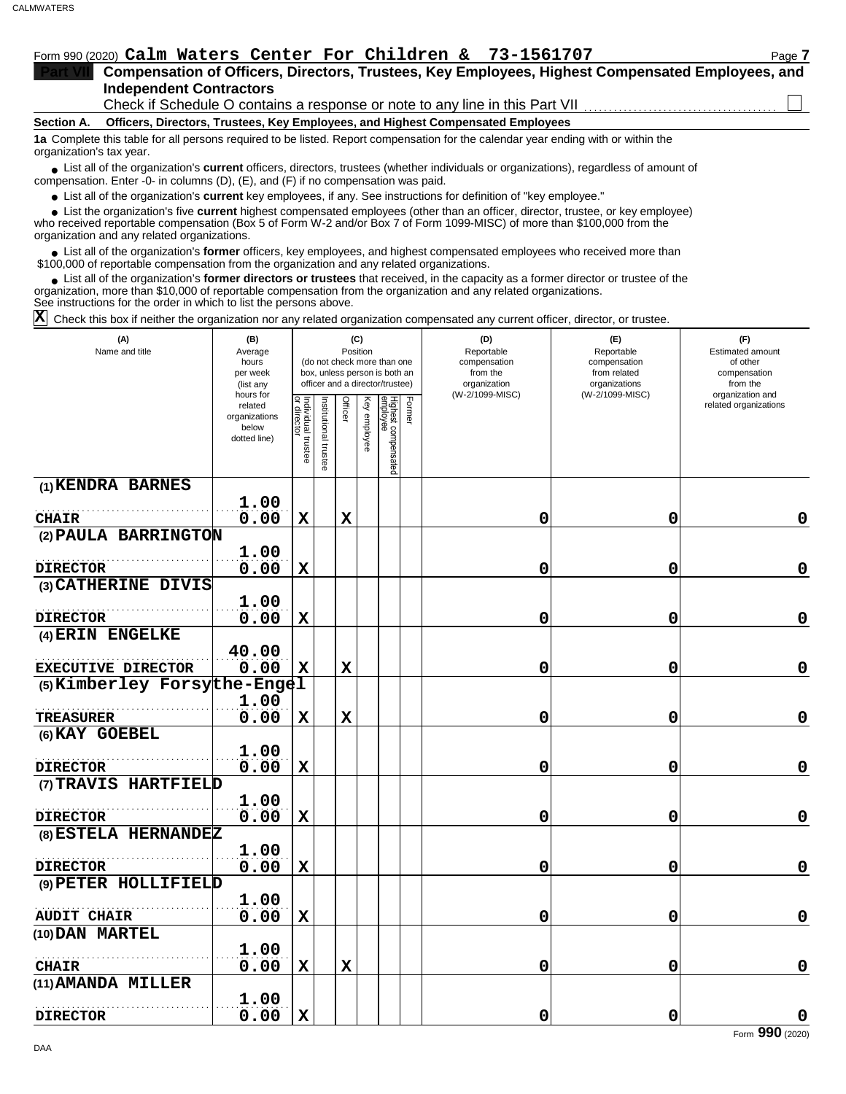| Form 990 (2020) Calm Waters Center For Children & 73-1561707                                                                                                                                                                               | Page 7 |  |  |  |  |  |  |
|--------------------------------------------------------------------------------------------------------------------------------------------------------------------------------------------------------------------------------------------|--------|--|--|--|--|--|--|
| Compensation of Officers, Directors, Trustees, Key Employees, Highest Compensated Employees, and                                                                                                                                           |        |  |  |  |  |  |  |
| <b>Independent Contractors</b>                                                                                                                                                                                                             |        |  |  |  |  |  |  |
|                                                                                                                                                                                                                                            |        |  |  |  |  |  |  |
| Officers, Directors, Trustees, Key Employees, and Highest Compensated Employees<br><b>Section A.</b>                                                                                                                                       |        |  |  |  |  |  |  |
| 1a Complete this table for all persons required to be listed. Report compensation for the calendar year ending with or within the<br>organization's tax year.                                                                              |        |  |  |  |  |  |  |
| • List all of the organization's <b>current</b> officers, directors, trustees (whether individuals or organizations), regardless of amount of<br>compensation. Enter -0- in columns $(D)$ , $(E)$ , and $(F)$ if no compensation was paid. |        |  |  |  |  |  |  |

● List all of the organization's **current** key employees, if any. See instructions for definition of "key employee."

■ List the organization's five **current** highest compensated employees (other than an officer, director, trustee, or key employee)<br> **•** Preceived reportable compensation (Box 5 of Form W-2 and/or Box 7 of Form 1000 MISC)

who received reportable compensation (Box 5 of Form W-2 and/or Box 7 of Form 1099-MISC) of more than \$100,000 from the organization and any related organizations.

List all of the organization's **former** officers, key employees, and highest compensated employees who received more than • List all of the organization's former officers, key employees, and highest compensate \$100,000 of reportable compensation from the organization and any related organizations.

List all of the organization's **former directors or trustees** that received, in the capacity as a former director or trustee of the organization, more than \$10,000 of reportable compensation from the organization and any related organizations. See instructions for the order in which to list the persons above. **•**

Check this box if neither the organization nor any related organization compensated any current officer, director, or trustee. **X**

| (A)<br>Name and title                | (B)<br>Average<br>hours<br>per week<br>(list any               |                                   |                       |             | (C)<br>Position | (do not check more than one<br>box, unless person is both an<br>officer and a director/trustee) |        | (D)<br>Reportable<br>compensation<br>from the<br>organization | (E)<br>Reportable<br>compensation<br>from related<br>organizations | (F)<br><b>Estimated amount</b><br>of other<br>compensation<br>from the |
|--------------------------------------|----------------------------------------------------------------|-----------------------------------|-----------------------|-------------|-----------------|-------------------------------------------------------------------------------------------------|--------|---------------------------------------------------------------|--------------------------------------------------------------------|------------------------------------------------------------------------|
|                                      | hours for<br>related<br>organizations<br>below<br>dotted line) | Individual trustee<br>or director | Institutional trustee | Officer     | Key employee    | Highest compensated<br>employee                                                                 | Former | (W-2/1099-MISC)                                               | (W-2/1099-MISC)                                                    | organization and<br>related organizations                              |
| (1) KENDRA BARNES                    |                                                                |                                   |                       |             |                 |                                                                                                 |        |                                                               |                                                                    |                                                                        |
|                                      | 1.00                                                           |                                   |                       |             |                 |                                                                                                 |        |                                                               |                                                                    |                                                                        |
| <b>CHAIR</b><br>(2) PAULA BARRINGTON | 0.00                                                           | $\mathbf X$                       |                       | $\mathbf x$ |                 |                                                                                                 |        | 0                                                             | 0                                                                  | 0                                                                      |
|                                      | 1.00                                                           |                                   |                       |             |                 |                                                                                                 |        |                                                               |                                                                    |                                                                        |
| <b>DIRECTOR</b>                      | 0.00                                                           | $\mathbf X$                       |                       |             |                 |                                                                                                 |        | 0                                                             | 0                                                                  | $\mathbf 0$                                                            |
| (3) CATHERINE DIVIS                  |                                                                |                                   |                       |             |                 |                                                                                                 |        |                                                               |                                                                    |                                                                        |
|                                      | 1.00                                                           |                                   |                       |             |                 |                                                                                                 |        |                                                               |                                                                    |                                                                        |
| <b>DIRECTOR</b>                      | 0.00                                                           | $\mathbf x$                       |                       |             |                 |                                                                                                 |        | 0                                                             | 0                                                                  | $\mathbf 0$                                                            |
| (4) ERIN ENGELKE                     |                                                                |                                   |                       |             |                 |                                                                                                 |        |                                                               |                                                                    |                                                                        |
|                                      | 40.00                                                          |                                   |                       |             |                 |                                                                                                 |        |                                                               |                                                                    |                                                                        |
| <b>EXECUTIVE DIRECTOR</b>            | 0.00                                                           | $\mathbf X$                       |                       | $\mathbf x$ |                 |                                                                                                 |        | 0                                                             | 0                                                                  | 0                                                                      |
| (5) Kimberley Forsythe-Engel         |                                                                |                                   |                       |             |                 |                                                                                                 |        |                                                               |                                                                    |                                                                        |
| TREASURER                            | 1.00<br>0.00                                                   | $\mathbf X$                       |                       | $\mathbf x$ |                 |                                                                                                 |        | 0                                                             | 0                                                                  | $\mathbf 0$                                                            |
| (6) KAY GOEBEL                       |                                                                |                                   |                       |             |                 |                                                                                                 |        |                                                               |                                                                    |                                                                        |
|                                      | 1.00                                                           |                                   |                       |             |                 |                                                                                                 |        |                                                               |                                                                    |                                                                        |
| <b>DIRECTOR</b>                      | 0.00                                                           | $\mathbf x$                       |                       |             |                 |                                                                                                 |        | 0                                                             | 0                                                                  | $\mathbf 0$                                                            |
| (7) TRAVIS HARTFIELD                 |                                                                |                                   |                       |             |                 |                                                                                                 |        |                                                               |                                                                    |                                                                        |
|                                      | 1.00                                                           |                                   |                       |             |                 |                                                                                                 |        |                                                               |                                                                    |                                                                        |
| <b>DIRECTOR</b>                      | 0.00                                                           | $\mathbf x$                       |                       |             |                 |                                                                                                 |        | 0                                                             | 0                                                                  | 0                                                                      |
| (8) ESTELA HERNANDEZ                 |                                                                |                                   |                       |             |                 |                                                                                                 |        |                                                               |                                                                    |                                                                        |
|                                      | 1.00                                                           |                                   |                       |             |                 |                                                                                                 |        |                                                               |                                                                    |                                                                        |
| <b>DIRECTOR</b>                      | 0.00                                                           | $\mathbf X$                       |                       |             |                 |                                                                                                 |        | 0                                                             | 0                                                                  | $\mathbf 0$                                                            |
| (9) PETER HOLLIFIELD                 |                                                                |                                   |                       |             |                 |                                                                                                 |        |                                                               |                                                                    |                                                                        |
| <b>AUDIT CHAIR</b>                   | 1.00<br>0.00                                                   | $\mathbf x$                       |                       |             |                 |                                                                                                 |        | 0                                                             | 0                                                                  | $\mathbf 0$                                                            |
| (10) DAN MARTEL                      |                                                                |                                   |                       |             |                 |                                                                                                 |        |                                                               |                                                                    |                                                                        |
|                                      | 1.00                                                           |                                   |                       |             |                 |                                                                                                 |        |                                                               |                                                                    |                                                                        |
| <b>CHAIR</b>                         | 0.00                                                           | $\mathbf x$                       |                       | $\mathbf x$ |                 |                                                                                                 |        | 0                                                             | 0                                                                  | 0                                                                      |
| (11) AMANDA MILLER                   |                                                                |                                   |                       |             |                 |                                                                                                 |        |                                                               |                                                                    |                                                                        |
|                                      | 1.00                                                           |                                   |                       |             |                 |                                                                                                 |        |                                                               |                                                                    |                                                                        |
| <b>DIRECTOR</b>                      | 0.00                                                           | X                                 |                       |             |                 |                                                                                                 |        | 0                                                             | 0                                                                  | $\mathbf 0$                                                            |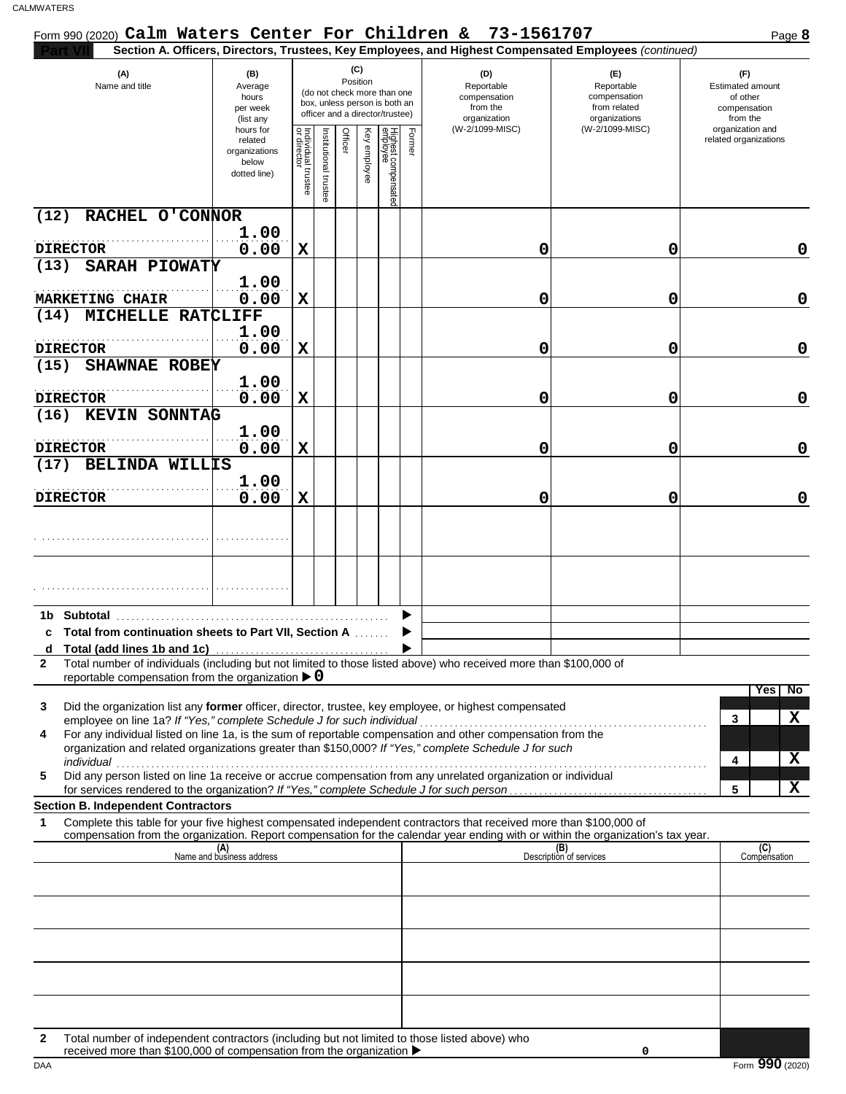| Form 990 (2020) Calm Waters Center For Children & 73-1561707                                                                                                                                                                                                                                                                            |                                                                |                                   |                       |         |                 |                                                                                                 |        |                                                                                                        |                                                                    |   | Page 8                                                                 |
|-----------------------------------------------------------------------------------------------------------------------------------------------------------------------------------------------------------------------------------------------------------------------------------------------------------------------------------------|----------------------------------------------------------------|-----------------------------------|-----------------------|---------|-----------------|-------------------------------------------------------------------------------------------------|--------|--------------------------------------------------------------------------------------------------------|--------------------------------------------------------------------|---|------------------------------------------------------------------------|
|                                                                                                                                                                                                                                                                                                                                         |                                                                |                                   |                       |         |                 |                                                                                                 |        | Section A. Officers, Directors, Trustees, Key Employees, and Highest Compensated Employees (continued) |                                                                    |   |                                                                        |
| (A)<br>Name and title                                                                                                                                                                                                                                                                                                                   | (B)<br>Average<br>hours<br>per week<br>(list any               |                                   |                       |         | (C)<br>Position | (do not check more than one<br>box, unless person is both an<br>officer and a director/trustee) |        | (D)<br>Reportable<br>compensation<br>from the<br>organization                                          | (E)<br>Reportable<br>compensation<br>from related<br>organizations |   | (F)<br><b>Estimated amount</b><br>of other<br>compensation<br>from the |
|                                                                                                                                                                                                                                                                                                                                         | hours for<br>related<br>organizations<br>below<br>dotted line) | Individual trustee<br>or director | Institutional trustee | Officer | Key employee    | Highest compensated<br>employee                                                                 | Former | (W-2/1099-MISC)                                                                                        | (W-2/1099-MISC)                                                    |   | organization and<br>related organizations                              |
| (12)<br>RACHEL O'CONNOR                                                                                                                                                                                                                                                                                                                 |                                                                |                                   |                       |         |                 |                                                                                                 |        |                                                                                                        |                                                                    |   |                                                                        |
|                                                                                                                                                                                                                                                                                                                                         | 1.00                                                           |                                   |                       |         |                 |                                                                                                 |        |                                                                                                        |                                                                    |   |                                                                        |
| <b>DIRECTOR</b><br><b>SARAH PIOWATY</b><br>(13)                                                                                                                                                                                                                                                                                         | 0.00                                                           | $\mathbf x$                       |                       |         |                 |                                                                                                 |        | 0                                                                                                      | 0                                                                  |   | 0                                                                      |
|                                                                                                                                                                                                                                                                                                                                         | 1.00                                                           |                                   |                       |         |                 |                                                                                                 |        |                                                                                                        |                                                                    |   |                                                                        |
| <b>MARKETING CHAIR</b>                                                                                                                                                                                                                                                                                                                  | 0.00                                                           | $\mathbf x$                       |                       |         |                 |                                                                                                 |        | 0                                                                                                      | 0                                                                  |   | $\mathbf 0$                                                            |
| MICHELLE RATCLIFF<br>(14)                                                                                                                                                                                                                                                                                                               |                                                                |                                   |                       |         |                 |                                                                                                 |        |                                                                                                        |                                                                    |   |                                                                        |
| <b>DIRECTOR</b>                                                                                                                                                                                                                                                                                                                         | 1.00<br>0.00                                                   | $\mathbf x$                       |                       |         |                 |                                                                                                 |        | 0                                                                                                      | 0                                                                  |   | 0                                                                      |
| <b>SHAWNAE ROBEY</b><br>(15)                                                                                                                                                                                                                                                                                                            |                                                                |                                   |                       |         |                 |                                                                                                 |        |                                                                                                        |                                                                    |   |                                                                        |
|                                                                                                                                                                                                                                                                                                                                         | 1.00                                                           |                                   |                       |         |                 |                                                                                                 |        |                                                                                                        |                                                                    |   |                                                                        |
| <b>DIRECTOR</b>                                                                                                                                                                                                                                                                                                                         | 0.00                                                           | $\mathbf x$                       |                       |         |                 |                                                                                                 |        | 0                                                                                                      | 0                                                                  |   | 0                                                                      |
| <b>KEVIN SONNTAG</b><br>(16)                                                                                                                                                                                                                                                                                                            |                                                                |                                   |                       |         |                 |                                                                                                 |        |                                                                                                        |                                                                    |   |                                                                        |
| <b>DIRECTOR</b>                                                                                                                                                                                                                                                                                                                         | 1.00<br>0.00                                                   | $\mathbf x$                       |                       |         |                 |                                                                                                 |        | 0                                                                                                      | 0                                                                  |   | 0                                                                      |
| BELINDA WILLIS<br>(17)                                                                                                                                                                                                                                                                                                                  |                                                                |                                   |                       |         |                 |                                                                                                 |        |                                                                                                        |                                                                    |   |                                                                        |
|                                                                                                                                                                                                                                                                                                                                         | 1.00                                                           |                                   |                       |         |                 |                                                                                                 |        |                                                                                                        |                                                                    |   |                                                                        |
| <b>DIRECTOR</b>                                                                                                                                                                                                                                                                                                                         | 0.00                                                           | $\mathbf x$                       |                       |         |                 |                                                                                                 |        | 0                                                                                                      | 0                                                                  |   | $\mathbf 0$                                                            |
|                                                                                                                                                                                                                                                                                                                                         |                                                                |                                   |                       |         |                 |                                                                                                 |        |                                                                                                        |                                                                    |   |                                                                        |
|                                                                                                                                                                                                                                                                                                                                         |                                                                |                                   |                       |         |                 |                                                                                                 |        |                                                                                                        |                                                                    |   |                                                                        |
| 1b Subtotal and the state of the state of the state of the state of the state of the state of the state of the<br>c Total from continuation sheets to Part VII, Section A                                                                                                                                                               |                                                                |                                   |                       |         |                 |                                                                                                 |        |                                                                                                        |                                                                    |   |                                                                        |
| Total number of individuals (including but not limited to those listed above) who received more than \$100,000 of<br>$\mathbf{2}$<br>reportable compensation from the organization $\triangleright$ 0                                                                                                                                   |                                                                |                                   |                       |         |                 |                                                                                                 |        |                                                                                                        |                                                                    |   |                                                                        |
| Did the organization list any former officer, director, trustee, key employee, or highest compensated<br>3<br>employee on line 1a? If "Yes," complete Schedule J for such individual<br>For any individual listed on line 1a, is the sum of reportable compensation and other compensation from the<br>4                                |                                                                |                                   |                       |         |                 |                                                                                                 |        |                                                                                                        |                                                                    | 3 | Yes No<br>$\mathbf x$                                                  |
| organization and related organizations greater than \$150,000? If "Yes," complete Schedule J for such<br>individual communications and all the contract of the contract of the contract of the contract of the contract of the contract of the contract of the contract of the contract of the contract of the contract of the contract |                                                                |                                   |                       |         |                 |                                                                                                 |        |                                                                                                        |                                                                    | 4 | $\mathbf x$                                                            |
| Did any person listed on line 1a receive or accrue compensation from any unrelated organization or individual<br>5                                                                                                                                                                                                                      |                                                                |                                   |                       |         |                 |                                                                                                 |        |                                                                                                        |                                                                    |   |                                                                        |
| <b>Section B. Independent Contractors</b>                                                                                                                                                                                                                                                                                               |                                                                |                                   |                       |         |                 |                                                                                                 |        |                                                                                                        |                                                                    | 5 | X                                                                      |
| Complete this table for your five highest compensated independent contractors that received more than \$100,000 of<br>1                                                                                                                                                                                                                 |                                                                |                                   |                       |         |                 |                                                                                                 |        |                                                                                                        |                                                                    |   |                                                                        |
| compensation from the organization. Report compensation for the calendar year ending with or within the organization's tax year.                                                                                                                                                                                                        |                                                                |                                   |                       |         |                 |                                                                                                 |        |                                                                                                        |                                                                    |   |                                                                        |
|                                                                                                                                                                                                                                                                                                                                         | (A)<br>Name and business address                               |                                   |                       |         |                 |                                                                                                 |        |                                                                                                        | (B)<br>Description of services                                     |   | (C)<br>Compensation                                                    |
|                                                                                                                                                                                                                                                                                                                                         |                                                                |                                   |                       |         |                 |                                                                                                 |        |                                                                                                        |                                                                    |   |                                                                        |
|                                                                                                                                                                                                                                                                                                                                         |                                                                |                                   |                       |         |                 |                                                                                                 |        |                                                                                                        |                                                                    |   |                                                                        |
|                                                                                                                                                                                                                                                                                                                                         |                                                                |                                   |                       |         |                 |                                                                                                 |        |                                                                                                        |                                                                    |   |                                                                        |
|                                                                                                                                                                                                                                                                                                                                         |                                                                |                                   |                       |         |                 |                                                                                                 |        |                                                                                                        |                                                                    |   |                                                                        |
|                                                                                                                                                                                                                                                                                                                                         |                                                                |                                   |                       |         |                 |                                                                                                 |        |                                                                                                        |                                                                    |   |                                                                        |
|                                                                                                                                                                                                                                                                                                                                         |                                                                |                                   |                       |         |                 |                                                                                                 |        |                                                                                                        |                                                                    |   |                                                                        |
|                                                                                                                                                                                                                                                                                                                                         |                                                                |                                   |                       |         |                 |                                                                                                 |        |                                                                                                        |                                                                    |   |                                                                        |
|                                                                                                                                                                                                                                                                                                                                         |                                                                |                                   |                       |         |                 |                                                                                                 |        |                                                                                                        |                                                                    |   |                                                                        |
| Total number of independent contractors (including but not limited to those listed above) who<br>2<br>received more than \$100,000 of compensation from the organization ▶                                                                                                                                                              |                                                                |                                   |                       |         |                 |                                                                                                 |        |                                                                                                        | 0                                                                  |   |                                                                        |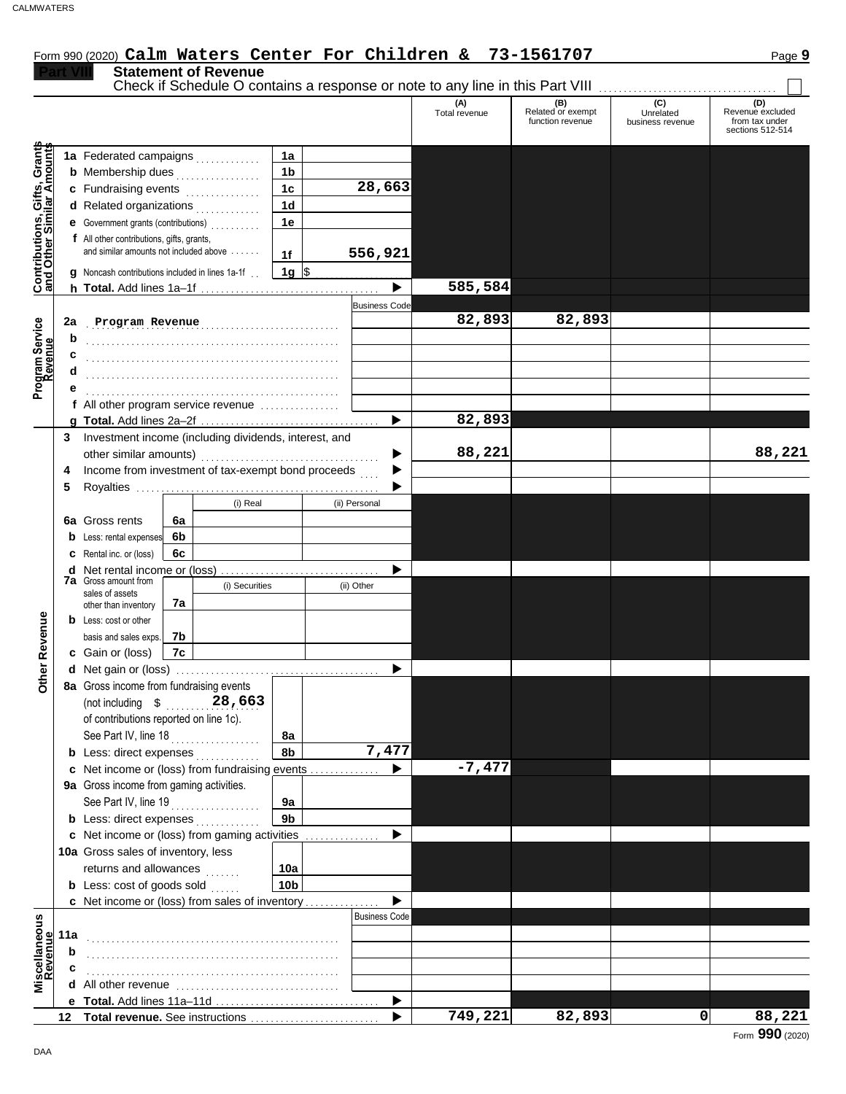|                                                                 |     |                                                                                     |    | Statement or Revenue |                |                      |                      |                                              |                                      |                                                               |
|-----------------------------------------------------------------|-----|-------------------------------------------------------------------------------------|----|----------------------|----------------|----------------------|----------------------|----------------------------------------------|--------------------------------------|---------------------------------------------------------------|
|                                                                 |     |                                                                                     |    |                      |                |                      | (A)<br>Total revenue | (B)<br>Related or exempt<br>function revenue | (C)<br>Unrelated<br>business revenue | (D)<br>Revenue excluded<br>from tax under<br>sections 512-514 |
|                                                                 |     | 1a Federated campaigns                                                              |    |                      | 1a             |                      |                      |                                              |                                      |                                                               |
| <b>Contributions, Gifts, Grant</b><br>and Other Similar Amounts |     | <b>b</b> Membership dues                                                            |    |                      | 1 <sub>b</sub> |                      |                      |                                              |                                      |                                                               |
|                                                                 |     | c Fundraising events                                                                |    |                      | 1 <sub>c</sub> | 28,663               |                      |                                              |                                      |                                                               |
|                                                                 |     | d Related organizations                                                             |    |                      | 1 <sub>d</sub> |                      |                      |                                              |                                      |                                                               |
|                                                                 |     | e Government grants (contributions)<br>                                             |    |                      | 1e             |                      |                      |                                              |                                      |                                                               |
|                                                                 |     | f All other contributions, gifts, grants,                                           |    |                      |                |                      |                      |                                              |                                      |                                                               |
|                                                                 |     | and similar amounts not included above                                              |    |                      | 1f             | 556,921              |                      |                                              |                                      |                                                               |
|                                                                 |     | <b>g</b> Noncash contributions included in lines 1a-1f                              |    |                      | $1g$ \$        |                      |                      |                                              |                                      |                                                               |
|                                                                 |     |                                                                                     |    |                      |                |                      | 585,584              |                                              |                                      |                                                               |
|                                                                 |     |                                                                                     |    |                      |                | <b>Business Code</b> |                      |                                              |                                      |                                                               |
|                                                                 | 2a  | Program Revenue                                                                     |    |                      |                |                      | 82,893               | 82,893                                       |                                      |                                                               |
| Program Service<br>Revenue                                      | b   |                                                                                     |    |                      |                |                      |                      |                                              |                                      |                                                               |
|                                                                 | c   |                                                                                     |    |                      |                |                      |                      |                                              |                                      |                                                               |
|                                                                 | d   |                                                                                     |    |                      |                |                      |                      |                                              |                                      |                                                               |
|                                                                 | е   |                                                                                     |    |                      |                |                      |                      |                                              |                                      |                                                               |
|                                                                 |     | f All other program service revenue                                                 |    |                      |                |                      |                      |                                              |                                      |                                                               |
|                                                                 |     |                                                                                     |    |                      |                | ▶                    | 82,893               |                                              |                                      |                                                               |
|                                                                 | 3   | Investment income (including dividends, interest, and                               |    |                      |                |                      |                      |                                              |                                      |                                                               |
|                                                                 |     |                                                                                     |    |                      |                | ▶                    | 88,221               |                                              |                                      | 88,221                                                        |
|                                                                 | 4   | Income from investment of tax-exempt bond proceeds                                  |    |                      |                |                      |                      |                                              |                                      |                                                               |
|                                                                 | 5   |                                                                                     |    | (i) Real             |                | (ii) Personal        |                      |                                              |                                      |                                                               |
|                                                                 |     | 6a Gross rents                                                                      | 6a |                      |                |                      |                      |                                              |                                      |                                                               |
|                                                                 |     | <b>b</b> Less: rental expenses                                                      | 6b |                      |                |                      |                      |                                              |                                      |                                                               |
|                                                                 |     | C Rental inc. or (loss)                                                             | 6c |                      |                |                      |                      |                                              |                                      |                                                               |
|                                                                 |     |                                                                                     |    |                      |                |                      |                      |                                              |                                      |                                                               |
|                                                                 |     | <b>7a</b> Gross amount from                                                         |    | (i) Securities       |                | (ii) Other           |                      |                                              |                                      |                                                               |
|                                                                 |     | sales of assets<br>other than inventory                                             | 7a |                      |                |                      |                      |                                              |                                      |                                                               |
|                                                                 |     | <b>b</b> Less: cost or other                                                        |    |                      |                |                      |                      |                                              |                                      |                                                               |
|                                                                 |     | basis and sales exps.                                                               | 7b |                      |                |                      |                      |                                              |                                      |                                                               |
| Other Revenue                                                   |     | c Gain or (loss)                                                                    | 7c |                      |                |                      |                      |                                              |                                      |                                                               |
|                                                                 |     |                                                                                     |    |                      |                |                      |                      |                                              |                                      |                                                               |
|                                                                 |     | 8a Gross income from fundraising events                                             |    |                      |                |                      |                      |                                              |                                      |                                                               |
|                                                                 |     | (not including \$                                                                   |    | 28,663               |                |                      |                      |                                              |                                      |                                                               |
|                                                                 |     | of contributions reported on line 1c).                                              |    |                      |                |                      |                      |                                              |                                      |                                                               |
|                                                                 |     | See Part IV, line 18                                                                |    |                      | 8a             |                      |                      |                                              |                                      |                                                               |
|                                                                 |     | <b>b</b> Less: direct expenses                                                      |    |                      | 8b             | 7,477                |                      |                                              |                                      |                                                               |
|                                                                 |     | c Net income or (loss) from fundraising events                                      |    |                      |                | ▶                    | $-7,477$             |                                              |                                      |                                                               |
|                                                                 |     | 9a Gross income from gaming activities.                                             |    |                      |                |                      |                      |                                              |                                      |                                                               |
|                                                                 |     | See Part IV, line 19                                                                |    |                      | 9a             |                      |                      |                                              |                                      |                                                               |
|                                                                 |     | <b>b</b> Less: direct expenses                                                      |    |                      | 9 <sub>b</sub> |                      |                      |                                              |                                      |                                                               |
|                                                                 |     | c Net income or (loss) from gaming activities                                       |    |                      |                |                      |                      |                                              |                                      |                                                               |
|                                                                 |     | 10a Gross sales of inventory, less                                                  |    |                      |                |                      |                      |                                              |                                      |                                                               |
|                                                                 |     | returns and allowances                                                              |    | .                    | 10a            |                      |                      |                                              |                                      |                                                               |
|                                                                 |     | <b>b</b> Less: cost of goods sold<br>c Net income or (loss) from sales of inventory |    |                      | 10b            |                      |                      |                                              |                                      |                                                               |
|                                                                 |     |                                                                                     |    |                      |                | <b>Business Code</b> |                      |                                              |                                      |                                                               |
| Miscellaneous<br>Revenue                                        | 11a |                                                                                     |    |                      |                |                      |                      |                                              |                                      |                                                               |
|                                                                 | b   |                                                                                     |    |                      |                |                      |                      |                                              |                                      |                                                               |
|                                                                 | c   |                                                                                     |    |                      |                |                      |                      |                                              |                                      |                                                               |
|                                                                 |     |                                                                                     |    |                      |                |                      |                      |                                              |                                      |                                                               |
|                                                                 |     |                                                                                     |    |                      |                |                      |                      |                                              |                                      |                                                               |
|                                                                 |     |                                                                                     |    |                      |                |                      | 749,221              | 82,893                                       | $\mathbf 0$                          | 88,221                                                        |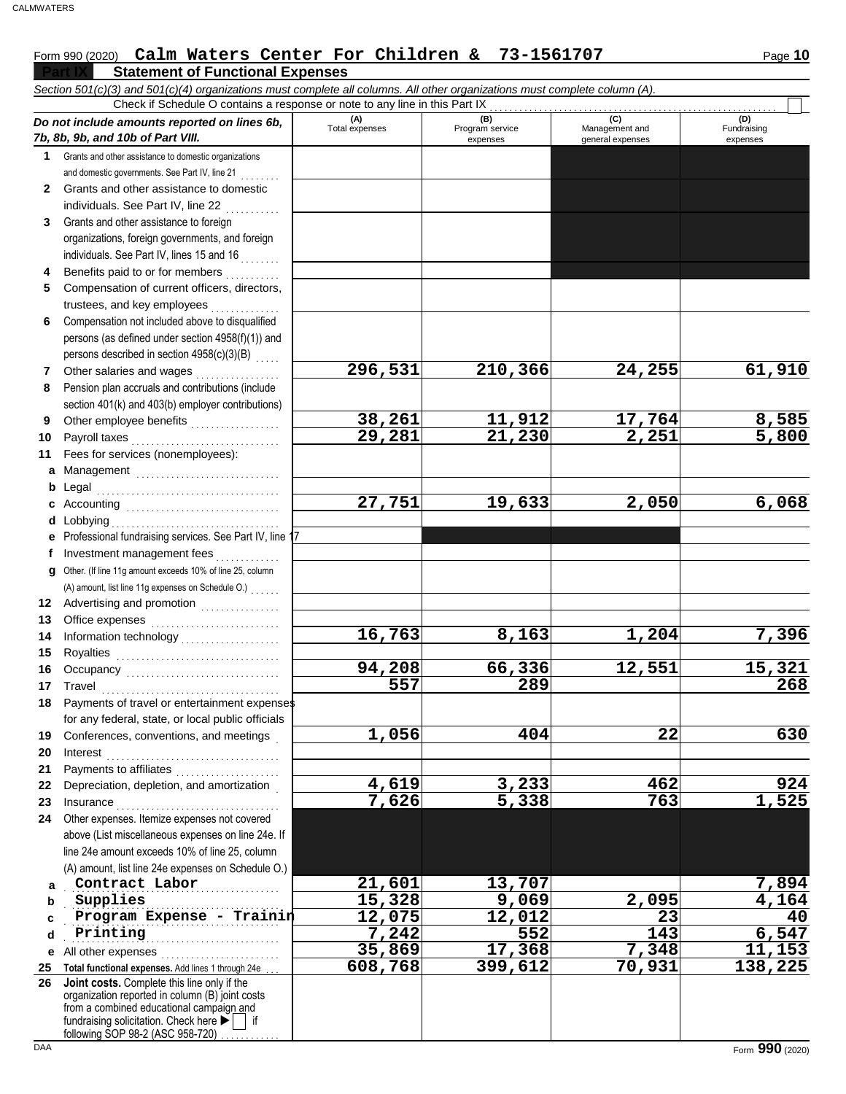#### **Statement of Functional Expenses** Form 990 (2020) Calm Waters Center For Children & 73-1561707 Page 10

*Section 501(c)(3) and 501(c)(4) organizations must complete all columns. All other organizations must complete column (A). Do not include amounts reported on lines 6b, 7b, 8b, 9b, and 10b of Part VIII.* **1 2 3 4 5 6 7 8 9 10 11 a** Management ............................. **b** Legal **c** Accounting . . . . . . . . . . . . . . . . . . . . . . . . . . . . . . . **d** Lobbying . . . . . . . . . . . . . . . . . . . . . . . . . . . . . . . . . . **e f g** Other. (If line 11g amount exceeds 10% of line 25, column **12** Advertising and promotion . . . . . . . . . . . . . . **13 14 15 16 17 18 19 20 21 22 23 24 a b c d e** All other expenses . . . . . . . . . . . . . . . . . . . . . . . . **25 Total functional expenses.** Add lines 1 through 24e . . . **26** Grants and other assistance to domestic organizations and domestic governments. See Part IV, line 21 [20] Grants and other assistance to domestic individuals. See Part IV, line 22 Grants and other assistance to foreign organizations, foreign governments, and foreign individuals. See Part IV, lines 15 and 16 . . . . . . . Benefits paid to or for members . . . . . . . . . . Compensation of current officers, directors, trustees, and key employees Compensation not included above to disqualified persons (as defined under section 4958(f)(1)) and persons described in section  $4958(c)(3)(B)$ Other salaries and wages . . . . . . . . . . . . . . . . . Pension plan accruals and contributions (include section 401(k) and 403(b) employer contributions) Other employee benefits . . . . . . . . . . . . . . . . . Payroll taxes . . . . . . . . . . . . . . . . . . . . . . . . . . . . . . Fees for services (nonemployees): . . . . . . . . . . . . . . . . . . . . . . . . . . . . . . . . . . . . . Professional fundraising services. See Part IV, line 17 Investment management fees .............. Office expenses . . . . . . . . . . . . . . . . . . . . . . . . . . Information technology . . . . . . . . . . . . . . . . . . . . Royalties . . . . . . . . . . . . . . . . . . . . . . . . . . . . . . . . . Occupancy . . . . . . . . . . . . . . . . . . . . . . . . . . . . . . . Travel . . . . . . . . . . . . . . . . . . . . . . . . . . . . . . . . . . . . Payments of travel or entertainment expenses for any federal, state, or local public officials Conferences, conventions, and meetings . Interest . . . . . . . . . . . . . . . . . . . . . . . . . . . . . . . . . . . Payments to affiliates ...................... Depreciation, depletion, and amortization . Insurance . . . . . . . . . . . . . . . . . . . . . . . . . . . . . . . . . Other expenses. Itemize expenses not covered above (List miscellaneous expenses on line 24e. If line 24e amount exceeds 10% of line 25, column (A) amount, list line 24e expenses on Schedule O.) fundraising solicitation. Check here  $\blacktriangleright$  | if organization reported in column (B) joint costs from a combined educational campaign and following SOP 98-2 (ASC 958-720) **(A) (B) (C) (D)** Total expenses Program service Management and expenses **general expenses** (D)<br>Fundraising expenses . . . . . . . . . . . . . . . . . . . . . . . . . . . . . . . . . . . . . . . . . . . Supplies . . . . . . . . . . . . . . . . . . . . . . . . . . . . . . . . . . . . . . . . . . . **Program Expense - Trainin 12,075 12,012 23 40** . . . . . . . . . . . . . . . . . . . . . . . . . . . . . . . . . . . . . . . . . . . **Printing 7,242 552 143 6,547** Check if Schedule O contains a response or note to any line in this Part IX **Joint costs.** Complete this line only if the (A) amount, list line 11g expenses on Schedule O.) . . . . . . **296,531 210,366 24,255 61,910 38,261 11,912 17,764 8,585 29,281 21,230 2,251 5,800 27,751 19,633 2,050 6,068 16,763 8,163 1,204 7,396 94,208 66,336 12,551 15,321 557 289 268 1,056 404 22 630 4,619 3,233 462 924 7,626 5,338 763 1,525 Contract Labor**<br> **21,601 13,707 2,095 7,894**<br> **2.095 4,164 Supplies 15,328 9,069 2,095 4,164 35,869 17,368 7,348 11,153 608,768 399,612 70,931 138,225**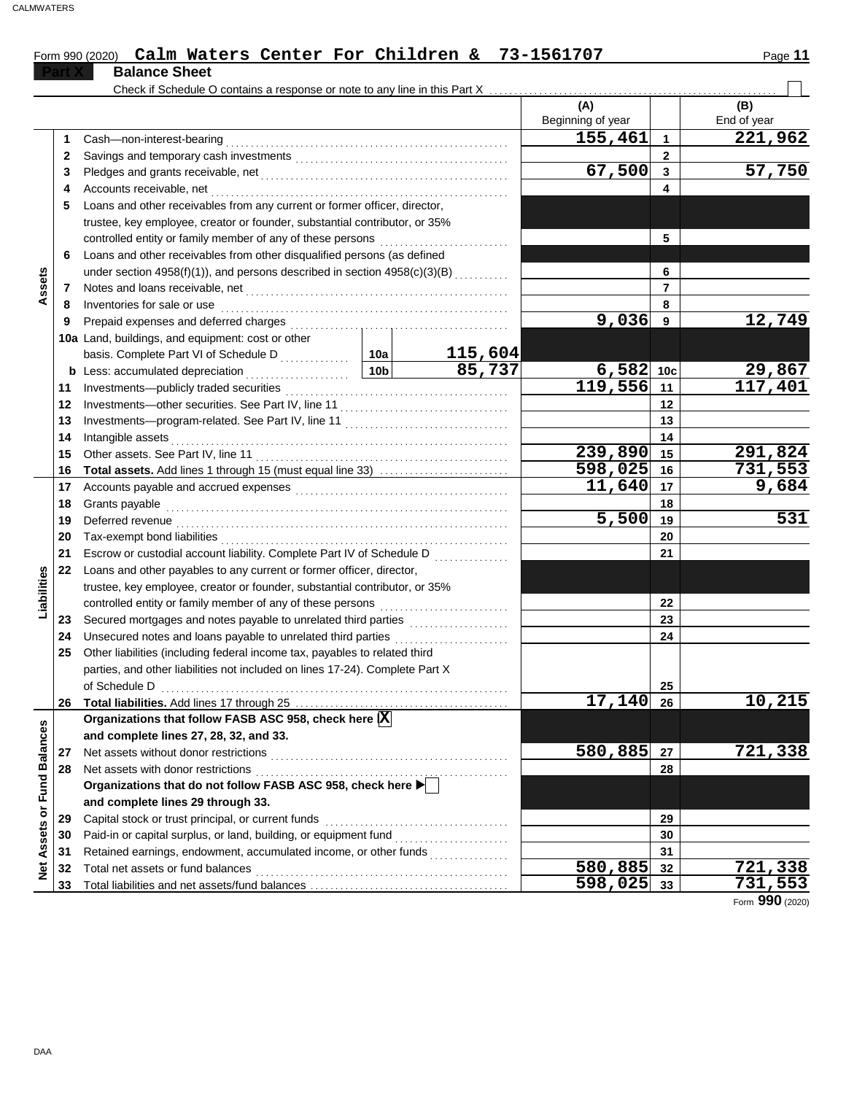## Form 990 (2020) Calm Waters Center For Children & 73-1561707 Page 11

|                         |          | <b>Balance Sheet</b>                                                                                 |                 |                                          |                       |                |                    |
|-------------------------|----------|------------------------------------------------------------------------------------------------------|-----------------|------------------------------------------|-----------------------|----------------|--------------------|
|                         |          | Check if Schedule O contains a response or note to any line in this Part X                           |                 |                                          |                       |                |                    |
|                         |          |                                                                                                      |                 |                                          | (A)                   |                | (B)                |
|                         |          |                                                                                                      |                 |                                          | Beginning of year     |                | End of year        |
|                         | 1        | Cash-non-interest-bearing                                                                            |                 |                                          | 155,461               | $\mathbf{1}$   | 221,962            |
|                         | 2        |                                                                                                      |                 |                                          |                       | $\mathbf{2}$   |                    |
|                         | 3        |                                                                                                      |                 |                                          | 67,500                | 3              | 57,750             |
|                         | 4        | Accounts receivable, net                                                                             |                 |                                          |                       | 4              |                    |
|                         | 5        | Loans and other receivables from any current or former officer, director,                            |                 |                                          |                       |                |                    |
|                         |          | trustee, key employee, creator or founder, substantial contributor, or 35%                           |                 |                                          |                       |                |                    |
|                         |          | controlled entity or family member of any of these persons                                           |                 |                                          |                       | 5              |                    |
|                         | 6        | Loans and other receivables from other disqualified persons (as defined                              |                 |                                          |                       |                |                    |
|                         |          | under section $4958(f)(1)$ ), and persons described in section $4958(c)(3)(B)$                       |                 |                                          |                       | 6              |                    |
| Assets                  | 7        | Notes and loans receivable, net                                                                      |                 |                                          |                       | $\overline{7}$ |                    |
|                         | 8        | Inventories for sale or use                                                                          |                 |                                          |                       | 8              |                    |
|                         | 9        | Prepaid expenses and deferred charges                                                                |                 |                                          | 9,036                 | 9              | 12,749             |
|                         |          | 10a Land, buildings, and equipment: cost or other                                                    |                 |                                          |                       |                |                    |
|                         |          | basis. Complete Part VI of Schedule D                                                                | 10a             | 115,604<br>85,737                        |                       |                |                    |
|                         |          | <b>b</b> Less: accumulated depreciation                                                              | 10 <sub>b</sub> |                                          | $6,582$ 10c           |                | 29,867             |
|                         | 11       |                                                                                                      |                 |                                          | 119,556               | 11             | 117,401            |
|                         | 12       |                                                                                                      |                 |                                          |                       | 12             |                    |
|                         | 13       |                                                                                                      |                 |                                          |                       | 13             |                    |
|                         | 14       | Intangible assets                                                                                    |                 |                                          | 239,890               | 14             |                    |
|                         | 15       | Other assets. See Part IV, line 11                                                                   |                 |                                          | 598,025               | 15             | 291,824<br>731,553 |
|                         | 16       | <b>Total assets.</b> Add lines 1 through 15 (must equal line 33)                                     |                 |                                          | 11,640                | 16<br>17       | 9,684              |
|                         | 17<br>18 |                                                                                                      |                 |                                          |                       | 18             |                    |
|                         | 19       | Grants payable<br>Deferred revenue                                                                   |                 |                                          | 5,500                 | 19             | 531                |
|                         | 20       |                                                                                                      |                 |                                          |                       | 20             |                    |
|                         | 21       | Escrow or custodial account liability. Complete Part IV of Schedule D                                |                 |                                          |                       | 21             |                    |
|                         | 22       | Loans and other payables to any current or former officer, director,                                 |                 |                                          |                       |                |                    |
| Liabilities             |          | trustee, key employee, creator or founder, substantial contributor, or 35%                           |                 |                                          |                       |                |                    |
|                         |          | controlled entity or family member of any of these persons                                           |                 |                                          |                       | 22             |                    |
|                         | 23       | Secured mortgages and notes payable to unrelated third parties                                       |                 |                                          |                       | 23             |                    |
|                         | 24       | Unsecured notes and loans payable to unrelated third parties                                         |                 |                                          |                       | 24             |                    |
|                         | 25       | Other liabilities (including federal income tax, payables to related third                           |                 |                                          |                       |                |                    |
|                         |          | parties, and other liabilities not included on lines 17-24). Complete Part X                         |                 |                                          |                       |                |                    |
|                         |          | of Schedule D                                                                                        |                 |                                          |                       | 25             |                    |
|                         | 26       |                                                                                                      |                 |                                          | $\overline{17}$ , 140 | 26             | 10,215             |
|                         |          | Organizations that follow FASB ASC 958, check here X                                                 |                 |                                          |                       |                |                    |
|                         |          | and complete lines 27, 28, 32, and 33.                                                               |                 |                                          |                       |                |                    |
|                         | 27       | Net assets without donor restrictions                                                                |                 |                                          | 580,885               | 27             | 721,338            |
|                         | 28       | Net assets with donor restrictions                                                                   |                 |                                          |                       | 28             |                    |
|                         |          | Organizations that do not follow FASB ASC 958, check here                                            |                 |                                          |                       |                |                    |
|                         |          | and complete lines 29 through 33.                                                                    |                 |                                          |                       |                |                    |
| Assets or Fund Balances | 29       | Capital stock or trust principal, or current funds                                                   |                 |                                          |                       | 29             |                    |
|                         | 30       | Paid-in or capital surplus, or land, building, or equipment fund [[[[[[[[[[[[[[[[[[[[[[[[[[[[[[[[[[[ |                 |                                          |                       | 30             |                    |
|                         | 31       | Retained earnings, endowment, accumulated income, or other funds                                     |                 | <u> 1999 - Johann John Stoff, markin</u> |                       | 31             |                    |
| $\frac{1}{2}$           | 32       | Total net assets or fund balances                                                                    |                 |                                          | 580,885               | 32             | 721,338            |
|                         | 33       |                                                                                                      |                 |                                          | 598,025               | 33             | 731,553            |

Form **990** (2020)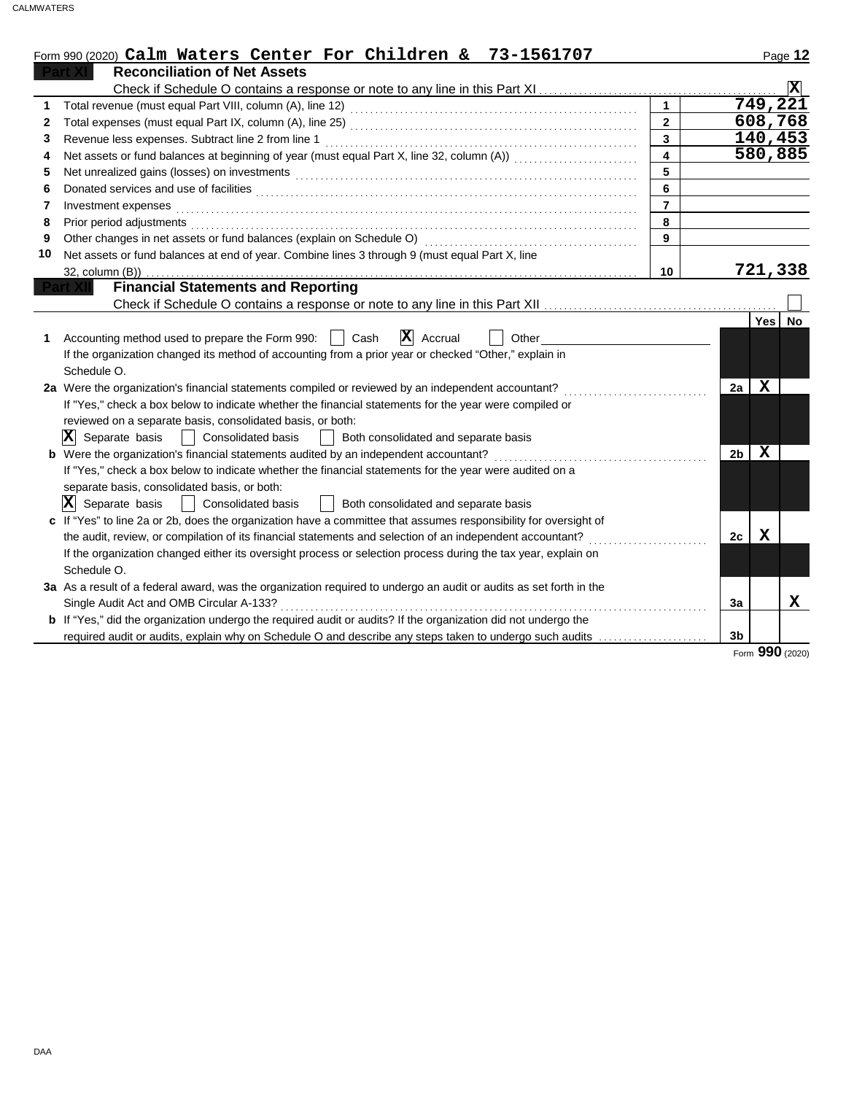|    | Form 990 (2020) Calm Waters Center For Children & 73-1561707                                                                                                                                                                   |                |                |             | Page 12                 |
|----|--------------------------------------------------------------------------------------------------------------------------------------------------------------------------------------------------------------------------------|----------------|----------------|-------------|-------------------------|
|    | <b>Reconciliation of Net Assets</b>                                                                                                                                                                                            |                |                |             |                         |
|    |                                                                                                                                                                                                                                |                |                |             | $\overline{\mathbf{x}}$ |
| 1  |                                                                                                                                                                                                                                |                |                | 749,221     |                         |
| 2  |                                                                                                                                                                                                                                | $\overline{2}$ |                | 608,768     |                         |
| 3  | Revenue less expenses. Subtract line 2 from line 1                                                                                                                                                                             | 3              |                | 140,453     |                         |
| 4  | Net assets or fund balances at beginning of year (must equal Part X, line 32, column (A)) [[[[[[[[[[[[[[[[[[[                                                                                                                  | 4              |                | 580,885     |                         |
| 5  | Net unrealized gains (losses) on investments [1] production in the state of the state of the state of the state of the state of the state of the state of the state of the state of the state of the state of the state of the | 5              |                |             |                         |
| 6  |                                                                                                                                                                                                                                | 6              |                |             |                         |
| 7  | Investment expenses                                                                                                                                                                                                            | $\overline{7}$ |                |             |                         |
| 8  | Prior period adjustments [11, 12] and the contract of the contract of the contract of the contract of the contract of the contract of the contract of the contract of the contract of the contract of the contract of the cont | 8              |                |             |                         |
| 9  | Other changes in net assets or fund balances (explain on Schedule O) [[[[[[[[[[[[[[[[[[[[[]]]]]]]]]]                                                                                                                           | 9              |                |             |                         |
| 10 | Net assets or fund balances at end of year. Combine lines 3 through 9 (must equal Part X, line                                                                                                                                 |                |                |             |                         |
|    | $32$ , column $(B)$ )                                                                                                                                                                                                          | 10             |                | 721,338     |                         |
|    | <b>Financial Statements and Reporting</b>                                                                                                                                                                                      |                |                |             |                         |
|    |                                                                                                                                                                                                                                |                |                |             |                         |
|    |                                                                                                                                                                                                                                |                |                | Yes No      |                         |
| 1  | $ {\bf X} $<br>Accounting method used to prepare the Form 990:<br>Cash<br>Accrual<br>Other                                                                                                                                     |                |                |             |                         |
|    | If the organization changed its method of accounting from a prior year or checked "Other," explain in                                                                                                                          |                |                |             |                         |
|    | Schedule O.                                                                                                                                                                                                                    |                |                |             |                         |
|    | 2a Were the organization's financial statements compiled or reviewed by an independent accountant?                                                                                                                             |                | 2a             | $\mathbf x$ |                         |
|    | If "Yes," check a box below to indicate whether the financial statements for the year were compiled or                                                                                                                         |                |                |             |                         |
|    | reviewed on a separate basis, consolidated basis, or both:                                                                                                                                                                     |                |                |             |                         |
|    | $ \mathbf{X} $ Separate basis<br><b>Consolidated basis</b><br>Both consolidated and separate basis                                                                                                                             |                |                |             |                         |
|    | <b>b</b> Were the organization's financial statements audited by an independent accountant?                                                                                                                                    |                | 2 <sub>b</sub> | $\mathbf x$ |                         |
|    | If "Yes," check a box below to indicate whether the financial statements for the year were audited on a                                                                                                                        |                |                |             |                         |
|    | separate basis, consolidated basis, or both:                                                                                                                                                                                   |                |                |             |                         |
|    | $ \mathbf{X} $ Separate basis<br>Consolidated basis<br>Both consolidated and separate basis                                                                                                                                    |                |                |             |                         |
|    | c If "Yes" to line 2a or 2b, does the organization have a committee that assumes responsibility for oversight of                                                                                                               |                |                |             |                         |
|    | the audit, review, or compilation of its financial statements and selection of an independent accountant?                                                                                                                      |                | 2c             | $\mathbf x$ |                         |
|    | If the organization changed either its oversight process or selection process during the tax year, explain on                                                                                                                  |                |                |             |                         |
|    | Schedule O.                                                                                                                                                                                                                    |                |                |             |                         |
|    | 3a As a result of a federal award, was the organization required to undergo an audit or audits as set forth in the                                                                                                             |                |                |             |                         |
|    | Single Audit Act and OMB Circular A-133?                                                                                                                                                                                       |                | 3a             |             | X                       |
|    | <b>b</b> If "Yes," did the organization undergo the required audit or audits? If the organization did not undergo the                                                                                                          |                |                |             |                         |
|    | required audit or audits, explain why on Schedule O and describe any steps taken to undergo such audits                                                                                                                        |                | 3b             |             |                         |
|    |                                                                                                                                                                                                                                |                |                |             | Form 990 (2020)         |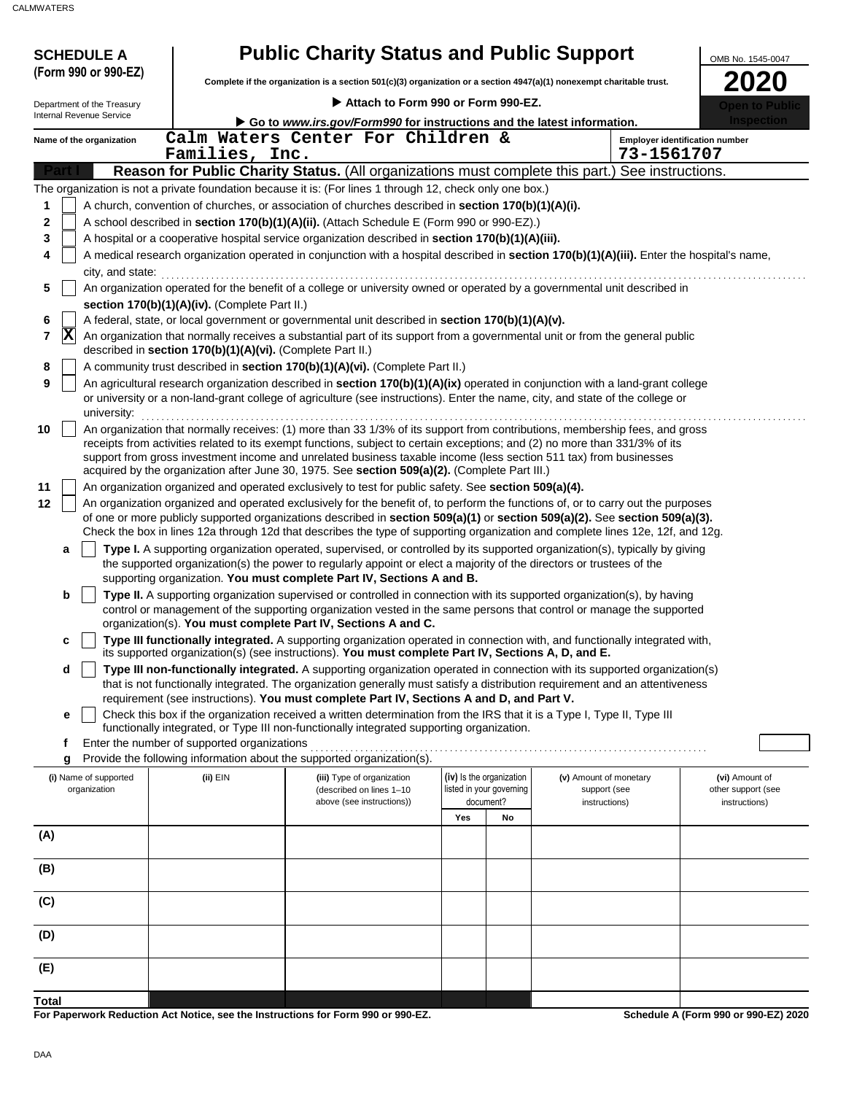| <b>SCHEDULE A</b><br>(Form 990 or 990-EZ)              |                                                            | <b>Public Charity Status and Public Support</b>                                                                                                                                                                     |     |                                       |                                                                                                                                                                                                                                                                 | OMB No. 1545-0047                   |
|--------------------------------------------------------|------------------------------------------------------------|---------------------------------------------------------------------------------------------------------------------------------------------------------------------------------------------------------------------|-----|---------------------------------------|-----------------------------------------------------------------------------------------------------------------------------------------------------------------------------------------------------------------------------------------------------------------|-------------------------------------|
|                                                        |                                                            | Complete if the organization is a section 501(c)(3) organization or a section 4947(a)(1) nonexempt charitable trust.                                                                                                |     |                                       |                                                                                                                                                                                                                                                                 | <b>2020</b>                         |
| Department of the Treasury<br>Internal Revenue Service |                                                            | Attach to Form 990 or Form 990-EZ.                                                                                                                                                                                  |     |                                       |                                                                                                                                                                                                                                                                 |                                     |
|                                                        |                                                            | Go to www.irs.gov/Form990 for instructions and the latest information.                                                                                                                                              |     |                                       |                                                                                                                                                                                                                                                                 |                                     |
| Name of the organization                               |                                                            | Calm Waters Center For Children &                                                                                                                                                                                   |     |                                       | <b>Employer identification number</b>                                                                                                                                                                                                                           |                                     |
|                                                        | Families, Inc.                                             |                                                                                                                                                                                                                     |     |                                       | 73-1561707<br>Reason for Public Charity Status. (All organizations must complete this part.) See instructions.                                                                                                                                                  |                                     |
|                                                        |                                                            | The organization is not a private foundation because it is: (For lines 1 through 12, check only one box.)                                                                                                           |     |                                       |                                                                                                                                                                                                                                                                 |                                     |
| 1                                                      |                                                            | A church, convention of churches, or association of churches described in section 170(b)(1)(A)(i).                                                                                                                  |     |                                       |                                                                                                                                                                                                                                                                 |                                     |
| 2                                                      |                                                            | A school described in section 170(b)(1)(A)(ii). (Attach Schedule E (Form 990 or 990-EZ).)                                                                                                                           |     |                                       |                                                                                                                                                                                                                                                                 |                                     |
| 3                                                      |                                                            | A hospital or a cooperative hospital service organization described in section 170(b)(1)(A)(iii).                                                                                                                   |     |                                       |                                                                                                                                                                                                                                                                 |                                     |
| 4                                                      |                                                            |                                                                                                                                                                                                                     |     |                                       | A medical research organization operated in conjunction with a hospital described in section 170(b)(1)(A)(iii). Enter the hospital's name,                                                                                                                      |                                     |
| city, and state:                                       |                                                            |                                                                                                                                                                                                                     |     |                                       |                                                                                                                                                                                                                                                                 |                                     |
| 5                                                      |                                                            |                                                                                                                                                                                                                     |     |                                       | An organization operated for the benefit of a college or university owned or operated by a governmental unit described in                                                                                                                                       |                                     |
|                                                        | section 170(b)(1)(A)(iv). (Complete Part II.)              |                                                                                                                                                                                                                     |     |                                       |                                                                                                                                                                                                                                                                 |                                     |
| 6                                                      |                                                            | A federal, state, or local government or governmental unit described in section 170(b)(1)(A)(v).                                                                                                                    |     |                                       |                                                                                                                                                                                                                                                                 |                                     |
| $ \mathbf{X} $<br>$\overline{7}$                       |                                                            |                                                                                                                                                                                                                     |     |                                       | An organization that normally receives a substantial part of its support from a governmental unit or from the general public                                                                                                                                    |                                     |
|                                                        | described in section 170(b)(1)(A)(vi). (Complete Part II.) |                                                                                                                                                                                                                     |     |                                       |                                                                                                                                                                                                                                                                 |                                     |
| 8<br>9                                                 |                                                            | A community trust described in section 170(b)(1)(A)(vi). (Complete Part II.)                                                                                                                                        |     |                                       |                                                                                                                                                                                                                                                                 |                                     |
|                                                        |                                                            |                                                                                                                                                                                                                     |     |                                       | An agricultural research organization described in section 170(b)(1)(A)(ix) operated in conjunction with a land-grant college<br>or university or a non-land-grant college of agriculture (see instructions). Enter the name, city, and state of the college or |                                     |
| university:                                            |                                                            |                                                                                                                                                                                                                     |     |                                       |                                                                                                                                                                                                                                                                 |                                     |
| 10                                                     |                                                            |                                                                                                                                                                                                                     |     |                                       | An organization that normally receives: (1) more than 33 1/3% of its support from contributions, membership fees, and gross                                                                                                                                     |                                     |
|                                                        |                                                            |                                                                                                                                                                                                                     |     |                                       | receipts from activities related to its exempt functions, subject to certain exceptions; and (2) no more than 331/3% of its                                                                                                                                     |                                     |
|                                                        |                                                            | support from gross investment income and unrelated business taxable income (less section 511 tax) from businesses                                                                                                   |     |                                       |                                                                                                                                                                                                                                                                 |                                     |
| 11                                                     |                                                            | acquired by the organization after June 30, 1975. See section 509(a)(2). (Complete Part III.)                                                                                                                       |     |                                       |                                                                                                                                                                                                                                                                 |                                     |
| 12                                                     |                                                            | An organization organized and operated exclusively to test for public safety. See section 509(a)(4).                                                                                                                |     |                                       | An organization organized and operated exclusively for the benefit of, to perform the functions of, or to carry out the purposes                                                                                                                                |                                     |
|                                                        |                                                            |                                                                                                                                                                                                                     |     |                                       | of one or more publicly supported organizations described in section 509(a)(1) or section 509(a)(2). See section 509(a)(3).                                                                                                                                     |                                     |
|                                                        |                                                            |                                                                                                                                                                                                                     |     |                                       | Check the box in lines 12a through 12d that describes the type of supporting organization and complete lines 12e, 12f, and 12g.                                                                                                                                 |                                     |
| a                                                      |                                                            |                                                                                                                                                                                                                     |     |                                       | Type I. A supporting organization operated, supervised, or controlled by its supported organization(s), typically by giving                                                                                                                                     |                                     |
|                                                        |                                                            | the supported organization(s) the power to regularly appoint or elect a majority of the directors or trustees of the                                                                                                |     |                                       |                                                                                                                                                                                                                                                                 |                                     |
|                                                        |                                                            | supporting organization. You must complete Part IV, Sections A and B.                                                                                                                                               |     |                                       |                                                                                                                                                                                                                                                                 |                                     |
| b                                                      |                                                            |                                                                                                                                                                                                                     |     |                                       | Type II. A supporting organization supervised or controlled in connection with its supported organization(s), by having                                                                                                                                         |                                     |
|                                                        |                                                            | organization(s). You must complete Part IV, Sections A and C.                                                                                                                                                       |     |                                       | control or management of the supporting organization vested in the same persons that control or manage the supported                                                                                                                                            |                                     |
| с                                                      |                                                            |                                                                                                                                                                                                                     |     |                                       | Type III functionally integrated. A supporting organization operated in connection with, and functionally integrated with,                                                                                                                                      |                                     |
|                                                        |                                                            | its supported organization(s) (see instructions). You must complete Part IV, Sections A, D, and E.                                                                                                                  |     |                                       |                                                                                                                                                                                                                                                                 |                                     |
| d                                                      |                                                            |                                                                                                                                                                                                                     |     |                                       | Type III non-functionally integrated. A supporting organization operated in connection with its supported organization(s)                                                                                                                                       |                                     |
|                                                        |                                                            |                                                                                                                                                                                                                     |     |                                       | that is not functionally integrated. The organization generally must satisfy a distribution requirement and an attentiveness                                                                                                                                    |                                     |
|                                                        |                                                            | requirement (see instructions). You must complete Part IV, Sections A and D, and Part V.<br>Check this box if the organization received a written determination from the IRS that it is a Type I, Type II, Type III |     |                                       |                                                                                                                                                                                                                                                                 |                                     |
| е                                                      |                                                            | functionally integrated, or Type III non-functionally integrated supporting organization.                                                                                                                           |     |                                       |                                                                                                                                                                                                                                                                 |                                     |
| f                                                      | Enter the number of supported organizations                |                                                                                                                                                                                                                     |     |                                       |                                                                                                                                                                                                                                                                 |                                     |
| g                                                      |                                                            | Provide the following information about the supported organization(s).                                                                                                                                              |     |                                       |                                                                                                                                                                                                                                                                 |                                     |
| (i) Name of supported                                  | (ii) EIN                                                   | (iii) Type of organization                                                                                                                                                                                          |     | (iv) Is the organization              | (v) Amount of monetary                                                                                                                                                                                                                                          | (vi) Amount of                      |
| organization                                           |                                                            | (described on lines 1-10<br>above (see instructions))                                                                                                                                                               |     | listed in your governing<br>document? | support (see<br>instructions)                                                                                                                                                                                                                                   | other support (see<br>instructions) |
|                                                        |                                                            |                                                                                                                                                                                                                     | Yes | No                                    |                                                                                                                                                                                                                                                                 |                                     |
| (A)                                                    |                                                            |                                                                                                                                                                                                                     |     |                                       |                                                                                                                                                                                                                                                                 |                                     |
|                                                        |                                                            |                                                                                                                                                                                                                     |     |                                       |                                                                                                                                                                                                                                                                 |                                     |
| (B)                                                    |                                                            |                                                                                                                                                                                                                     |     |                                       |                                                                                                                                                                                                                                                                 |                                     |
|                                                        |                                                            |                                                                                                                                                                                                                     |     |                                       |                                                                                                                                                                                                                                                                 |                                     |
| (C)                                                    |                                                            |                                                                                                                                                                                                                     |     |                                       |                                                                                                                                                                                                                                                                 |                                     |
|                                                        |                                                            |                                                                                                                                                                                                                     |     |                                       |                                                                                                                                                                                                                                                                 |                                     |
| (D)                                                    |                                                            |                                                                                                                                                                                                                     |     |                                       |                                                                                                                                                                                                                                                                 |                                     |
|                                                        |                                                            |                                                                                                                                                                                                                     |     |                                       |                                                                                                                                                                                                                                                                 |                                     |
|                                                        |                                                            |                                                                                                                                                                                                                     |     |                                       |                                                                                                                                                                                                                                                                 |                                     |
| (E)                                                    |                                                            |                                                                                                                                                                                                                     |     |                                       |                                                                                                                                                                                                                                                                 |                                     |

**For Paperwork Reduction Act Notice, see the Instructions for Form 990 or 990-EZ.**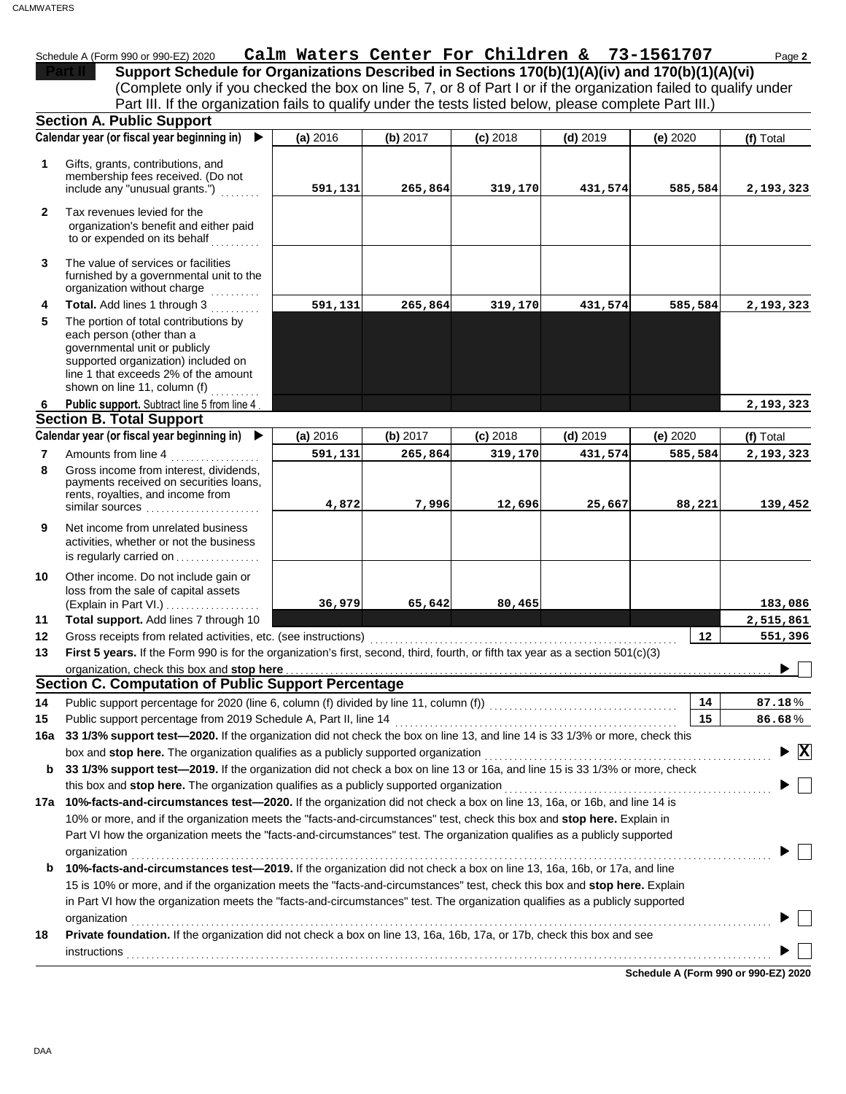| Schedule A (Form 990 or 990-EZ) 2020 |  |  |  | Calm Waters Center For Children & 73-1561707                                                   | Page 2 |
|--------------------------------------|--|--|--|------------------------------------------------------------------------------------------------|--------|
|                                      |  |  |  | Support Schedule for Organizations Described in Sections 170(b)(1)(A)(iv) and 170(b)(1)(A)(vi) |        |

|              | Support Schedule for Organizations Described in Sections 170(b)(1)(A)(iv) and 170(b)(1)(A)(vi)<br>(Complete only if you checked the box on line 5, 7, or 8 of Part I or if the organization failed to qualify under                                                                                                                                                                                                 |          |          |            |            |          |                          |
|--------------|---------------------------------------------------------------------------------------------------------------------------------------------------------------------------------------------------------------------------------------------------------------------------------------------------------------------------------------------------------------------------------------------------------------------|----------|----------|------------|------------|----------|--------------------------|
|              | Part III. If the organization fails to qualify under the tests listed below, please complete Part III.)                                                                                                                                                                                                                                                                                                             |          |          |            |            |          |                          |
|              | <b>Section A. Public Support</b>                                                                                                                                                                                                                                                                                                                                                                                    |          |          |            |            |          |                          |
|              | Calendar year (or fiscal year beginning in)<br>▶                                                                                                                                                                                                                                                                                                                                                                    | (a) 2016 | (b) 2017 | $(c)$ 2018 | $(d)$ 2019 | (e) 2020 | (f) Total                |
| 1            | Gifts, grants, contributions, and<br>membership fees received. (Do not<br>include any "unusual grants.")                                                                                                                                                                                                                                                                                                            | 591,131  | 265,864  | 319,170    | 431,574    | 585,584  | 2,193,323                |
| $\mathbf{2}$ | Tax revenues levied for the<br>organization's benefit and either paid<br>to or expended on its behalf                                                                                                                                                                                                                                                                                                               |          |          |            |            |          |                          |
| 3            | The value of services or facilities<br>furnished by a governmental unit to the<br>organization without charge<br>.                                                                                                                                                                                                                                                                                                  |          |          |            |            |          |                          |
| 4            | Total. Add lines 1 through 3                                                                                                                                                                                                                                                                                                                                                                                        | 591,131  | 265,864  | 319,170    | 431,574    | 585,584  | 2,193,323                |
| 5            | The portion of total contributions by<br>each person (other than a<br>governmental unit or publicly<br>supported organization) included on<br>line 1 that exceeds 2% of the amount<br>shown on line 11, column (f)<br>Public support. Subtract line 5 from line 4                                                                                                                                                   |          |          |            |            |          |                          |
| 6            | <b>Section B. Total Support</b>                                                                                                                                                                                                                                                                                                                                                                                     |          |          |            |            |          | 2,193,323                |
|              | Calendar year (or fiscal year beginning in)<br>▶                                                                                                                                                                                                                                                                                                                                                                    | (a) 2016 | (b) 2017 | $(c)$ 2018 | $(d)$ 2019 | (e) 2020 | (f) Total                |
| 7            | Amounts from line 4                                                                                                                                                                                                                                                                                                                                                                                                 | 591,131  | 265,864  | 319,170    | 431,574    | 585,584  | 2,193,323                |
| 8            | Gross income from interest, dividends,<br>payments received on securities loans,<br>rents, royalties, and income from<br>similar sources and the state of the state of the state of the state of the state of the state of the state of the state of the state of the state of the state of the state of the state of the state of the state of the sta                                                             | 4,872    | 7,996    | 12,696     | 25,667     | 88,221   | 139,452                  |
| 9            | Net income from unrelated business<br>activities, whether or not the business<br>is regularly carried on                                                                                                                                                                                                                                                                                                            |          |          |            |            |          |                          |
| 10           | Other income. Do not include gain or<br>loss from the sale of capital assets<br>(Explain in Part VI.)                                                                                                                                                                                                                                                                                                               | 36,979   | 65,642   | 80,465     |            |          | 183,086                  |
| 11           | Total support. Add lines 7 through 10                                                                                                                                                                                                                                                                                                                                                                               |          |          |            |            |          | 2,515,861                |
| 12           |                                                                                                                                                                                                                                                                                                                                                                                                                     |          |          |            |            | 12       | 551,396                  |
| 13           | First 5 years. If the Form 990 is for the organization's first, second, third, fourth, or fifth tax year as a section 501(c)(3)                                                                                                                                                                                                                                                                                     |          |          |            |            |          |                          |
|              | organization, check this box and stop here                                                                                                                                                                                                                                                                                                                                                                          |          |          |            |            |          |                          |
|              | <b>Section C. Computation of Public Support Percentage</b>                                                                                                                                                                                                                                                                                                                                                          |          |          |            |            |          |                          |
| 14           | Public support percentage for 2020 (line 6, column (f) divided by line 11, column (f)) [[[[[[[[[[[[[[[[[[[[[[                                                                                                                                                                                                                                                                                                       |          |          |            |            | 14       | 87.18%                   |
| 15           | Public support percentage from 2019 Schedule A, Part II, line 14                                                                                                                                                                                                                                                                                                                                                    |          |          |            |            | 15       | 86.68%                   |
| 16a          | 33 1/3% support test-2020. If the organization did not check the box on line 13, and line 14 is 33 1/3% or more, check this                                                                                                                                                                                                                                                                                         |          |          |            |            |          |                          |
|              | box and stop here. The organization qualifies as a publicly supported organization                                                                                                                                                                                                                                                                                                                                  |          |          |            |            |          | $\vert \mathbf{x} \vert$ |
| b            | 33 1/3% support test-2019. If the organization did not check a box on line 13 or 16a, and line 15 is 33 1/3% or more, check                                                                                                                                                                                                                                                                                         |          |          |            |            |          |                          |
|              | this box and stop here. The organization qualifies as a publicly supported organization                                                                                                                                                                                                                                                                                                                             |          |          |            |            |          |                          |
|              | 17a 10%-facts-and-circumstances test-2020. If the organization did not check a box on line 13, 16a, or 16b, and line 14 is<br>10% or more, and if the organization meets the "facts-and-circumstances" test, check this box and stop here. Explain in<br>Part VI how the organization meets the "facts-and-circumstances" test. The organization qualifies as a publicly supported                                  |          |          |            |            |          |                          |
| b            | organization<br>10%-facts-and-circumstances test-2019. If the organization did not check a box on line 13, 16a, 16b, or 17a, and line<br>15 is 10% or more, and if the organization meets the "facts-and-circumstances" test, check this box and stop here. Explain<br>in Part VI how the organization meets the "facts-and-circumstances" test. The organization qualifies as a publicly supported<br>organization |          |          |            |            |          |                          |
| 18           | Private foundation. If the organization did not check a box on line 13, 16a, 16b, 17a, or 17b, check this box and see                                                                                                                                                                                                                                                                                               |          |          |            |            |          |                          |
|              | instructions                                                                                                                                                                                                                                                                                                                                                                                                        |          |          |            |            |          |                          |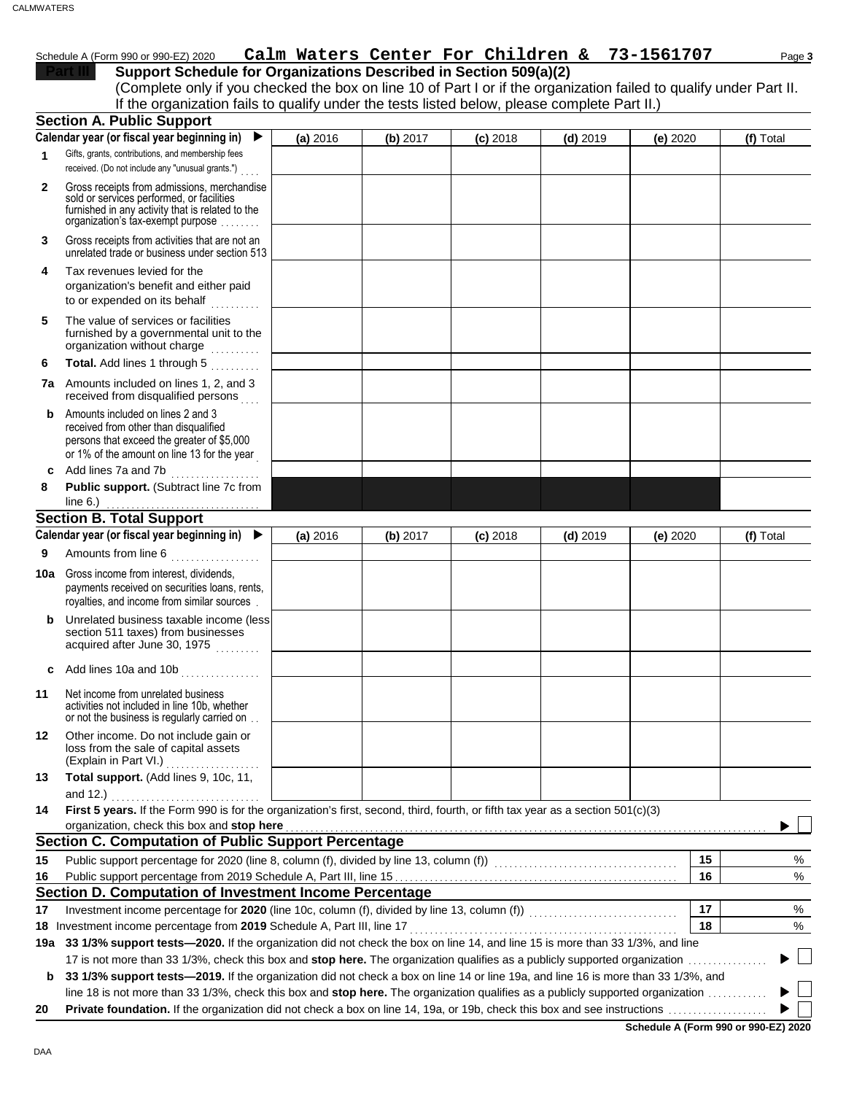|     | Schedule A (Form 990 or 990-EZ) 2020                                                                                              |          |          | Calm Waters Center For Children & |            | 73-1561707 |    | Page 3    |
|-----|-----------------------------------------------------------------------------------------------------------------------------------|----------|----------|-----------------------------------|------------|------------|----|-----------|
|     | Support Schedule for Organizations Described in Section 509(a)(2)                                                                 |          |          |                                   |            |            |    |           |
|     | (Complete only if you checked the box on line 10 of Part I or if the organization failed to qualify under Part II.                |          |          |                                   |            |            |    |           |
|     | If the organization fails to qualify under the tests listed below, please complete Part II.)                                      |          |          |                                   |            |            |    |           |
|     | <b>Section A. Public Support</b>                                                                                                  |          |          |                                   |            |            |    |           |
|     | Calendar year (or fiscal year beginning in)<br>$\blacktriangleright$                                                              | (a) 2016 | (b) 2017 | $(c)$ 2018                        | $(d)$ 2019 | (e) 2020   |    | (f) Total |
| 1.  | Gifts, grants, contributions, and membership fees                                                                                 |          |          |                                   |            |            |    |           |
|     | received. (Do not include any "unusual grants.")                                                                                  |          |          |                                   |            |            |    |           |
| 2   | Gross receipts from admissions, merchandise                                                                                       |          |          |                                   |            |            |    |           |
|     | sold or services performed, or facilities                                                                                         |          |          |                                   |            |            |    |           |
|     | furnished in any activity that is related to the<br>organization's tax-exempt purpose                                             |          |          |                                   |            |            |    |           |
|     |                                                                                                                                   |          |          |                                   |            |            |    |           |
| 3   | Gross receipts from activities that are not an<br>unrelated trade or business under section 513                                   |          |          |                                   |            |            |    |           |
|     |                                                                                                                                   |          |          |                                   |            |            |    |           |
| 4   | Tax revenues levied for the                                                                                                       |          |          |                                   |            |            |    |           |
|     | organization's benefit and either paid                                                                                            |          |          |                                   |            |            |    |           |
|     | to or expended on its behalf                                                                                                      |          |          |                                   |            |            |    |           |
| 5   | The value of services or facilities                                                                                               |          |          |                                   |            |            |    |           |
|     | furnished by a governmental unit to the<br>organization without charge                                                            |          |          |                                   |            |            |    |           |
|     | Total. Add lines 1 through 5                                                                                                      |          |          |                                   |            |            |    |           |
| 6   |                                                                                                                                   |          |          |                                   |            |            |    |           |
|     | 7a Amounts included on lines 1, 2, and 3                                                                                          |          |          |                                   |            |            |    |           |
|     | received from disqualified persons                                                                                                |          |          |                                   |            |            |    |           |
| b   | Amounts included on lines 2 and 3                                                                                                 |          |          |                                   |            |            |    |           |
|     | received from other than disqualified<br>persons that exceed the greater of \$5,000                                               |          |          |                                   |            |            |    |           |
|     | or 1% of the amount on line 13 for the year                                                                                       |          |          |                                   |            |            |    |           |
| c   | Add lines 7a and 7b                                                                                                               |          |          |                                   |            |            |    |           |
| 8   | Public support. (Subtract line 7c from                                                                                            |          |          |                                   |            |            |    |           |
|     | line $6.$ )                                                                                                                       |          |          |                                   |            |            |    |           |
|     | <b>Section B. Total Support</b>                                                                                                   |          |          |                                   |            |            |    |           |
|     | Calendar year (or fiscal year beginning in)                                                                                       | (a) 2016 | (b) 2017 | $(c)$ 2018                        | $(d)$ 2019 | (e) 2020   |    | (f) Total |
| 9   | Amounts from line 6                                                                                                               |          |          |                                   |            |            |    |           |
|     | .                                                                                                                                 |          |          |                                   |            |            |    |           |
| 10a | Gross income from interest, dividends,                                                                                            |          |          |                                   |            |            |    |           |
|     | payments received on securities loans, rents,<br>royalties, and income from similar sources.                                      |          |          |                                   |            |            |    |           |
|     |                                                                                                                                   |          |          |                                   |            |            |    |           |
| b   | Unrelated business taxable income (less<br>section 511 taxes) from businesses                                                     |          |          |                                   |            |            |    |           |
|     | acquired after June 30, 1975                                                                                                      |          |          |                                   |            |            |    |           |
|     |                                                                                                                                   |          |          |                                   |            |            |    |           |
|     |                                                                                                                                   |          |          |                                   |            |            |    |           |
| 11  | Net income from unrelated business                                                                                                |          |          |                                   |            |            |    |           |
|     | activities not included in line 10b, whether                                                                                      |          |          |                                   |            |            |    |           |
|     | or not the business is regularly carried on                                                                                       |          |          |                                   |            |            |    |           |
| 12  | Other income. Do not include gain or                                                                                              |          |          |                                   |            |            |    |           |
|     | loss from the sale of capital assets                                                                                              |          |          |                                   |            |            |    |           |
|     | (Explain in Part VI.)<br>.                                                                                                        |          |          |                                   |            |            |    |           |
| 13  | Total support. (Add lines 9, 10c, 11,                                                                                             |          |          |                                   |            |            |    |           |
|     | and 12.)                                                                                                                          |          |          |                                   |            |            |    |           |
| 14  | First 5 years. If the Form 990 is for the organization's first, second, third, fourth, or fifth tax year as a section 501(c)(3)   |          |          |                                   |            |            |    |           |
|     | organization, check this box and stop here                                                                                        |          |          |                                   |            |            |    |           |
|     | <b>Section C. Computation of Public Support Percentage</b>                                                                        |          |          |                                   |            |            |    |           |
| 15  |                                                                                                                                   |          |          |                                   |            |            | 15 | %         |
| 16  |                                                                                                                                   |          |          |                                   |            |            | 16 | %         |
|     | Section D. Computation of Investment Income Percentage                                                                            |          |          |                                   |            |            |    |           |
| 17  |                                                                                                                                   |          |          |                                   |            |            | 17 | %         |
|     | 18 Investment income percentage from 2019 Schedule A, Part III, line 17                                                           |          |          |                                   |            |            | 18 | %         |
|     | 19a 33 1/3% support tests-2020. If the organization did not check the box on line 14, and line 15 is more than 33 1/3%, and line  |          |          |                                   |            |            |    |           |
|     | 17 is not more than 33 1/3%, check this box and stop here. The organization qualifies as a publicly supported organization.       |          |          |                                   |            |            |    |           |
| b   | 33 1/3% support tests-2019. If the organization did not check a box on line 14 or line 19a, and line 16 is more than 33 1/3%, and |          |          |                                   |            |            |    |           |
|     | line 18 is not more than 33 1/3%, check this box and stop here. The organization qualifies as a publicly supported organization   |          |          |                                   |            |            |    |           |
| 20  |                                                                                                                                   |          |          |                                   |            |            |    |           |

| Schedule A (Form 990 or 990-EZ) 2020 |  |  |
|--------------------------------------|--|--|
|                                      |  |  |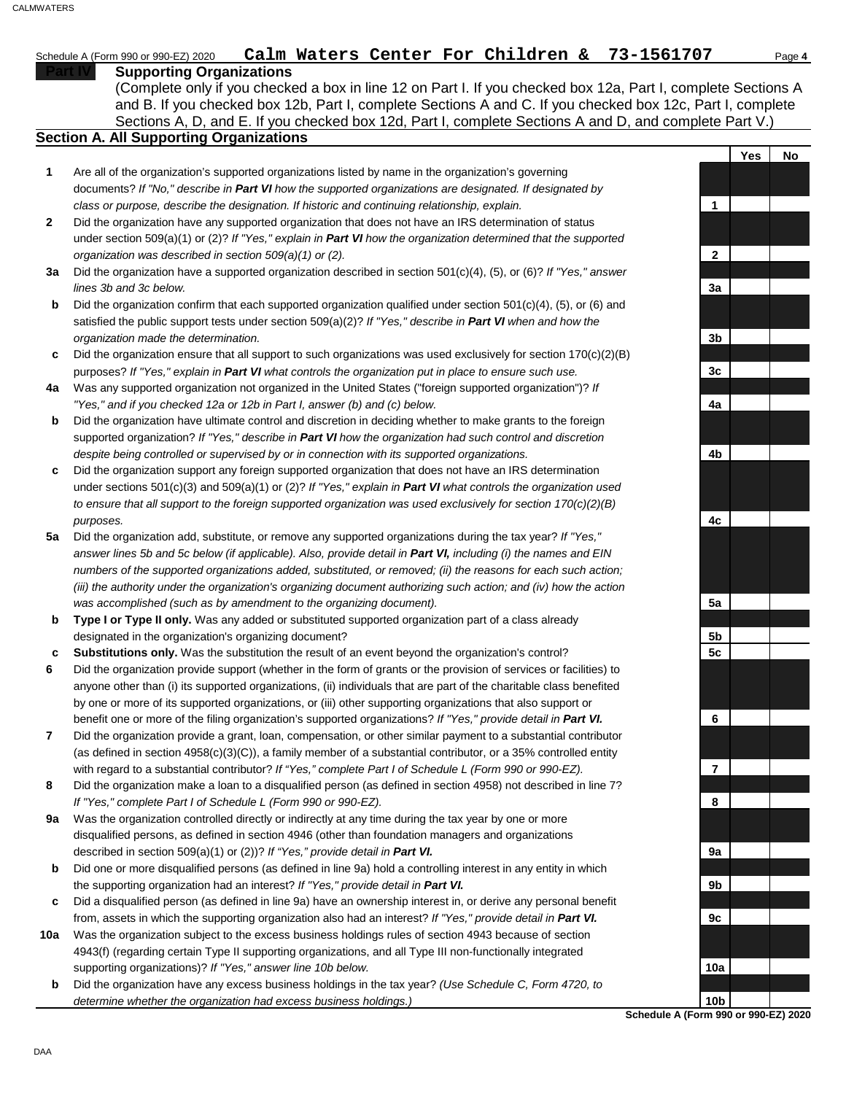### Schedule A <u>(Form 990 or 990-EZ) 2020 **Calm Waters Center For Children & 73-1561707** Page 4</u>

#### **Supporting Organizations**

Sections A, D, and E. If you checked box 12d, Part I, complete Sections A and D, and complete Part V.) (Complete only if you checked a box in line 12 on Part I. If you checked box 12a, Part I, complete Sections A and B. If you checked box 12b, Part I, complete Sections A and C. If you checked box 12c, Part I, complete

#### **Section A. All Supporting Organizations**

- Are all of the organization's supported organizations listed by name in the organization's governing documents? *If "No," describe in Part VI how the supported organizations are designated. If designated by class or purpose, describe the designation. If historic and continuing relationship, explain.* **1**
- Did the organization have any supported organization that does not have an IRS determination of status under section 509(a)(1) or (2)? *If "Yes," explain in Part VI how the organization determined that the supported organization was described in section 509(a)(1) or (2).* **2**
- **3a** Did the organization have a supported organization described in section 501(c)(4), (5), or (6)? *If "Yes," answer lines 3b and 3c below.*
- **b** Did the organization confirm that each supported organization qualified under section  $501(c)(4)$ ,  $(5)$ , or  $(6)$  and satisfied the public support tests under section 509(a)(2)? *If "Yes," describe in Part VI when and how the organization made the determination.*
- **c** Did the organization ensure that all support to such organizations was used exclusively for section 170(c)(2)(B) purposes? *If "Yes," explain in Part VI what controls the organization put in place to ensure such use.*
- **4a** Was any supported organization not organized in the United States ("foreign supported organization")? *If "Yes," and if you checked 12a or 12b in Part I, answer (b) and (c) below.*
- **b** Did the organization have ultimate control and discretion in deciding whether to make grants to the foreign supported organization? *If "Yes," describe in Part VI how the organization had such control and discretion despite being controlled or supervised by or in connection with its supported organizations.*
- **c** Did the organization support any foreign supported organization that does not have an IRS determination under sections 501(c)(3) and 509(a)(1) or (2)? *If "Yes," explain in Part VI what controls the organization used to ensure that all support to the foreign supported organization was used exclusively for section 170(c)(2)(B) purposes.*
- **5a** Did the organization add, substitute, or remove any supported organizations during the tax year? *If "Yes," answer lines 5b and 5c below (if applicable). Also, provide detail in Part VI, including (i) the names and EIN numbers of the supported organizations added, substituted, or removed; (ii) the reasons for each such action; (iii) the authority under the organization's organizing document authorizing such action; and (iv) how the action was accomplished (such as by amendment to the organizing document).*
- **b Type I or Type II only.** Was any added or substituted supported organization part of a class already designated in the organization's organizing document?
- **c Substitutions only.** Was the substitution the result of an event beyond the organization's control?
- **6** Did the organization provide support (whether in the form of grants or the provision of services or facilities) to anyone other than (i) its supported organizations, (ii) individuals that are part of the charitable class benefited by one or more of its supported organizations, or (iii) other supporting organizations that also support or benefit one or more of the filing organization's supported organizations? *If "Yes," provide detail in Part VI.*
- **7** Did the organization provide a grant, loan, compensation, or other similar payment to a substantial contributor (as defined in section 4958(c)(3)(C)), a family member of a substantial contributor, or a 35% controlled entity with regard to a substantial contributor? *If "Yes," complete Part I of Schedule L (Form 990 or 990-EZ).*
- **8** Did the organization make a loan to a disqualified person (as defined in section 4958) not described in line 7? *If "Yes," complete Part I of Schedule L (Form 990 or 990-EZ).*
- **9a** Was the organization controlled directly or indirectly at any time during the tax year by one or more disqualified persons, as defined in section 4946 (other than foundation managers and organizations described in section 509(a)(1) or (2))? *If "Yes," provide detail in Part VI.*
- **b** Did one or more disqualified persons (as defined in line 9a) hold a controlling interest in any entity in which the supporting organization had an interest? *If "Yes," provide detail in Part VI.*
- **c** Did a disqualified person (as defined in line 9a) have an ownership interest in, or derive any personal benefit from, assets in which the supporting organization also had an interest? *If "Yes," provide detail in Part VI.*
- **10a** Was the organization subject to the excess business holdings rules of section 4943 because of section 4943(f) (regarding certain Type II supporting organizations, and all Type III non-functionally integrated supporting organizations)? *If "Yes," answer line 10b below.*
- **b** Did the organization have any excess business holdings in the tax year? *(Use Schedule C, Form 4720, to determine whether the organization had excess business holdings.)*



**Schedule A (Form 990 or 990-EZ) 2020**

**Yes No**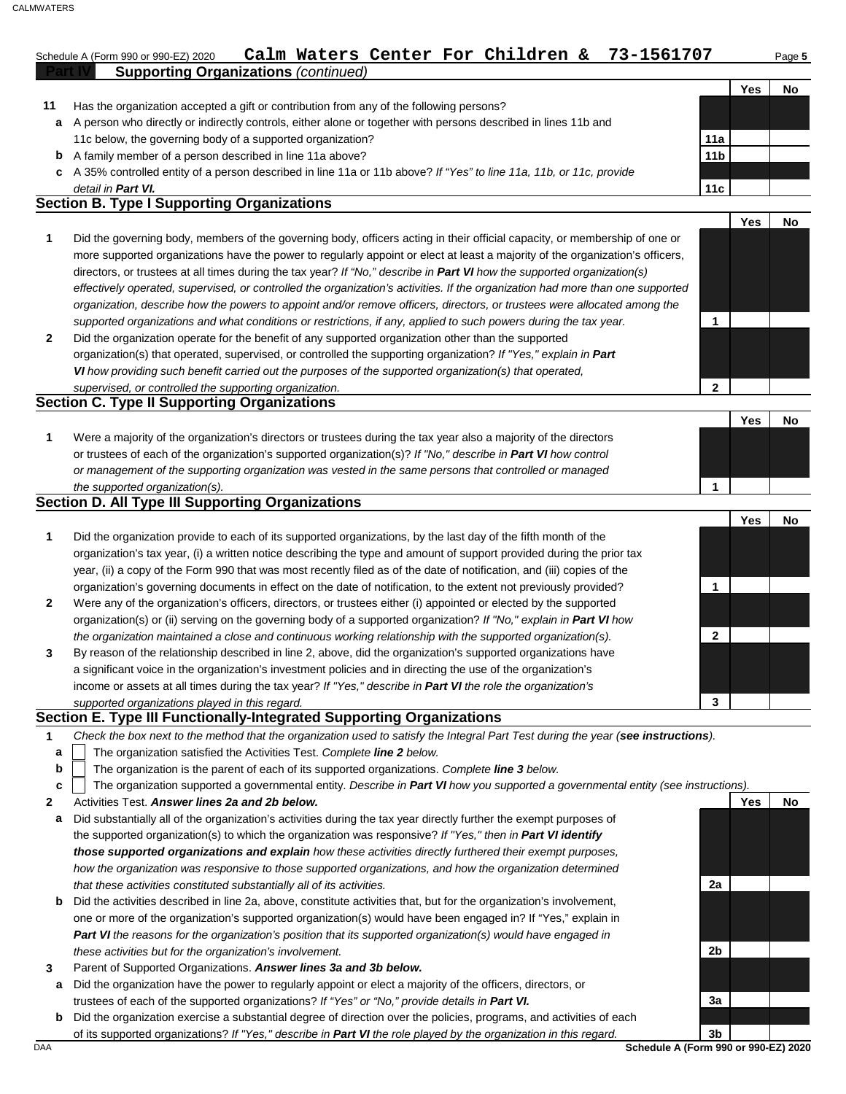# Schedule A <u>(Form 990 or 990-EZ) 2020 **Calm Waters Center For Children & 73-1561707** Page 5</u>

|    | <b>Supporting Organizations (continued)</b>                                                                                                                                                                                  |                 |            |    |
|----|------------------------------------------------------------------------------------------------------------------------------------------------------------------------------------------------------------------------------|-----------------|------------|----|
|    |                                                                                                                                                                                                                              |                 | Yes        | No |
| 11 | Has the organization accepted a gift or contribution from any of the following persons?                                                                                                                                      |                 |            |    |
| a  | A person who directly or indirectly controls, either alone or together with persons described in lines 11b and                                                                                                               |                 |            |    |
|    | 11c below, the governing body of a supported organization?                                                                                                                                                                   | 11a             |            |    |
| b  | A family member of a person described in line 11a above?                                                                                                                                                                     | 11 <sub>b</sub> |            |    |
| c  | A 35% controlled entity of a person described in line 11a or 11b above? If "Yes" to line 11a, 11b, or 11c, provide                                                                                                           |                 |            |    |
|    | detail in Part VI.                                                                                                                                                                                                           | 11c             |            |    |
|    | <b>Section B. Type I Supporting Organizations</b>                                                                                                                                                                            |                 |            |    |
|    |                                                                                                                                                                                                                              |                 | <b>Yes</b> | No |
| 1  | Did the governing body, members of the governing body, officers acting in their official capacity, or membership of one or                                                                                                   |                 |            |    |
|    | more supported organizations have the power to regularly appoint or elect at least a majority of the organization's officers,                                                                                                |                 |            |    |
|    | directors, or trustees at all times during the tax year? If "No," describe in <b>Part VI</b> how the supported organization(s)                                                                                               |                 |            |    |
|    | effectively operated, supervised, or controlled the organization's activities. If the organization had more than one supported                                                                                               |                 |            |    |
|    | organization, describe how the powers to appoint and/or remove officers, directors, or trustees were allocated among the                                                                                                     |                 |            |    |
|    | supported organizations and what conditions or restrictions, if any, applied to such powers during the tax year.                                                                                                             | $\mathbf{1}$    |            |    |
| 2  | Did the organization operate for the benefit of any supported organization other than the supported                                                                                                                          |                 |            |    |
|    | organization(s) that operated, supervised, or controlled the supporting organization? If "Yes," explain in Part                                                                                                              |                 |            |    |
|    | VI how providing such benefit carried out the purposes of the supported organization(s) that operated,                                                                                                                       |                 |            |    |
|    | supervised, or controlled the supporting organization.                                                                                                                                                                       | $\mathbf{2}$    |            |    |
|    | <b>Section C. Type II Supporting Organizations</b>                                                                                                                                                                           |                 |            |    |
|    |                                                                                                                                                                                                                              |                 | Yes        | No |
| 1  | Were a majority of the organization's directors or trustees during the tax year also a majority of the directors                                                                                                             |                 |            |    |
|    | or trustees of each of the organization's supported organization(s)? If "No," describe in Part VI how control                                                                                                                |                 |            |    |
|    | or management of the supporting organization was vested in the same persons that controlled or managed                                                                                                                       |                 |            |    |
|    | the supported organization(s).                                                                                                                                                                                               | 1               |            |    |
|    | <b>Section D. All Type III Supporting Organizations</b>                                                                                                                                                                      |                 |            |    |
|    |                                                                                                                                                                                                                              |                 | Yes        | No |
| 1  | Did the organization provide to each of its supported organizations, by the last day of the fifth month of the                                                                                                               |                 |            |    |
|    | organization's tax year, (i) a written notice describing the type and amount of support provided during the prior tax                                                                                                        |                 |            |    |
|    | year, (ii) a copy of the Form 990 that was most recently filed as of the date of notification, and (iii) copies of the                                                                                                       |                 |            |    |
|    | organization's governing documents in effect on the date of notification, to the extent not previously provided?                                                                                                             | 1               |            |    |
| 2  | Were any of the organization's officers, directors, or trustees either (i) appointed or elected by the supported                                                                                                             |                 |            |    |
|    | organization(s) or (ii) serving on the governing body of a supported organization? If "No," explain in Part VI how                                                                                                           |                 |            |    |
|    | the organization maintained a close and continuous working relationship with the supported organization(s).                                                                                                                  | $\mathbf{2}$    |            |    |
| 3  | By reason of the relationship described in line 2, above, did the organization's supported organizations have                                                                                                                |                 |            |    |
|    | a significant voice in the organization's investment policies and in directing the use of the organization's                                                                                                                 |                 |            |    |
|    | income or assets at all times during the tax year? If "Yes," describe in Part VI the role the organization's                                                                                                                 |                 |            |    |
|    | supported organizations played in this regard.<br>Section E. Type III Functionally-Integrated Supporting Organizations                                                                                                       | 3               |            |    |
|    | Check the box next to the method that the organization used to satisfy the Integral Part Test during the year (see instructions).                                                                                            |                 |            |    |
| 1  |                                                                                                                                                                                                                              |                 |            |    |
|    |                                                                                                                                                                                                                              |                 |            |    |
| a  | The organization satisfied the Activities Test. Complete line 2 below.                                                                                                                                                       |                 |            |    |
| b  | The organization is the parent of each of its supported organizations. Complete line 3 below.                                                                                                                                |                 |            |    |
| c  | The organization supported a governmental entity. Describe in Part VI how you supported a governmental entity (see instructions).                                                                                            |                 |            |    |
| 2  | Activities Test. Answer lines 2a and 2b below.                                                                                                                                                                               |                 | Yes        | No |
| а  | Did substantially all of the organization's activities during the tax year directly further the exempt purposes of                                                                                                           |                 |            |    |
|    | the supported organization(s) to which the organization was responsive? If "Yes," then in Part VI identify                                                                                                                   |                 |            |    |
|    | those supported organizations and explain how these activities directly furthered their exempt purposes,                                                                                                                     |                 |            |    |
|    | how the organization was responsive to those supported organizations, and how the organization determined                                                                                                                    |                 |            |    |
|    | that these activities constituted substantially all of its activities.                                                                                                                                                       | 2a              |            |    |
| b  | Did the activities described in line 2a, above, constitute activities that, but for the organization's involvement,                                                                                                          |                 |            |    |
|    | one or more of the organization's supported organization(s) would have been engaged in? If "Yes," explain in<br>Part VI the reasons for the organization's position that its supported organization(s) would have engaged in |                 |            |    |

- **3** Parent of Supported Organizations. *Answer lines 3a and 3b below.*
- **a** Did the organization have the power to regularly appoint or elect a majority of the officers, directors, or trustees of each of the supported organizations? *If "Yes" or "No," provide details in Part VI.*
- **b** Did the organization exercise a substantial degree of direction over the policies, programs, and activities of each of its supported organizations? *If "Yes," describe in Part VI the role played by the organization in this regard.*

**2b 3a 3b**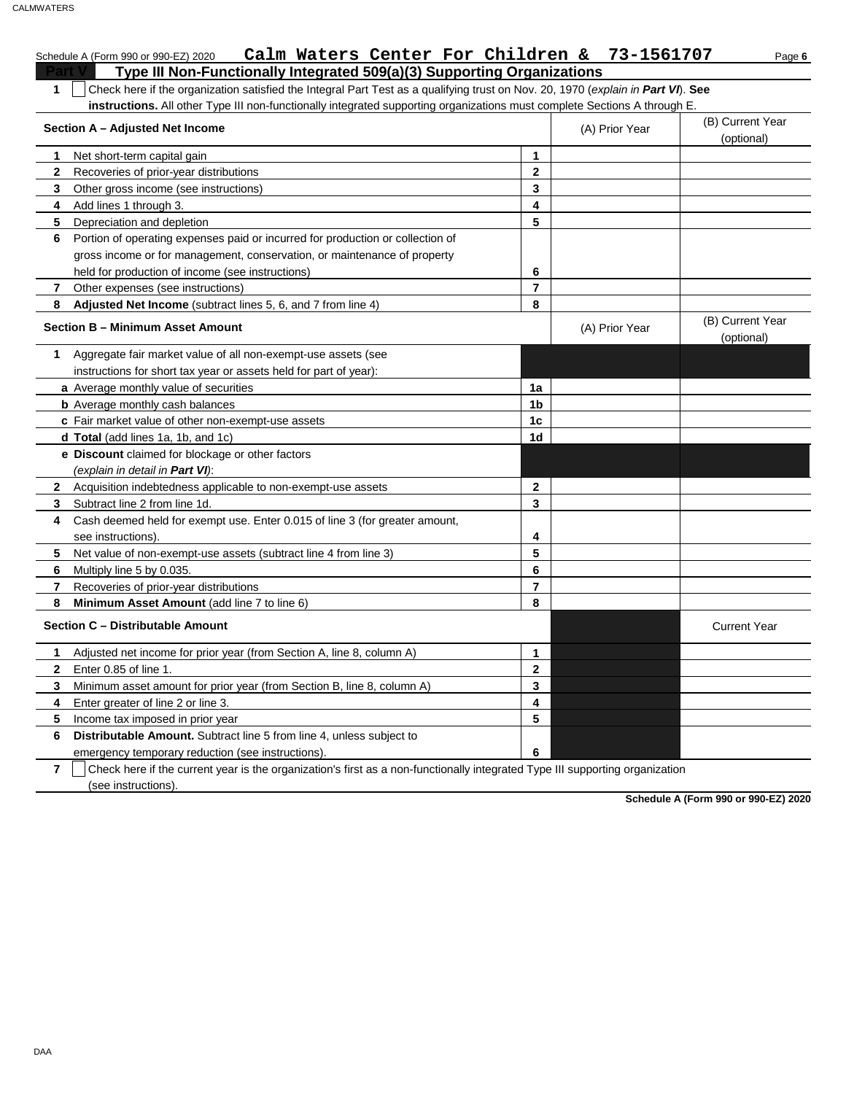|                | Calm Waters Center For Children & 73-1561707<br>Schedule A (Form 990 or 990-EZ) 2020                                             |                |                | Page 6                         |
|----------------|----------------------------------------------------------------------------------------------------------------------------------|----------------|----------------|--------------------------------|
|                | Type III Non-Functionally Integrated 509(a)(3) Supporting Organizations                                                          |                |                |                                |
| $\mathbf 1$    | Check here if the organization satisfied the Integral Part Test as a qualifying trust on Nov. 20, 1970 (explain in Part VI). See |                |                |                                |
|                | instructions. All other Type III non-functionally integrated supporting organizations must complete Sections A through E.        |                |                |                                |
|                | Section A - Adjusted Net Income                                                                                                  |                | (A) Prior Year | (B) Current Year               |
|                |                                                                                                                                  |                |                | (optional)                     |
| 1              | Net short-term capital gain                                                                                                      | $\mathbf{1}$   |                |                                |
| $\mathbf{2}$   | Recoveries of prior-year distributions                                                                                           | $\mathbf{2}$   |                |                                |
| 3              | Other gross income (see instructions)                                                                                            | 3              |                |                                |
| 4              | Add lines 1 through 3.                                                                                                           | 4              |                |                                |
| 5              | Depreciation and depletion                                                                                                       | 5              |                |                                |
| 6              | Portion of operating expenses paid or incurred for production or collection of                                                   |                |                |                                |
|                | gross income or for management, conservation, or maintenance of property                                                         |                |                |                                |
|                | held for production of income (see instructions)                                                                                 | 6              |                |                                |
| 7              | Other expenses (see instructions)                                                                                                | $\overline{7}$ |                |                                |
| 8              | Adjusted Net Income (subtract lines 5, 6, and 7 from line 4)                                                                     | 8              |                |                                |
|                | <b>Section B - Minimum Asset Amount</b>                                                                                          |                | (A) Prior Year | (B) Current Year<br>(optional) |
|                | 1 Aggregate fair market value of all non-exempt-use assets (see                                                                  |                |                |                                |
|                | instructions for short tax year or assets held for part of year):                                                                |                |                |                                |
|                | a Average monthly value of securities                                                                                            | 1a             |                |                                |
|                | <b>b</b> Average monthly cash balances                                                                                           | 1 <sub>b</sub> |                |                                |
|                | c Fair market value of other non-exempt-use assets                                                                               | 1 <sub>c</sub> |                |                                |
|                | d Total (add lines 1a, 1b, and 1c)                                                                                               | 1 <sub>d</sub> |                |                                |
|                | <b>e</b> Discount claimed for blockage or other factors                                                                          |                |                |                                |
|                | (explain in detail in <b>Part VI</b> ):                                                                                          |                |                |                                |
| $\mathbf{2}$   | Acquisition indebtedness applicable to non-exempt-use assets                                                                     | $\mathbf{2}$   |                |                                |
| 3              | Subtract line 2 from line 1d.                                                                                                    | 3              |                |                                |
| 4              | Cash deemed held for exempt use. Enter 0.015 of line 3 (for greater amount,                                                      |                |                |                                |
|                | see instructions).                                                                                                               | 4              |                |                                |
| 5              | Net value of non-exempt-use assets (subtract line 4 from line 3)                                                                 | 5              |                |                                |
| 6              | Multiply line 5 by 0.035.                                                                                                        | 6              |                |                                |
| $\overline{7}$ | Recoveries of prior-year distributions                                                                                           | $\overline{7}$ |                |                                |
| 8              | Minimum Asset Amount (add line 7 to line 6)                                                                                      | 8              |                |                                |
|                | Section C - Distributable Amount                                                                                                 |                |                | <b>Current Year</b>            |
| 1              | Adjusted net income for prior year (from Section A, line 8, column A)                                                            | 1              |                |                                |
| $\mathbf{2}$   | Enter 0.85 of line 1.                                                                                                            | $\mathbf{2}$   |                |                                |
| 3              | Minimum asset amount for prior year (from Section B, line 8, column A)                                                           | 3              |                |                                |
| 4              | Enter greater of line 2 or line 3.                                                                                               | 4              |                |                                |
| 5              | Income tax imposed in prior year                                                                                                 | 5              |                |                                |
| 6              | Distributable Amount. Subtract line 5 from line 4, unless subject to                                                             |                |                |                                |
|                | emergency temporary reduction (see instructions).                                                                                | 6              |                |                                |
|                |                                                                                                                                  |                |                |                                |

**7**  $\mid$  Check here if the current year is the organization's first as a non-functionally integrated Type III supporting organization (see instructions).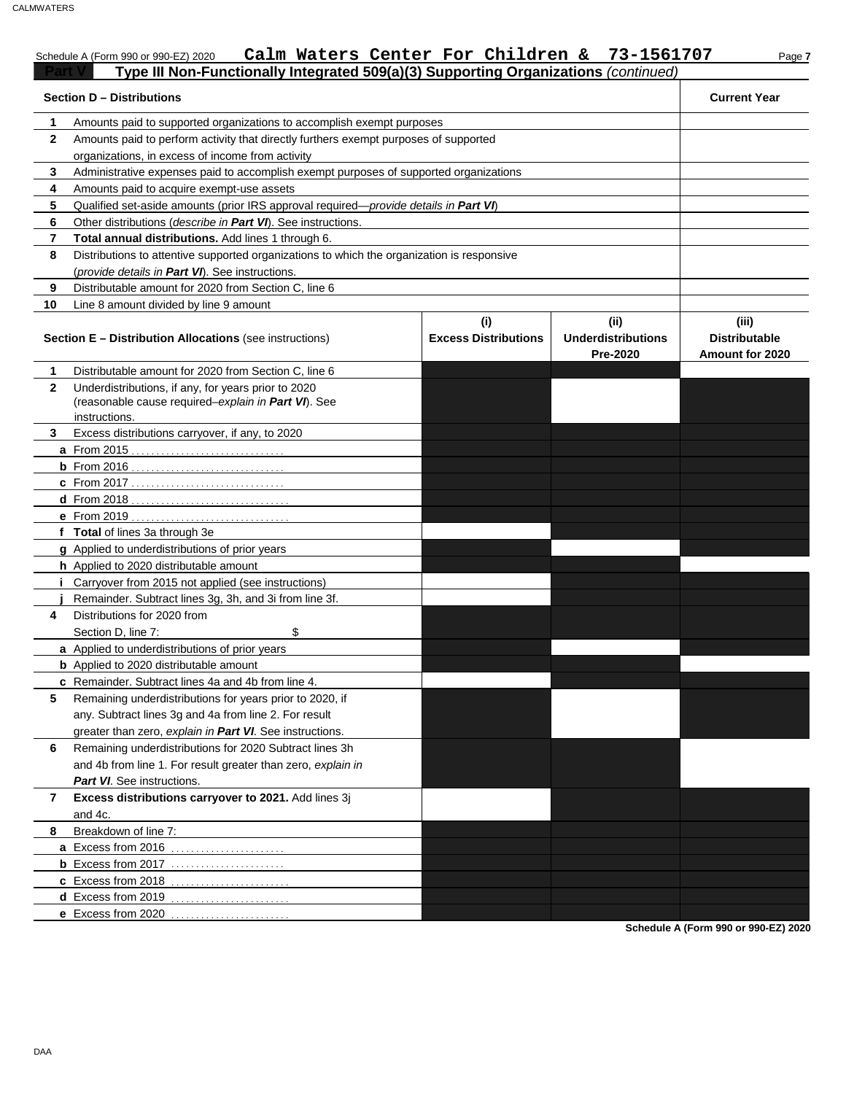#### Schedule A (Form 990 or 990-EZ) 2020 **Calm Waters Center For Children & 7 J-L56L707** Page 7 **Calm Waters Center For Children & 73-1561707**

|              | Type III Non-Functionally Integrated 509(a)(3) Supporting Organizations (continued)        |                                    |                                                      |                                                         |  |  |  |
|--------------|--------------------------------------------------------------------------------------------|------------------------------------|------------------------------------------------------|---------------------------------------------------------|--|--|--|
|              | <b>Section D - Distributions</b>                                                           |                                    |                                                      | <b>Current Year</b>                                     |  |  |  |
| 1            | Amounts paid to supported organizations to accomplish exempt purposes                      |                                    |                                                      |                                                         |  |  |  |
| $\mathbf{2}$ | Amounts paid to perform activity that directly furthers exempt purposes of supported       |                                    |                                                      |                                                         |  |  |  |
|              | organizations, in excess of income from activity                                           |                                    |                                                      |                                                         |  |  |  |
| 3            | Administrative expenses paid to accomplish exempt purposes of supported organizations      |                                    |                                                      |                                                         |  |  |  |
| 4            | Amounts paid to acquire exempt-use assets                                                  |                                    |                                                      |                                                         |  |  |  |
| 5            | Qualified set-aside amounts (prior IRS approval required—provide details in Part VI)       |                                    |                                                      |                                                         |  |  |  |
| 6            | Other distributions (describe in Part VI). See instructions.                               |                                    |                                                      |                                                         |  |  |  |
| 7            | Total annual distributions. Add lines 1 through 6.                                         |                                    |                                                      |                                                         |  |  |  |
| 8            | Distributions to attentive supported organizations to which the organization is responsive |                                    |                                                      |                                                         |  |  |  |
|              | (provide details in Part VI). See instructions.                                            |                                    |                                                      |                                                         |  |  |  |
| 9            | Distributable amount for 2020 from Section C, line 6                                       |                                    |                                                      |                                                         |  |  |  |
| 10           | Line 8 amount divided by line 9 amount                                                     |                                    |                                                      |                                                         |  |  |  |
|              | <b>Section E - Distribution Allocations (see instructions)</b>                             | (i)<br><b>Excess Distributions</b> | (ii)<br><b>Underdistributions</b><br><b>Pre-2020</b> | (iii)<br><b>Distributable</b><br><b>Amount for 2020</b> |  |  |  |
| 1            | Distributable amount for 2020 from Section C, line 6                                       |                                    |                                                      |                                                         |  |  |  |
| $\mathbf{2}$ | Underdistributions, if any, for years prior to 2020                                        |                                    |                                                      |                                                         |  |  |  |
|              | (reasonable cause required-explain in Part VI). See                                        |                                    |                                                      |                                                         |  |  |  |
|              | instructions.                                                                              |                                    |                                                      |                                                         |  |  |  |
| 3            | Excess distributions carryover, if any, to 2020                                            |                                    |                                                      |                                                         |  |  |  |
|              | <b>a</b> From 2015                                                                         |                                    |                                                      |                                                         |  |  |  |
|              | <b>b</b> From 2016                                                                         |                                    |                                                      |                                                         |  |  |  |
|              |                                                                                            |                                    |                                                      |                                                         |  |  |  |
|              | $d$ From 2018                                                                              |                                    |                                                      |                                                         |  |  |  |
|              | e From 2019                                                                                |                                    |                                                      |                                                         |  |  |  |
|              | f Total of lines 3a through 3e                                                             |                                    |                                                      |                                                         |  |  |  |
|              | g Applied to underdistributions of prior years                                             |                                    |                                                      |                                                         |  |  |  |
|              | h Applied to 2020 distributable amount                                                     |                                    |                                                      |                                                         |  |  |  |
|              | Carryover from 2015 not applied (see instructions)                                         |                                    |                                                      |                                                         |  |  |  |
|              | Remainder. Subtract lines 3g, 3h, and 3i from line 3f.                                     |                                    |                                                      |                                                         |  |  |  |
| 4            | Distributions for 2020 from                                                                |                                    |                                                      |                                                         |  |  |  |
|              | \$<br>Section D, line 7:                                                                   |                                    |                                                      |                                                         |  |  |  |
|              | a Applied to underdistributions of prior years                                             |                                    |                                                      |                                                         |  |  |  |
|              | <b>b</b> Applied to 2020 distributable amount                                              |                                    |                                                      |                                                         |  |  |  |
|              | <b>c</b> Remainder. Subtract lines 4a and 4b from line 4.                                  |                                    |                                                      |                                                         |  |  |  |
| 5            | Remaining underdistributions for years prior to 2020, if                                   |                                    |                                                      |                                                         |  |  |  |
|              | any. Subtract lines 3g and 4a from line 2. For result                                      |                                    |                                                      |                                                         |  |  |  |
|              | greater than zero, explain in Part VI. See instructions.                                   |                                    |                                                      |                                                         |  |  |  |
|              | 6<br>Remaining underdistributions for 2020 Subtract lines 3h                               |                                    |                                                      |                                                         |  |  |  |
|              | and 4b from line 1. For result greater than zero, explain in                               |                                    |                                                      |                                                         |  |  |  |
|              | Part VI. See instructions.                                                                 |                                    |                                                      |                                                         |  |  |  |
| 7            | Excess distributions carryover to 2021. Add lines 3j                                       |                                    |                                                      |                                                         |  |  |  |
|              | and 4c.                                                                                    |                                    |                                                      |                                                         |  |  |  |
| 8            | Breakdown of line 7:                                                                       |                                    |                                                      |                                                         |  |  |  |
|              | a Excess from 2016<br>.                                                                    |                                    |                                                      |                                                         |  |  |  |
|              |                                                                                            |                                    |                                                      |                                                         |  |  |  |
|              | c Excess from 2018<br>.                                                                    |                                    |                                                      |                                                         |  |  |  |
|              | d Excess from 2019                                                                         |                                    |                                                      |                                                         |  |  |  |
|              | e Excess from 2020                                                                         |                                    |                                                      |                                                         |  |  |  |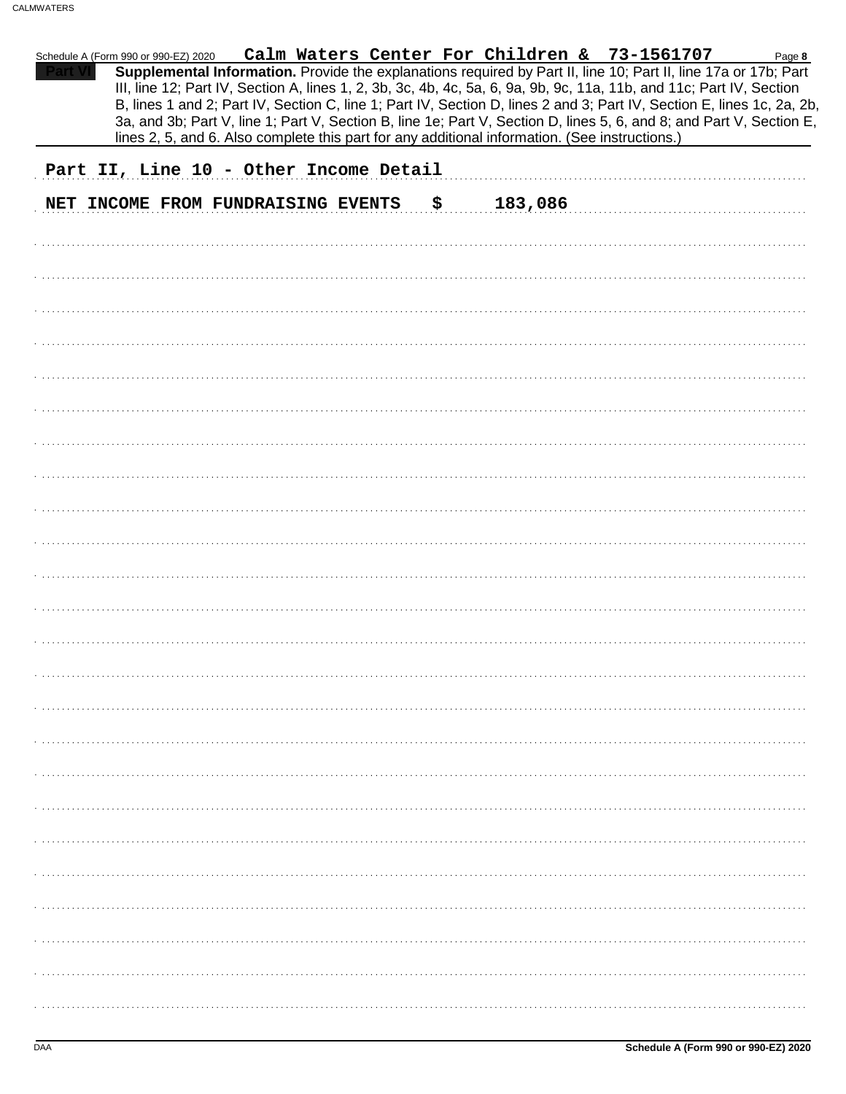| Schedule A (Form 990 or 990-EZ) 2020   |  |               | Calm Waters Center For Children & 73-1561707<br>III, line 12; Part IV, Section A, lines 1, 2, 3b, 3c, 4b, 4c, 5a, 6, 9a, 9b, 9c, 11a, 11b, and 11c; Part IV, Section<br>lines 2, 5, and 6. Also complete this part for any additional information. (See instructions.) | Page 8<br>Supplemental Information. Provide the explanations required by Part II, line 10; Part II, line 17a or 17b; Part<br>B, lines 1 and 2; Part IV, Section C, line 1; Part IV, Section D, lines 2 and 3; Part IV, Section E, lines 1c, 2a, 2b,<br>3a, and 3b; Part V, line 1; Part V, Section B, line 1e; Part V, Section D, lines 5, 6, and 8; and Part V, Section E, |
|----------------------------------------|--|---------------|------------------------------------------------------------------------------------------------------------------------------------------------------------------------------------------------------------------------------------------------------------------------|-----------------------------------------------------------------------------------------------------------------------------------------------------------------------------------------------------------------------------------------------------------------------------------------------------------------------------------------------------------------------------|
| Part II, Line 10 - Other Income Detail |  |               |                                                                                                                                                                                                                                                                        |                                                                                                                                                                                                                                                                                                                                                                             |
| NET INCOME FROM FUNDRAISING EVENTS     |  | 183,086<br>\$ |                                                                                                                                                                                                                                                                        |                                                                                                                                                                                                                                                                                                                                                                             |
|                                        |  |               |                                                                                                                                                                                                                                                                        |                                                                                                                                                                                                                                                                                                                                                                             |
|                                        |  |               |                                                                                                                                                                                                                                                                        |                                                                                                                                                                                                                                                                                                                                                                             |
|                                        |  |               |                                                                                                                                                                                                                                                                        |                                                                                                                                                                                                                                                                                                                                                                             |
|                                        |  |               |                                                                                                                                                                                                                                                                        |                                                                                                                                                                                                                                                                                                                                                                             |
|                                        |  |               |                                                                                                                                                                                                                                                                        |                                                                                                                                                                                                                                                                                                                                                                             |
|                                        |  |               |                                                                                                                                                                                                                                                                        |                                                                                                                                                                                                                                                                                                                                                                             |
|                                        |  |               |                                                                                                                                                                                                                                                                        |                                                                                                                                                                                                                                                                                                                                                                             |
|                                        |  |               |                                                                                                                                                                                                                                                                        |                                                                                                                                                                                                                                                                                                                                                                             |
|                                        |  |               |                                                                                                                                                                                                                                                                        |                                                                                                                                                                                                                                                                                                                                                                             |
|                                        |  |               |                                                                                                                                                                                                                                                                        |                                                                                                                                                                                                                                                                                                                                                                             |
|                                        |  |               |                                                                                                                                                                                                                                                                        |                                                                                                                                                                                                                                                                                                                                                                             |
|                                        |  |               |                                                                                                                                                                                                                                                                        |                                                                                                                                                                                                                                                                                                                                                                             |
|                                        |  |               |                                                                                                                                                                                                                                                                        |                                                                                                                                                                                                                                                                                                                                                                             |
|                                        |  |               |                                                                                                                                                                                                                                                                        |                                                                                                                                                                                                                                                                                                                                                                             |
|                                        |  |               |                                                                                                                                                                                                                                                                        |                                                                                                                                                                                                                                                                                                                                                                             |
|                                        |  |               |                                                                                                                                                                                                                                                                        |                                                                                                                                                                                                                                                                                                                                                                             |
|                                        |  |               |                                                                                                                                                                                                                                                                        |                                                                                                                                                                                                                                                                                                                                                                             |
|                                        |  |               |                                                                                                                                                                                                                                                                        |                                                                                                                                                                                                                                                                                                                                                                             |
|                                        |  |               |                                                                                                                                                                                                                                                                        |                                                                                                                                                                                                                                                                                                                                                                             |
|                                        |  |               |                                                                                                                                                                                                                                                                        |                                                                                                                                                                                                                                                                                                                                                                             |
|                                        |  |               |                                                                                                                                                                                                                                                                        |                                                                                                                                                                                                                                                                                                                                                                             |
|                                        |  |               |                                                                                                                                                                                                                                                                        |                                                                                                                                                                                                                                                                                                                                                                             |
|                                        |  |               |                                                                                                                                                                                                                                                                        |                                                                                                                                                                                                                                                                                                                                                                             |
|                                        |  |               |                                                                                                                                                                                                                                                                        |                                                                                                                                                                                                                                                                                                                                                                             |
|                                        |  |               |                                                                                                                                                                                                                                                                        |                                                                                                                                                                                                                                                                                                                                                                             |
|                                        |  |               |                                                                                                                                                                                                                                                                        |                                                                                                                                                                                                                                                                                                                                                                             |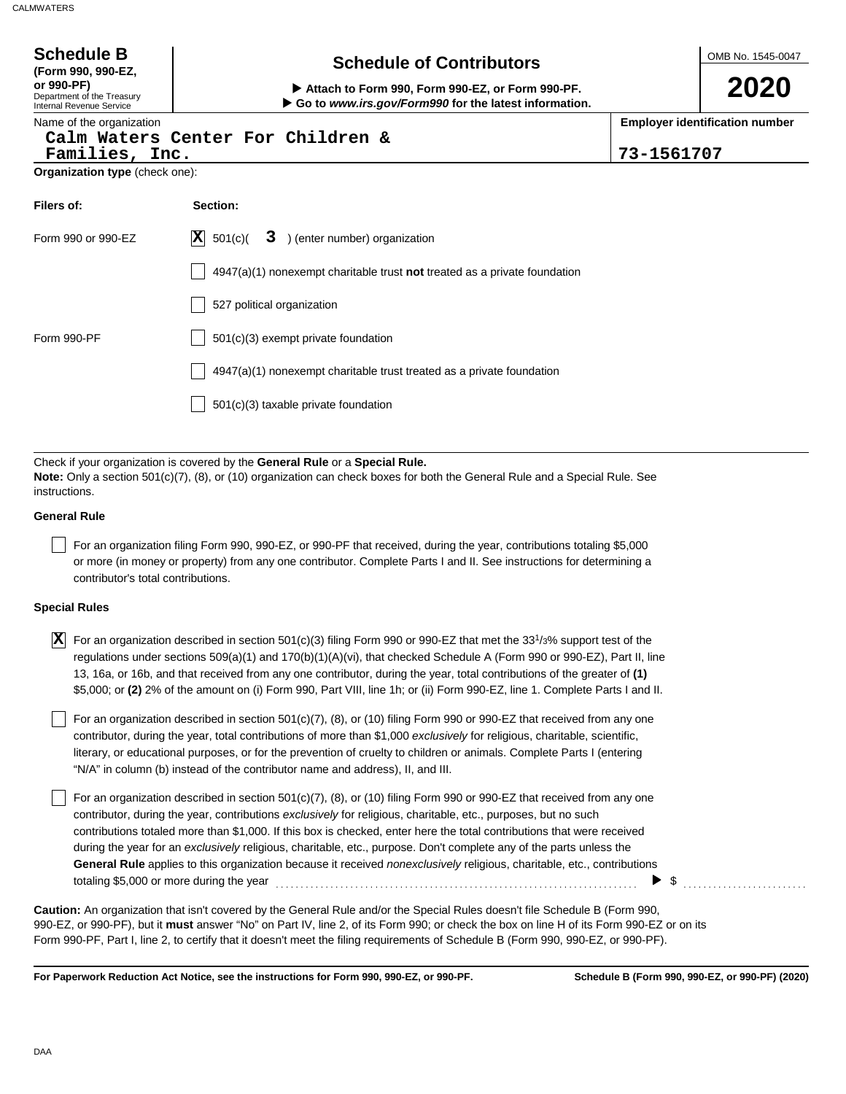| <b>Schedule B</b>                                                                          | <b>Schedule of Contributors</b>                                                                                                                                                                                                                                                                                                                                                                                                                                                                                       |                                       | OMB No. 1545-0047 |  |  |  |
|--------------------------------------------------------------------------------------------|-----------------------------------------------------------------------------------------------------------------------------------------------------------------------------------------------------------------------------------------------------------------------------------------------------------------------------------------------------------------------------------------------------------------------------------------------------------------------------------------------------------------------|---------------------------------------|-------------------|--|--|--|
| (Form 990, 990-EZ,<br>or 990-PF)<br>Department of the Treasury<br>Internal Revenue Service |                                                                                                                                                                                                                                                                                                                                                                                                                                                                                                                       | 2020                                  |                   |  |  |  |
| Name of the organization<br>Calm Waters Center For Children &<br>Families, Inc.            | 73-1561707                                                                                                                                                                                                                                                                                                                                                                                                                                                                                                            | <b>Employer identification number</b> |                   |  |  |  |
| Organization type (check one):                                                             |                                                                                                                                                                                                                                                                                                                                                                                                                                                                                                                       |                                       |                   |  |  |  |
| Filers of:                                                                                 | Section:                                                                                                                                                                                                                                                                                                                                                                                                                                                                                                              |                                       |                   |  |  |  |
| Form 990 or 990-EZ                                                                         | 3 ) (enter number) organization<br>$ \mathbf{X} $<br>501(c)                                                                                                                                                                                                                                                                                                                                                                                                                                                           |                                       |                   |  |  |  |
|                                                                                            | $4947(a)(1)$ nonexempt charitable trust not treated as a private foundation                                                                                                                                                                                                                                                                                                                                                                                                                                           |                                       |                   |  |  |  |
|                                                                                            | 527 political organization                                                                                                                                                                                                                                                                                                                                                                                                                                                                                            |                                       |                   |  |  |  |
| Form 990-PF                                                                                | 501(c)(3) exempt private foundation                                                                                                                                                                                                                                                                                                                                                                                                                                                                                   |                                       |                   |  |  |  |
|                                                                                            | 4947(a)(1) nonexempt charitable trust treated as a private foundation                                                                                                                                                                                                                                                                                                                                                                                                                                                 |                                       |                   |  |  |  |
|                                                                                            | 501(c)(3) taxable private foundation                                                                                                                                                                                                                                                                                                                                                                                                                                                                                  |                                       |                   |  |  |  |
|                                                                                            |                                                                                                                                                                                                                                                                                                                                                                                                                                                                                                                       |                                       |                   |  |  |  |
| instructions.                                                                              | Check if your organization is covered by the General Rule or a Special Rule.<br>Note: Only a section 501(c)(7), (8), or (10) organization can check boxes for both the General Rule and a Special Rule. See                                                                                                                                                                                                                                                                                                           |                                       |                   |  |  |  |
| <b>General Rule</b>                                                                        |                                                                                                                                                                                                                                                                                                                                                                                                                                                                                                                       |                                       |                   |  |  |  |
| contributor's total contributions.                                                         | For an organization filing Form 990, 990-EZ, or 990-PF that received, during the year, contributions totaling \$5,000<br>or more (in money or property) from any one contributor. Complete Parts I and II. See instructions for determining a                                                                                                                                                                                                                                                                         |                                       |                   |  |  |  |
| <b>Special Rules</b>                                                                       |                                                                                                                                                                                                                                                                                                                                                                                                                                                                                                                       |                                       |                   |  |  |  |
| $ \mathbf{X} $                                                                             | For an organization described in section 501(c)(3) filing Form 990 or 990-EZ that met the 33 <sup>1</sup> /3% support test of the<br>regulations under sections 509(a)(1) and 170(b)(1)(A)(vi), that checked Schedule A (Form 990 or 990-EZ), Part II, line<br>13, 16a, or 16b, and that received from any one contributor, during the year, total contributions of the greater of (1)<br>\$5,000; or (2) 2% of the amount on (i) Form 990, Part VIII, line 1h; or (ii) Form 990-EZ, line 1. Complete Parts I and II. |                                       |                   |  |  |  |
|                                                                                            | For an organization described in section 501(c)(7), (8), or (10) filing Form 990 or 990-EZ that received from any one<br>contributor, during the year, total contributions of more than \$1,000 exclusively for religious, charitable, scientific,<br>literary, or educational purposes, or for the prevention of cruelty to children or animals. Complete Parts I (entering                                                                                                                                          |                                       |                   |  |  |  |

For an organization described in section 501(c)(7), (8), or (10) filing Form 990 or 990-EZ that received from any one contributor, during the year, contributions *exclusively* for religious, charitable, etc., purposes, but no such contributions totaled more than \$1,000. If this box is checked, enter here the total contributions that were received during the year for an *exclusively* religious, charitable, etc., purpose. Don't complete any of the parts unless the **General Rule** applies to this organization because it received *nonexclusively* religious, charitable, etc., contributions totaling \$5,000 or more during the year . . . . . . . . . . . . . . . . . . . . . . . . . . . . . . . . . . . . . . . . . . . . . . . . . . . . . . . . . . . . . . . . . . . . . . . . .  $\triangleright$  \$

990-EZ, or 990-PF), but it **must** answer "No" on Part IV, line 2, of its Form 990; or check the box on line H of its Form 990-EZ or on its Form 990-PF, Part I, line 2, to certify that it doesn't meet the filing requirements of Schedule B (Form 990, 990-EZ, or 990-PF). **Caution:** An organization that isn't covered by the General Rule and/or the Special Rules doesn't file Schedule B (Form 990,

**For Paperwork Reduction Act Notice, see the instructions for Form 990, 990-EZ, or 990-PF.**

"N/A" in column (b) instead of the contributor name and address), II, and III.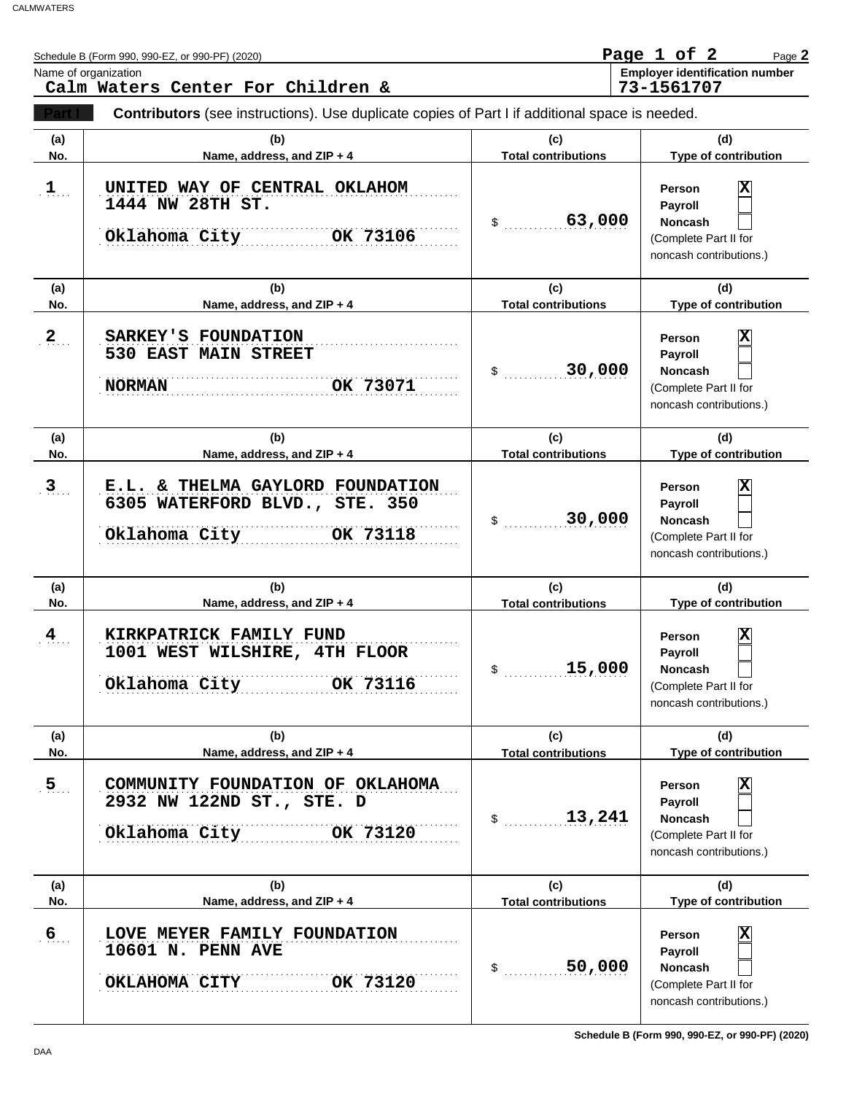|                 | Schedule B (Form 990, 990-EZ, or 990-PF) (2020)                                                 |                                                     | Page 1 of 2<br>Page 2                                                                                              |  |  |
|-----------------|-------------------------------------------------------------------------------------------------|-----------------------------------------------------|--------------------------------------------------------------------------------------------------------------------|--|--|
|                 | Name of organization<br>Calm Waters Center For Children &                                       | <b>Employer identification number</b><br>73-1561707 |                                                                                                                    |  |  |
|                 | Contributors (see instructions). Use duplicate copies of Part I if additional space is needed.  |                                                     |                                                                                                                    |  |  |
| (a)<br>No.      | (b)<br>Name, address, and ZIP + 4                                                               | (c)<br><b>Total contributions</b>                   | (d)<br>Type of contribution                                                                                        |  |  |
| $\mathbf{1}$    | UNITED WAY OF CENTRAL OKLAHOM<br>1444 NW 28TH ST.<br>Oklahoma City<br>OK 73106                  | 63,000<br>\$                                        | x<br>Person<br>Payroll<br><b>Noncash</b><br>(Complete Part II for<br>noncash contributions.)                       |  |  |
| (a)             | (b)                                                                                             | (c)                                                 | (d)                                                                                                                |  |  |
| No.             | Name, address, and ZIP + 4                                                                      | <b>Total contributions</b>                          | Type of contribution                                                                                               |  |  |
| $2_{\ldots}$    | SARKEY'S FOUNDATION<br>530 EAST MAIN STREET<br>OK 73071<br><b>NORMAN</b>                        | 30,000<br>\$                                        | x<br>Person<br>Payroll<br>Noncash<br>(Complete Part II for<br>noncash contributions.)                              |  |  |
| (a)             | (b)                                                                                             | (c)                                                 | (d)                                                                                                                |  |  |
| No.             | Name, address, and ZIP + 4                                                                      | <b>Total contributions</b>                          | Type of contribution                                                                                               |  |  |
| $3_{\ldots}$    | E.L. & THELMA GAYLORD FOUNDATION<br>6305 WATERFORD BLVD., STE. 350<br>Oklahoma City<br>OK 73118 | 30,000<br>\$                                        | $\overline{\mathbf{x}}$<br>Person<br>Payroll<br>Noncash<br>(Complete Part II for<br>noncash contributions.)        |  |  |
| (a)             | (b)                                                                                             | (c)                                                 | (d)                                                                                                                |  |  |
| No.             | Name, address, and ZIP + 4                                                                      | <b>Total contributions</b>                          | Type of contribution                                                                                               |  |  |
| $\frac{4}{1}$ . | KIRKPATRICK FAMILY FUND<br>1001 WEST WILSHIRE, 4TH FLOOR<br>Oklahoma City (<br>OK 73116         | 15,000                                              | $\overline{\mathbf{x}}$<br><b>Person</b><br>Payroll<br>Noncash<br>(Complete Part II for<br>noncash contributions.) |  |  |
| (a)             | (b)                                                                                             | (c)                                                 | (d)                                                                                                                |  |  |
| No.             | Name, address, and ZIP + 4                                                                      | <b>Total contributions</b>                          | <b>Type of contribution</b>                                                                                        |  |  |
| 5               | COMMUNITY FOUNDATION OF OKLAHOMA<br>2932 NW 122ND ST., STE. D<br>Oklahoma City<br>OK 73120      | 13,241<br>$\mathsf{\$}$                             | X<br><b>Person</b><br>Payroll<br>Noncash<br>(Complete Part II for<br>noncash contributions.)                       |  |  |
| (a)<br>No.      | (b)<br>Name, address, and ZIP + 4                                                               | (c)<br><b>Total contributions</b>                   | (d)<br><b>Type of contribution</b>                                                                                 |  |  |
| $6_{\ldots}$    | LOVE MEYER FAMILY FOUNDATION<br>10601 N. PENN AVE<br>OK 73120<br>OKLAHOMA CITY                  | 50,000<br>$\mathsf{\$}$                             | $ \mathbf{x} $<br>Person<br>Payroll<br><b>Noncash</b><br>(Complete Part II for<br>noncash contributions.)          |  |  |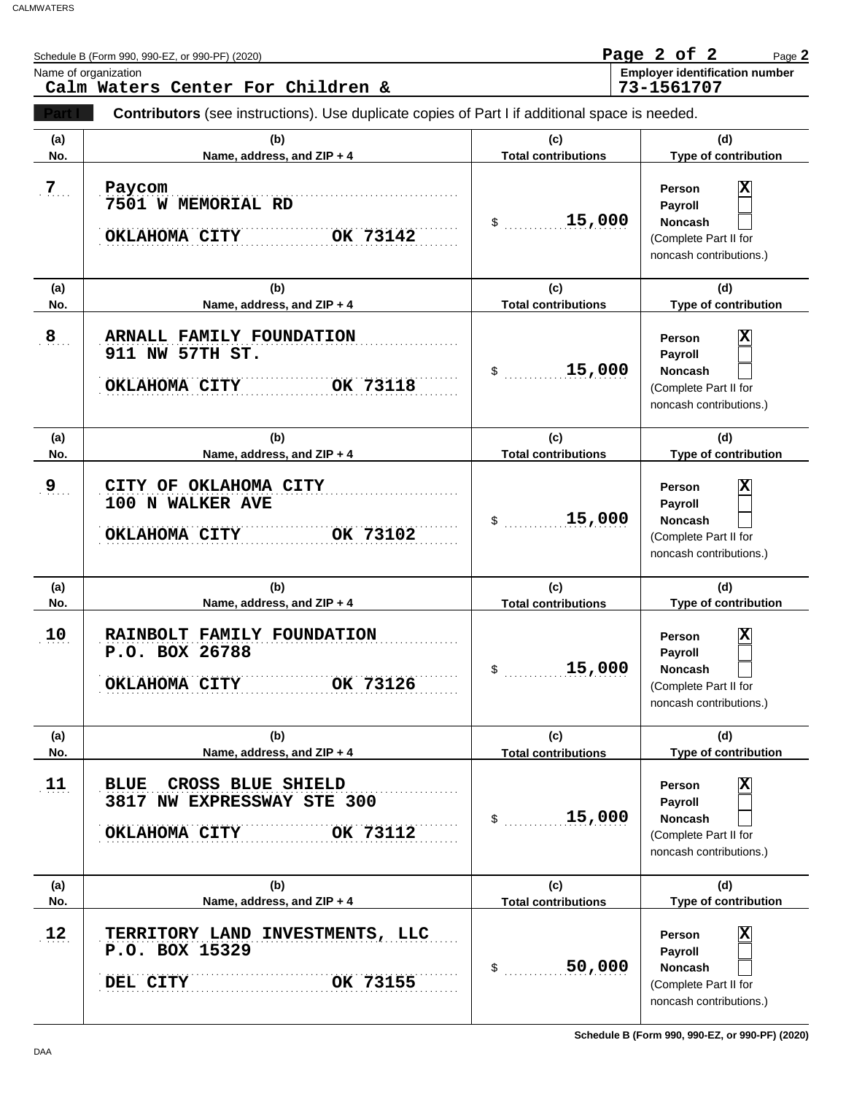| Name of organization | Schedule B (Form 990, 990-EZ, or 990-PF) (2020)<br>Calm Waters Center For Children &                    |                                                | Page 2 of 2<br>Page 2<br><b>Employer identification number</b><br>73-1561707                                                        |
|----------------------|---------------------------------------------------------------------------------------------------------|------------------------------------------------|-------------------------------------------------------------------------------------------------------------------------------------|
|                      | <b>Contributors</b> (see instructions). Use duplicate copies of Part I if additional space is needed.   |                                                |                                                                                                                                     |
| (a)<br>No.           | (b)<br>Name, address, and ZIP + 4                                                                       | (c)<br><b>Total contributions</b>              | (d)<br>Type of contribution                                                                                                         |
| 7 <sub>1</sub>       | Paycom<br>7501 W MEMORIAL RD<br>OK 73142<br>OKLAHOMA CITY                                               | 15,000<br>$\sim$                               | X<br>Person<br>Payroll<br><b>Noncash</b><br>(Complete Part II for<br>noncash contributions.)                                        |
| (a)<br>No.           | (b)<br>Name, address, and ZIP + 4                                                                       | (c)<br><b>Total contributions</b>              | (d)<br>Type of contribution                                                                                                         |
| 8 <sub>1</sub>       | ARNALL FAMILY FOUNDATION<br>911 NW 57TH ST.<br>OK 73118<br>OKLAHOMA CITY                                | 15,000<br>$\sim$                               | X<br>Person<br>Payroll<br><b>Noncash</b><br>(Complete Part II for<br>noncash contributions.)                                        |
| (a)<br>No.           | (b)<br>Name, address, and ZIP + 4                                                                       | (c)<br><b>Total contributions</b>              | (d)<br>Type of contribution                                                                                                         |
| 9 <sub>1</sub>       | CITY OF OKLAHOMA CITY<br>100 N WALKER AVE<br>OK 73102<br>OKLAHOMA CITY                                  | 15,000<br>$\sim$                               | X<br>Person<br>Payroll<br><b>Noncash</b><br>(Complete Part II for<br>noncash contributions.)                                        |
| (a)                  | (b)                                                                                                     | (c)                                            | (d)                                                                                                                                 |
| No.<br>10            | Name, address, and ZIP + 4<br>RAINBOLT FAMILY FOUNDATION<br>P.O. BOX 26788<br>OKLAHOMA CITY<br>OK 73126 | <b>Total contributions</b><br>15,000<br>\$     | Type of contribution<br>$\overline{\textbf{x}}$<br>Person<br>Payroll<br>Noncash<br>(Complete Part II for<br>noncash contributions.) |
| (a)<br>No.           | (b)<br>Name, address, and ZIP + 4                                                                       | (c)                                            | (d)<br>Type of contribution                                                                                                         |
| 11                   | <b>BLUE</b><br>CROSS BLUE SHIELD<br>3817 NW EXPRESSWAY STE 300<br>OK 73112<br>OKLAHOMA CITY             | <b>Total contributions</b><br>15,000<br>$\sim$ | X<br>Person<br>Payroll<br>Noncash<br>(Complete Part II for<br>noncash contributions.)                                               |
| (a)<br>No.           | (b)<br>Name, address, and ZIP + 4                                                                       | (c)<br><b>Total contributions</b>              | (d)<br>Type of contribution                                                                                                         |
| 12                   | TERRITORY LAND INVESTMENTS, LLC<br>P.O. BOX 15329<br>OK 73155<br>DEL CITY                               | 50,000<br>$\sim$                               | x<br>Person<br>Payroll<br>Noncash<br>(Complete Part II for<br>noncash contributions.)                                               |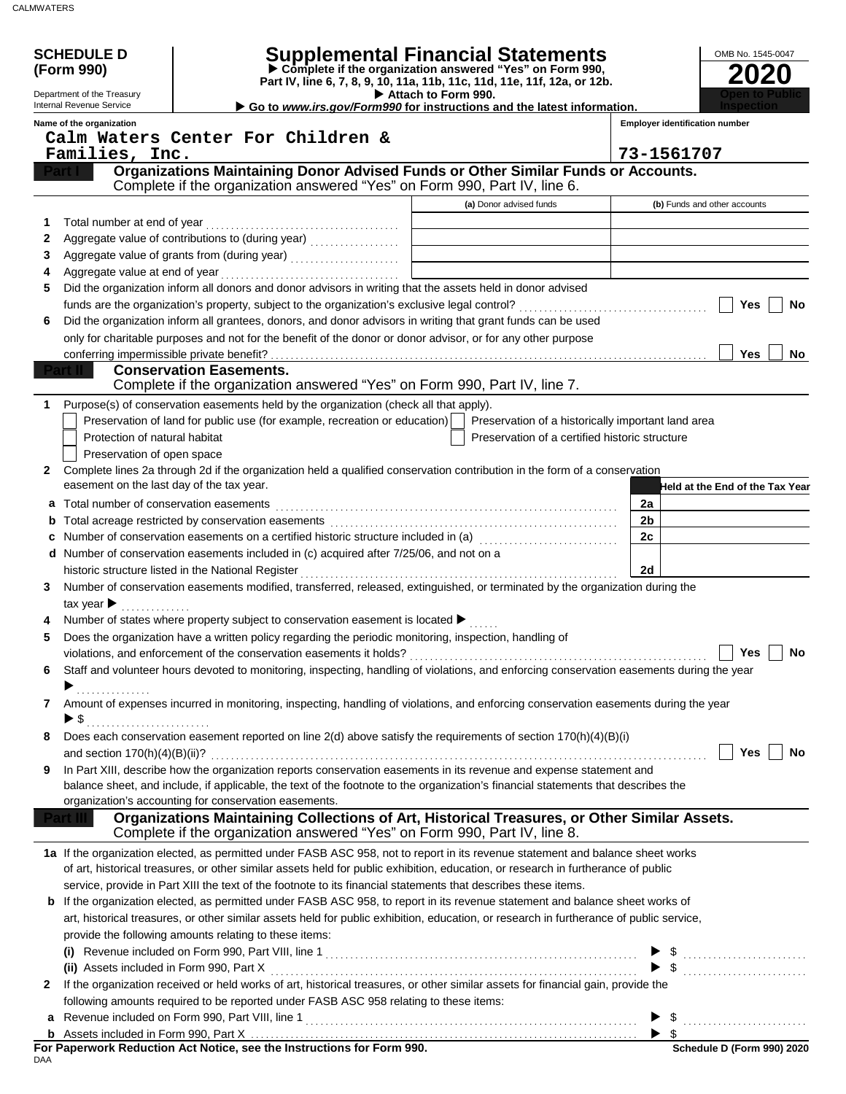|   | <b>SCHEDULE D</b>                         | <b>Supplemental Financial Statements</b>                                                                                                                                  |                     |                                                    |            | OMB No. 1545-0047                                            |
|---|-------------------------------------------|---------------------------------------------------------------------------------------------------------------------------------------------------------------------------|---------------------|----------------------------------------------------|------------|--------------------------------------------------------------|
|   | (Form 990)                                | Complete if the organization answered "Yes" on Form 990,                                                                                                                  |                     |                                                    |            |                                                              |
|   | Department of the Treasury                | Part IV, line 6, 7, 8, 9, 10, 11a, 11b, 11c, 11d, 11e, 11f, 12a, or 12b.                                                                                                  | Attach to Form 990. |                                                    |            |                                                              |
|   | Internal Revenue Service                  | Go to www.irs.gov/Form990 for instructions and the latest information.                                                                                                    |                     |                                                    |            |                                                              |
|   | Name of the organization                  |                                                                                                                                                                           |                     |                                                    |            | <b>Employer identification number</b>                        |
|   |                                           | Calm Waters Center For Children &                                                                                                                                         |                     |                                                    |            |                                                              |
|   | Families, Inc.                            |                                                                                                                                                                           |                     |                                                    | 73-1561707 |                                                              |
|   |                                           | Organizations Maintaining Donor Advised Funds or Other Similar Funds or Accounts.                                                                                         |                     |                                                    |            |                                                              |
|   |                                           | Complete if the organization answered "Yes" on Form 990, Part IV, line 6.                                                                                                 |                     |                                                    |            |                                                              |
|   |                                           |                                                                                                                                                                           |                     | (a) Donor advised funds                            |            | (b) Funds and other accounts                                 |
| 1 | Total number at end of year               |                                                                                                                                                                           |                     |                                                    |            |                                                              |
| 2 |                                           |                                                                                                                                                                           |                     |                                                    |            |                                                              |
| 3 |                                           |                                                                                                                                                                           |                     |                                                    |            |                                                              |
| 4 |                                           |                                                                                                                                                                           |                     |                                                    |            |                                                              |
| 5 |                                           | Did the organization inform all donors and donor advisors in writing that the assets held in donor advised                                                                |                     |                                                    |            |                                                              |
|   |                                           |                                                                                                                                                                           |                     |                                                    |            | No<br>Yes                                                    |
| 6 |                                           | Did the organization inform all grantees, donors, and donor advisors in writing that grant funds can be used                                                              |                     |                                                    |            |                                                              |
|   |                                           | only for charitable purposes and not for the benefit of the donor or donor advisor, or for any other purpose                                                              |                     |                                                    |            |                                                              |
|   | conferring impermissible private benefit? | <b>Conservation Easements.</b>                                                                                                                                            |                     |                                                    |            | Yes<br>No                                                    |
|   |                                           | Complete if the organization answered "Yes" on Form 990, Part IV, line 7.                                                                                                 |                     |                                                    |            |                                                              |
| 1 |                                           | Purpose(s) of conservation easements held by the organization (check all that apply).                                                                                     |                     |                                                    |            |                                                              |
|   |                                           | Preservation of land for public use (for example, recreation or education)                                                                                                |                     | Preservation of a historically important land area |            |                                                              |
|   | Protection of natural habitat             |                                                                                                                                                                           |                     | Preservation of a certified historic structure     |            |                                                              |
|   | Preservation of open space                |                                                                                                                                                                           |                     |                                                    |            |                                                              |
| 2 |                                           | Complete lines 2a through 2d if the organization held a qualified conservation contribution in the form of a conservation                                                 |                     |                                                    |            |                                                              |
|   | easement on the last day of the tax year. |                                                                                                                                                                           |                     |                                                    |            | Held at the End of the Tax Year                              |
| a | Total number of conservation easements    |                                                                                                                                                                           |                     |                                                    | 2a         |                                                              |
| b |                                           |                                                                                                                                                                           |                     |                                                    | 2b         |                                                              |
| c |                                           | Number of conservation easements on a certified historic structure included in (a) [[[[[[[[[[[[[[[[[[[[[[[[]]]                                                            |                     |                                                    | 2c         |                                                              |
|   |                                           | d Number of conservation easements included in (c) acquired after 7/25/06, and not on a                                                                                   |                     |                                                    |            |                                                              |
|   |                                           | historic structure listed in the National Register                                                                                                                        |                     |                                                    | 2d         |                                                              |
| 3 |                                           | Number of conservation easements modified, transferred, released, extinguished, or terminated by the organization during the                                              |                     |                                                    |            |                                                              |
|   | $tax$ year $\blacktriangleright$          |                                                                                                                                                                           |                     |                                                    |            |                                                              |
|   |                                           | Number of states where property subject to conservation easement is located ▶                                                                                             |                     |                                                    |            |                                                              |
| 5 |                                           | Does the organization have a written policy regarding the periodic monitoring, inspection, handling of                                                                    |                     |                                                    |            |                                                              |
|   |                                           |                                                                                                                                                                           |                     |                                                    |            | Yes $\Box$<br>No                                             |
| 6 |                                           | Staff and volunteer hours devoted to monitoring, inspecting, handling of violations, and enforcing conservation easements during the year                                 |                     |                                                    |            |                                                              |
|   | .                                         |                                                                                                                                                                           |                     |                                                    |            |                                                              |
| 7 |                                           | Amount of expenses incurred in monitoring, inspecting, handling of violations, and enforcing conservation easements during the year                                       |                     |                                                    |            |                                                              |
|   | $\triangleright$ \$                       |                                                                                                                                                                           |                     |                                                    |            |                                                              |
| 8 |                                           | Does each conservation easement reported on line 2(d) above satisfy the requirements of section 170(h)(4)(B)(i)                                                           |                     |                                                    |            |                                                              |
|   |                                           |                                                                                                                                                                           |                     |                                                    |            | Yes<br>No                                                    |
| 9 |                                           | In Part XIII, describe how the organization reports conservation easements in its revenue and expense statement and                                                       |                     |                                                    |            |                                                              |
|   |                                           | balance sheet, and include, if applicable, the text of the footnote to the organization's financial statements that describes the                                         |                     |                                                    |            |                                                              |
|   |                                           | organization's accounting for conservation easements.                                                                                                                     |                     |                                                    |            |                                                              |
|   |                                           | Organizations Maintaining Collections of Art, Historical Treasures, or Other Similar Assets.<br>Complete if the organization answered "Yes" on Form 990, Part IV, line 8. |                     |                                                    |            |                                                              |
|   |                                           | 1a If the organization elected, as permitted under FASB ASC 958, not to report in its revenue statement and balance sheet works                                           |                     |                                                    |            |                                                              |
|   |                                           | of art, historical treasures, or other similar assets held for public exhibition, education, or research in furtherance of public                                         |                     |                                                    |            |                                                              |
|   |                                           | service, provide in Part XIII the text of the footnote to its financial statements that describes these items.                                                            |                     |                                                    |            |                                                              |
|   |                                           | <b>b</b> If the organization elected, as permitted under FASB ASC 958, to report in its revenue statement and balance sheet works of                                      |                     |                                                    |            |                                                              |
|   |                                           | art, historical treasures, or other similar assets held for public exhibition, education, or research in furtherance of public service,                                   |                     |                                                    |            |                                                              |
|   |                                           | provide the following amounts relating to these items:                                                                                                                    |                     |                                                    |            |                                                              |
|   |                                           |                                                                                                                                                                           |                     |                                                    |            |                                                              |
|   |                                           |                                                                                                                                                                           |                     |                                                    |            | $\begin{array}{c} \mathsf{\$} \\ \mathsf{\$} \\ \end{array}$ |
| 2 |                                           | If the organization received or held works of art, historical treasures, or other similar assets for financial gain, provide the                                          |                     |                                                    |            |                                                              |
|   |                                           | following amounts required to be reported under FASB ASC 958 relating to these items:                                                                                     |                     |                                                    |            |                                                              |
|   |                                           |                                                                                                                                                                           |                     |                                                    |            |                                                              |
|   |                                           |                                                                                                                                                                           |                     |                                                    |            | $\blacktriangleright$ s                                      |
|   |                                           | For Paperwork Reduction Act Notice, see the Instructions for Form 990.                                                                                                    |                     |                                                    |            | Schedule D (Form 990) 2020                                   |

|     | For Paperwork Reduction Act Notice, see the Instructions for Form 990. |  |  |  |
|-----|------------------------------------------------------------------------|--|--|--|
| DAA |                                                                        |  |  |  |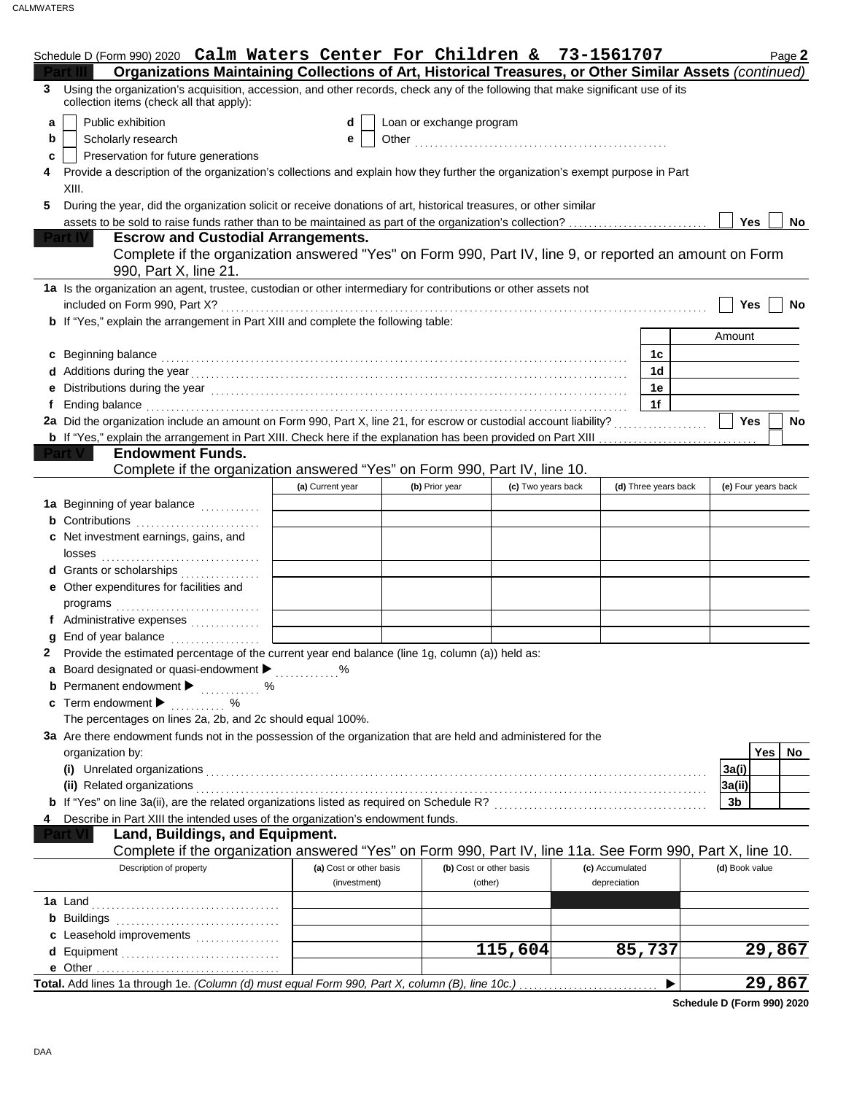| Organizations Maintaining Collections of Art, Historical Treasures, or Other Similar Assets (continued)<br>Using the organization's acquisition, accession, and other records, check any of the following that make significant use of its<br>collection items (check all that apply):<br>Public exhibition<br>Loan or exchange program<br>d<br>a<br>Scholarly research<br>b<br>е<br>Preservation for future generations<br>c<br>Provide a description of the organization's collections and explain how they further the organization's exempt purpose in Part<br>XIII.<br>During the year, did the organization solicit or receive donations of art, historical treasures, or other similar<br>5<br>assets to be sold to raise funds rather than to be maintained as part of the organization's collection?<br>Yes<br>No.<br><b>Escrow and Custodial Arrangements.</b><br>Complete if the organization answered "Yes" on Form 990, Part IV, line 9, or reported an amount on Form<br>990, Part X, line 21.<br>1a Is the organization an agent, trustee, custodian or other intermediary for contributions or other assets not<br>included on Form 990, Part X?<br>Yes<br>No<br><b>b</b> If "Yes," explain the arrangement in Part XIII and complete the following table:<br>Amount<br>1c<br>c Beginning balance<br>1 <sub>d</sub><br>1e<br>Distributions during the year material contact the set of the year material contact the year material contact the year material contact the year material contact the year material contact the year of the year of the year o<br>1f<br>Ending balance with a construction of the construction of the construction of the construction of the construction of the construction of the construction of the construction of the construction of the construction of the<br><b>Yes</b><br>No<br><b>Endowment Funds.</b><br>Complete if the organization answered "Yes" on Form 990, Part IV, line 10.<br>(c) Two years back<br>(a) Current year<br>(b) Prior year<br>(d) Three years back<br>(e) Four years back<br>1a Beginning of year balance <i>minimizing</i><br><b>b</b> Contributions <b>contributions</b><br>c Net investment earnings, gains, and<br>losses<br>Grants or scholarships<br>e Other expenditures for facilities and<br>f Administrative expenses<br>End of year balance<br>Provide the estimated percentage of the current year end balance (line 1g, column (a)) held as:<br>a Board designated or quasi-endowment $\blacktriangleright$<br>$\sim$ $\%$<br><b>b</b> Permanent endowment $\blacktriangleright$<br>$\%$<br>.<br>c Term endowment<br>℅<br>The percentages on lines 2a, 2b, and 2c should equal 100%.<br>3a Are there endowment funds not in the possession of the organization that are held and administered for the<br>Yes<br>No<br>organization by:<br>3a(i)<br>(ii) Related organizations<br>3a(ii)<br>b If "Yes" on line 3a(ii), are the related organizations listed as required on Schedule R? [[[[[[[[[[[[[[[[[[[<br>3b<br>Describe in Part XIII the intended uses of the organization's endowment funds.<br>Land, Buildings, and Equipment.<br>Complete if the organization answered "Yes" on Form 990, Part IV, line 11a. See Form 990, Part X, line 10.<br>Description of property<br>(a) Cost or other basis<br>(b) Cost or other basis<br>(c) Accumulated<br>(d) Book value<br>(investment)<br>(other)<br>depreciation<br>1a Land<br><b>b</b> Buildings<br>c Leasehold improvements<br>115,604<br>29,867<br>85,737<br>29,867<br>Total. Add lines 1a through 1e. (Column (d) must equal Form 990, Part X, column (B), line 10c.) | Schedule D (Form 990) 2020 Calm Waters Center For Children & 73-1561707 |  |  | Page 2 |
|----------------------------------------------------------------------------------------------------------------------------------------------------------------------------------------------------------------------------------------------------------------------------------------------------------------------------------------------------------------------------------------------------------------------------------------------------------------------------------------------------------------------------------------------------------------------------------------------------------------------------------------------------------------------------------------------------------------------------------------------------------------------------------------------------------------------------------------------------------------------------------------------------------------------------------------------------------------------------------------------------------------------------------------------------------------------------------------------------------------------------------------------------------------------------------------------------------------------------------------------------------------------------------------------------------------------------------------------------------------------------------------------------------------------------------------------------------------------------------------------------------------------------------------------------------------------------------------------------------------------------------------------------------------------------------------------------------------------------------------------------------------------------------------------------------------------------------------------------------------------------------------------------------------------------------------------------------------------------------------------------------------------------------------------------------------------------------------------------------------------------------------------------------------------------------------------------------------------------------------------------------------------------------------------------------------------------------------------------------------------------------------------------------------------------------------------------------------------------------------------------------------------------------------------------------------------------------------------------------------------------------------------------------------------------------------------------------------------------------------------------------------------------------------------------------------------------------------------------------------------------------------------------------------------------------------------------------------------------------------------------------------------------------------------------------------------------------------------------------------------------------------------------------------------------------------------------------------------------------------------------------------------------------------------------------------------------------------------------------------------------------------------------------------------------------------------------------------------------------------------------------------------------------------------------------------------------------------------------------------------------|-------------------------------------------------------------------------|--|--|--------|
|                                                                                                                                                                                                                                                                                                                                                                                                                                                                                                                                                                                                                                                                                                                                                                                                                                                                                                                                                                                                                                                                                                                                                                                                                                                                                                                                                                                                                                                                                                                                                                                                                                                                                                                                                                                                                                                                                                                                                                                                                                                                                                                                                                                                                                                                                                                                                                                                                                                                                                                                                                                                                                                                                                                                                                                                                                                                                                                                                                                                                                                                                                                                                                                                                                                                                                                                                                                                                                                                                                                                                                                                                            |                                                                         |  |  |        |
|                                                                                                                                                                                                                                                                                                                                                                                                                                                                                                                                                                                                                                                                                                                                                                                                                                                                                                                                                                                                                                                                                                                                                                                                                                                                                                                                                                                                                                                                                                                                                                                                                                                                                                                                                                                                                                                                                                                                                                                                                                                                                                                                                                                                                                                                                                                                                                                                                                                                                                                                                                                                                                                                                                                                                                                                                                                                                                                                                                                                                                                                                                                                                                                                                                                                                                                                                                                                                                                                                                                                                                                                                            |                                                                         |  |  |        |
|                                                                                                                                                                                                                                                                                                                                                                                                                                                                                                                                                                                                                                                                                                                                                                                                                                                                                                                                                                                                                                                                                                                                                                                                                                                                                                                                                                                                                                                                                                                                                                                                                                                                                                                                                                                                                                                                                                                                                                                                                                                                                                                                                                                                                                                                                                                                                                                                                                                                                                                                                                                                                                                                                                                                                                                                                                                                                                                                                                                                                                                                                                                                                                                                                                                                                                                                                                                                                                                                                                                                                                                                                            |                                                                         |  |  |        |
|                                                                                                                                                                                                                                                                                                                                                                                                                                                                                                                                                                                                                                                                                                                                                                                                                                                                                                                                                                                                                                                                                                                                                                                                                                                                                                                                                                                                                                                                                                                                                                                                                                                                                                                                                                                                                                                                                                                                                                                                                                                                                                                                                                                                                                                                                                                                                                                                                                                                                                                                                                                                                                                                                                                                                                                                                                                                                                                                                                                                                                                                                                                                                                                                                                                                                                                                                                                                                                                                                                                                                                                                                            |                                                                         |  |  |        |
|                                                                                                                                                                                                                                                                                                                                                                                                                                                                                                                                                                                                                                                                                                                                                                                                                                                                                                                                                                                                                                                                                                                                                                                                                                                                                                                                                                                                                                                                                                                                                                                                                                                                                                                                                                                                                                                                                                                                                                                                                                                                                                                                                                                                                                                                                                                                                                                                                                                                                                                                                                                                                                                                                                                                                                                                                                                                                                                                                                                                                                                                                                                                                                                                                                                                                                                                                                                                                                                                                                                                                                                                                            |                                                                         |  |  |        |
|                                                                                                                                                                                                                                                                                                                                                                                                                                                                                                                                                                                                                                                                                                                                                                                                                                                                                                                                                                                                                                                                                                                                                                                                                                                                                                                                                                                                                                                                                                                                                                                                                                                                                                                                                                                                                                                                                                                                                                                                                                                                                                                                                                                                                                                                                                                                                                                                                                                                                                                                                                                                                                                                                                                                                                                                                                                                                                                                                                                                                                                                                                                                                                                                                                                                                                                                                                                                                                                                                                                                                                                                                            |                                                                         |  |  |        |
|                                                                                                                                                                                                                                                                                                                                                                                                                                                                                                                                                                                                                                                                                                                                                                                                                                                                                                                                                                                                                                                                                                                                                                                                                                                                                                                                                                                                                                                                                                                                                                                                                                                                                                                                                                                                                                                                                                                                                                                                                                                                                                                                                                                                                                                                                                                                                                                                                                                                                                                                                                                                                                                                                                                                                                                                                                                                                                                                                                                                                                                                                                                                                                                                                                                                                                                                                                                                                                                                                                                                                                                                                            |                                                                         |  |  |        |
|                                                                                                                                                                                                                                                                                                                                                                                                                                                                                                                                                                                                                                                                                                                                                                                                                                                                                                                                                                                                                                                                                                                                                                                                                                                                                                                                                                                                                                                                                                                                                                                                                                                                                                                                                                                                                                                                                                                                                                                                                                                                                                                                                                                                                                                                                                                                                                                                                                                                                                                                                                                                                                                                                                                                                                                                                                                                                                                                                                                                                                                                                                                                                                                                                                                                                                                                                                                                                                                                                                                                                                                                                            |                                                                         |  |  |        |
|                                                                                                                                                                                                                                                                                                                                                                                                                                                                                                                                                                                                                                                                                                                                                                                                                                                                                                                                                                                                                                                                                                                                                                                                                                                                                                                                                                                                                                                                                                                                                                                                                                                                                                                                                                                                                                                                                                                                                                                                                                                                                                                                                                                                                                                                                                                                                                                                                                                                                                                                                                                                                                                                                                                                                                                                                                                                                                                                                                                                                                                                                                                                                                                                                                                                                                                                                                                                                                                                                                                                                                                                                            |                                                                         |  |  |        |
|                                                                                                                                                                                                                                                                                                                                                                                                                                                                                                                                                                                                                                                                                                                                                                                                                                                                                                                                                                                                                                                                                                                                                                                                                                                                                                                                                                                                                                                                                                                                                                                                                                                                                                                                                                                                                                                                                                                                                                                                                                                                                                                                                                                                                                                                                                                                                                                                                                                                                                                                                                                                                                                                                                                                                                                                                                                                                                                                                                                                                                                                                                                                                                                                                                                                                                                                                                                                                                                                                                                                                                                                                            |                                                                         |  |  |        |
|                                                                                                                                                                                                                                                                                                                                                                                                                                                                                                                                                                                                                                                                                                                                                                                                                                                                                                                                                                                                                                                                                                                                                                                                                                                                                                                                                                                                                                                                                                                                                                                                                                                                                                                                                                                                                                                                                                                                                                                                                                                                                                                                                                                                                                                                                                                                                                                                                                                                                                                                                                                                                                                                                                                                                                                                                                                                                                                                                                                                                                                                                                                                                                                                                                                                                                                                                                                                                                                                                                                                                                                                                            |                                                                         |  |  |        |
|                                                                                                                                                                                                                                                                                                                                                                                                                                                                                                                                                                                                                                                                                                                                                                                                                                                                                                                                                                                                                                                                                                                                                                                                                                                                                                                                                                                                                                                                                                                                                                                                                                                                                                                                                                                                                                                                                                                                                                                                                                                                                                                                                                                                                                                                                                                                                                                                                                                                                                                                                                                                                                                                                                                                                                                                                                                                                                                                                                                                                                                                                                                                                                                                                                                                                                                                                                                                                                                                                                                                                                                                                            |                                                                         |  |  |        |
|                                                                                                                                                                                                                                                                                                                                                                                                                                                                                                                                                                                                                                                                                                                                                                                                                                                                                                                                                                                                                                                                                                                                                                                                                                                                                                                                                                                                                                                                                                                                                                                                                                                                                                                                                                                                                                                                                                                                                                                                                                                                                                                                                                                                                                                                                                                                                                                                                                                                                                                                                                                                                                                                                                                                                                                                                                                                                                                                                                                                                                                                                                                                                                                                                                                                                                                                                                                                                                                                                                                                                                                                                            |                                                                         |  |  |        |
|                                                                                                                                                                                                                                                                                                                                                                                                                                                                                                                                                                                                                                                                                                                                                                                                                                                                                                                                                                                                                                                                                                                                                                                                                                                                                                                                                                                                                                                                                                                                                                                                                                                                                                                                                                                                                                                                                                                                                                                                                                                                                                                                                                                                                                                                                                                                                                                                                                                                                                                                                                                                                                                                                                                                                                                                                                                                                                                                                                                                                                                                                                                                                                                                                                                                                                                                                                                                                                                                                                                                                                                                                            |                                                                         |  |  |        |
|                                                                                                                                                                                                                                                                                                                                                                                                                                                                                                                                                                                                                                                                                                                                                                                                                                                                                                                                                                                                                                                                                                                                                                                                                                                                                                                                                                                                                                                                                                                                                                                                                                                                                                                                                                                                                                                                                                                                                                                                                                                                                                                                                                                                                                                                                                                                                                                                                                                                                                                                                                                                                                                                                                                                                                                                                                                                                                                                                                                                                                                                                                                                                                                                                                                                                                                                                                                                                                                                                                                                                                                                                            |                                                                         |  |  |        |
|                                                                                                                                                                                                                                                                                                                                                                                                                                                                                                                                                                                                                                                                                                                                                                                                                                                                                                                                                                                                                                                                                                                                                                                                                                                                                                                                                                                                                                                                                                                                                                                                                                                                                                                                                                                                                                                                                                                                                                                                                                                                                                                                                                                                                                                                                                                                                                                                                                                                                                                                                                                                                                                                                                                                                                                                                                                                                                                                                                                                                                                                                                                                                                                                                                                                                                                                                                                                                                                                                                                                                                                                                            |                                                                         |  |  |        |
|                                                                                                                                                                                                                                                                                                                                                                                                                                                                                                                                                                                                                                                                                                                                                                                                                                                                                                                                                                                                                                                                                                                                                                                                                                                                                                                                                                                                                                                                                                                                                                                                                                                                                                                                                                                                                                                                                                                                                                                                                                                                                                                                                                                                                                                                                                                                                                                                                                                                                                                                                                                                                                                                                                                                                                                                                                                                                                                                                                                                                                                                                                                                                                                                                                                                                                                                                                                                                                                                                                                                                                                                                            |                                                                         |  |  |        |
|                                                                                                                                                                                                                                                                                                                                                                                                                                                                                                                                                                                                                                                                                                                                                                                                                                                                                                                                                                                                                                                                                                                                                                                                                                                                                                                                                                                                                                                                                                                                                                                                                                                                                                                                                                                                                                                                                                                                                                                                                                                                                                                                                                                                                                                                                                                                                                                                                                                                                                                                                                                                                                                                                                                                                                                                                                                                                                                                                                                                                                                                                                                                                                                                                                                                                                                                                                                                                                                                                                                                                                                                                            |                                                                         |  |  |        |
|                                                                                                                                                                                                                                                                                                                                                                                                                                                                                                                                                                                                                                                                                                                                                                                                                                                                                                                                                                                                                                                                                                                                                                                                                                                                                                                                                                                                                                                                                                                                                                                                                                                                                                                                                                                                                                                                                                                                                                                                                                                                                                                                                                                                                                                                                                                                                                                                                                                                                                                                                                                                                                                                                                                                                                                                                                                                                                                                                                                                                                                                                                                                                                                                                                                                                                                                                                                                                                                                                                                                                                                                                            |                                                                         |  |  |        |
|                                                                                                                                                                                                                                                                                                                                                                                                                                                                                                                                                                                                                                                                                                                                                                                                                                                                                                                                                                                                                                                                                                                                                                                                                                                                                                                                                                                                                                                                                                                                                                                                                                                                                                                                                                                                                                                                                                                                                                                                                                                                                                                                                                                                                                                                                                                                                                                                                                                                                                                                                                                                                                                                                                                                                                                                                                                                                                                                                                                                                                                                                                                                                                                                                                                                                                                                                                                                                                                                                                                                                                                                                            |                                                                         |  |  |        |
|                                                                                                                                                                                                                                                                                                                                                                                                                                                                                                                                                                                                                                                                                                                                                                                                                                                                                                                                                                                                                                                                                                                                                                                                                                                                                                                                                                                                                                                                                                                                                                                                                                                                                                                                                                                                                                                                                                                                                                                                                                                                                                                                                                                                                                                                                                                                                                                                                                                                                                                                                                                                                                                                                                                                                                                                                                                                                                                                                                                                                                                                                                                                                                                                                                                                                                                                                                                                                                                                                                                                                                                                                            |                                                                         |  |  |        |
|                                                                                                                                                                                                                                                                                                                                                                                                                                                                                                                                                                                                                                                                                                                                                                                                                                                                                                                                                                                                                                                                                                                                                                                                                                                                                                                                                                                                                                                                                                                                                                                                                                                                                                                                                                                                                                                                                                                                                                                                                                                                                                                                                                                                                                                                                                                                                                                                                                                                                                                                                                                                                                                                                                                                                                                                                                                                                                                                                                                                                                                                                                                                                                                                                                                                                                                                                                                                                                                                                                                                                                                                                            |                                                                         |  |  |        |
|                                                                                                                                                                                                                                                                                                                                                                                                                                                                                                                                                                                                                                                                                                                                                                                                                                                                                                                                                                                                                                                                                                                                                                                                                                                                                                                                                                                                                                                                                                                                                                                                                                                                                                                                                                                                                                                                                                                                                                                                                                                                                                                                                                                                                                                                                                                                                                                                                                                                                                                                                                                                                                                                                                                                                                                                                                                                                                                                                                                                                                                                                                                                                                                                                                                                                                                                                                                                                                                                                                                                                                                                                            |                                                                         |  |  |        |
|                                                                                                                                                                                                                                                                                                                                                                                                                                                                                                                                                                                                                                                                                                                                                                                                                                                                                                                                                                                                                                                                                                                                                                                                                                                                                                                                                                                                                                                                                                                                                                                                                                                                                                                                                                                                                                                                                                                                                                                                                                                                                                                                                                                                                                                                                                                                                                                                                                                                                                                                                                                                                                                                                                                                                                                                                                                                                                                                                                                                                                                                                                                                                                                                                                                                                                                                                                                                                                                                                                                                                                                                                            |                                                                         |  |  |        |
|                                                                                                                                                                                                                                                                                                                                                                                                                                                                                                                                                                                                                                                                                                                                                                                                                                                                                                                                                                                                                                                                                                                                                                                                                                                                                                                                                                                                                                                                                                                                                                                                                                                                                                                                                                                                                                                                                                                                                                                                                                                                                                                                                                                                                                                                                                                                                                                                                                                                                                                                                                                                                                                                                                                                                                                                                                                                                                                                                                                                                                                                                                                                                                                                                                                                                                                                                                                                                                                                                                                                                                                                                            |                                                                         |  |  |        |
|                                                                                                                                                                                                                                                                                                                                                                                                                                                                                                                                                                                                                                                                                                                                                                                                                                                                                                                                                                                                                                                                                                                                                                                                                                                                                                                                                                                                                                                                                                                                                                                                                                                                                                                                                                                                                                                                                                                                                                                                                                                                                                                                                                                                                                                                                                                                                                                                                                                                                                                                                                                                                                                                                                                                                                                                                                                                                                                                                                                                                                                                                                                                                                                                                                                                                                                                                                                                                                                                                                                                                                                                                            |                                                                         |  |  |        |
|                                                                                                                                                                                                                                                                                                                                                                                                                                                                                                                                                                                                                                                                                                                                                                                                                                                                                                                                                                                                                                                                                                                                                                                                                                                                                                                                                                                                                                                                                                                                                                                                                                                                                                                                                                                                                                                                                                                                                                                                                                                                                                                                                                                                                                                                                                                                                                                                                                                                                                                                                                                                                                                                                                                                                                                                                                                                                                                                                                                                                                                                                                                                                                                                                                                                                                                                                                                                                                                                                                                                                                                                                            |                                                                         |  |  |        |
|                                                                                                                                                                                                                                                                                                                                                                                                                                                                                                                                                                                                                                                                                                                                                                                                                                                                                                                                                                                                                                                                                                                                                                                                                                                                                                                                                                                                                                                                                                                                                                                                                                                                                                                                                                                                                                                                                                                                                                                                                                                                                                                                                                                                                                                                                                                                                                                                                                                                                                                                                                                                                                                                                                                                                                                                                                                                                                                                                                                                                                                                                                                                                                                                                                                                                                                                                                                                                                                                                                                                                                                                                            |                                                                         |  |  |        |
|                                                                                                                                                                                                                                                                                                                                                                                                                                                                                                                                                                                                                                                                                                                                                                                                                                                                                                                                                                                                                                                                                                                                                                                                                                                                                                                                                                                                                                                                                                                                                                                                                                                                                                                                                                                                                                                                                                                                                                                                                                                                                                                                                                                                                                                                                                                                                                                                                                                                                                                                                                                                                                                                                                                                                                                                                                                                                                                                                                                                                                                                                                                                                                                                                                                                                                                                                                                                                                                                                                                                                                                                                            |                                                                         |  |  |        |
|                                                                                                                                                                                                                                                                                                                                                                                                                                                                                                                                                                                                                                                                                                                                                                                                                                                                                                                                                                                                                                                                                                                                                                                                                                                                                                                                                                                                                                                                                                                                                                                                                                                                                                                                                                                                                                                                                                                                                                                                                                                                                                                                                                                                                                                                                                                                                                                                                                                                                                                                                                                                                                                                                                                                                                                                                                                                                                                                                                                                                                                                                                                                                                                                                                                                                                                                                                                                                                                                                                                                                                                                                            |                                                                         |  |  |        |
|                                                                                                                                                                                                                                                                                                                                                                                                                                                                                                                                                                                                                                                                                                                                                                                                                                                                                                                                                                                                                                                                                                                                                                                                                                                                                                                                                                                                                                                                                                                                                                                                                                                                                                                                                                                                                                                                                                                                                                                                                                                                                                                                                                                                                                                                                                                                                                                                                                                                                                                                                                                                                                                                                                                                                                                                                                                                                                                                                                                                                                                                                                                                                                                                                                                                                                                                                                                                                                                                                                                                                                                                                            |                                                                         |  |  |        |
|                                                                                                                                                                                                                                                                                                                                                                                                                                                                                                                                                                                                                                                                                                                                                                                                                                                                                                                                                                                                                                                                                                                                                                                                                                                                                                                                                                                                                                                                                                                                                                                                                                                                                                                                                                                                                                                                                                                                                                                                                                                                                                                                                                                                                                                                                                                                                                                                                                                                                                                                                                                                                                                                                                                                                                                                                                                                                                                                                                                                                                                                                                                                                                                                                                                                                                                                                                                                                                                                                                                                                                                                                            |                                                                         |  |  |        |
|                                                                                                                                                                                                                                                                                                                                                                                                                                                                                                                                                                                                                                                                                                                                                                                                                                                                                                                                                                                                                                                                                                                                                                                                                                                                                                                                                                                                                                                                                                                                                                                                                                                                                                                                                                                                                                                                                                                                                                                                                                                                                                                                                                                                                                                                                                                                                                                                                                                                                                                                                                                                                                                                                                                                                                                                                                                                                                                                                                                                                                                                                                                                                                                                                                                                                                                                                                                                                                                                                                                                                                                                                            |                                                                         |  |  |        |
|                                                                                                                                                                                                                                                                                                                                                                                                                                                                                                                                                                                                                                                                                                                                                                                                                                                                                                                                                                                                                                                                                                                                                                                                                                                                                                                                                                                                                                                                                                                                                                                                                                                                                                                                                                                                                                                                                                                                                                                                                                                                                                                                                                                                                                                                                                                                                                                                                                                                                                                                                                                                                                                                                                                                                                                                                                                                                                                                                                                                                                                                                                                                                                                                                                                                                                                                                                                                                                                                                                                                                                                                                            |                                                                         |  |  |        |
|                                                                                                                                                                                                                                                                                                                                                                                                                                                                                                                                                                                                                                                                                                                                                                                                                                                                                                                                                                                                                                                                                                                                                                                                                                                                                                                                                                                                                                                                                                                                                                                                                                                                                                                                                                                                                                                                                                                                                                                                                                                                                                                                                                                                                                                                                                                                                                                                                                                                                                                                                                                                                                                                                                                                                                                                                                                                                                                                                                                                                                                                                                                                                                                                                                                                                                                                                                                                                                                                                                                                                                                                                            |                                                                         |  |  |        |
|                                                                                                                                                                                                                                                                                                                                                                                                                                                                                                                                                                                                                                                                                                                                                                                                                                                                                                                                                                                                                                                                                                                                                                                                                                                                                                                                                                                                                                                                                                                                                                                                                                                                                                                                                                                                                                                                                                                                                                                                                                                                                                                                                                                                                                                                                                                                                                                                                                                                                                                                                                                                                                                                                                                                                                                                                                                                                                                                                                                                                                                                                                                                                                                                                                                                                                                                                                                                                                                                                                                                                                                                                            |                                                                         |  |  |        |
|                                                                                                                                                                                                                                                                                                                                                                                                                                                                                                                                                                                                                                                                                                                                                                                                                                                                                                                                                                                                                                                                                                                                                                                                                                                                                                                                                                                                                                                                                                                                                                                                                                                                                                                                                                                                                                                                                                                                                                                                                                                                                                                                                                                                                                                                                                                                                                                                                                                                                                                                                                                                                                                                                                                                                                                                                                                                                                                                                                                                                                                                                                                                                                                                                                                                                                                                                                                                                                                                                                                                                                                                                            |                                                                         |  |  |        |
|                                                                                                                                                                                                                                                                                                                                                                                                                                                                                                                                                                                                                                                                                                                                                                                                                                                                                                                                                                                                                                                                                                                                                                                                                                                                                                                                                                                                                                                                                                                                                                                                                                                                                                                                                                                                                                                                                                                                                                                                                                                                                                                                                                                                                                                                                                                                                                                                                                                                                                                                                                                                                                                                                                                                                                                                                                                                                                                                                                                                                                                                                                                                                                                                                                                                                                                                                                                                                                                                                                                                                                                                                            |                                                                         |  |  |        |
|                                                                                                                                                                                                                                                                                                                                                                                                                                                                                                                                                                                                                                                                                                                                                                                                                                                                                                                                                                                                                                                                                                                                                                                                                                                                                                                                                                                                                                                                                                                                                                                                                                                                                                                                                                                                                                                                                                                                                                                                                                                                                                                                                                                                                                                                                                                                                                                                                                                                                                                                                                                                                                                                                                                                                                                                                                                                                                                                                                                                                                                                                                                                                                                                                                                                                                                                                                                                                                                                                                                                                                                                                            |                                                                         |  |  |        |
|                                                                                                                                                                                                                                                                                                                                                                                                                                                                                                                                                                                                                                                                                                                                                                                                                                                                                                                                                                                                                                                                                                                                                                                                                                                                                                                                                                                                                                                                                                                                                                                                                                                                                                                                                                                                                                                                                                                                                                                                                                                                                                                                                                                                                                                                                                                                                                                                                                                                                                                                                                                                                                                                                                                                                                                                                                                                                                                                                                                                                                                                                                                                                                                                                                                                                                                                                                                                                                                                                                                                                                                                                            |                                                                         |  |  |        |
|                                                                                                                                                                                                                                                                                                                                                                                                                                                                                                                                                                                                                                                                                                                                                                                                                                                                                                                                                                                                                                                                                                                                                                                                                                                                                                                                                                                                                                                                                                                                                                                                                                                                                                                                                                                                                                                                                                                                                                                                                                                                                                                                                                                                                                                                                                                                                                                                                                                                                                                                                                                                                                                                                                                                                                                                                                                                                                                                                                                                                                                                                                                                                                                                                                                                                                                                                                                                                                                                                                                                                                                                                            |                                                                         |  |  |        |
|                                                                                                                                                                                                                                                                                                                                                                                                                                                                                                                                                                                                                                                                                                                                                                                                                                                                                                                                                                                                                                                                                                                                                                                                                                                                                                                                                                                                                                                                                                                                                                                                                                                                                                                                                                                                                                                                                                                                                                                                                                                                                                                                                                                                                                                                                                                                                                                                                                                                                                                                                                                                                                                                                                                                                                                                                                                                                                                                                                                                                                                                                                                                                                                                                                                                                                                                                                                                                                                                                                                                                                                                                            |                                                                         |  |  |        |
|                                                                                                                                                                                                                                                                                                                                                                                                                                                                                                                                                                                                                                                                                                                                                                                                                                                                                                                                                                                                                                                                                                                                                                                                                                                                                                                                                                                                                                                                                                                                                                                                                                                                                                                                                                                                                                                                                                                                                                                                                                                                                                                                                                                                                                                                                                                                                                                                                                                                                                                                                                                                                                                                                                                                                                                                                                                                                                                                                                                                                                                                                                                                                                                                                                                                                                                                                                                                                                                                                                                                                                                                                            |                                                                         |  |  |        |
|                                                                                                                                                                                                                                                                                                                                                                                                                                                                                                                                                                                                                                                                                                                                                                                                                                                                                                                                                                                                                                                                                                                                                                                                                                                                                                                                                                                                                                                                                                                                                                                                                                                                                                                                                                                                                                                                                                                                                                                                                                                                                                                                                                                                                                                                                                                                                                                                                                                                                                                                                                                                                                                                                                                                                                                                                                                                                                                                                                                                                                                                                                                                                                                                                                                                                                                                                                                                                                                                                                                                                                                                                            |                                                                         |  |  |        |
|                                                                                                                                                                                                                                                                                                                                                                                                                                                                                                                                                                                                                                                                                                                                                                                                                                                                                                                                                                                                                                                                                                                                                                                                                                                                                                                                                                                                                                                                                                                                                                                                                                                                                                                                                                                                                                                                                                                                                                                                                                                                                                                                                                                                                                                                                                                                                                                                                                                                                                                                                                                                                                                                                                                                                                                                                                                                                                                                                                                                                                                                                                                                                                                                                                                                                                                                                                                                                                                                                                                                                                                                                            |                                                                         |  |  |        |
|                                                                                                                                                                                                                                                                                                                                                                                                                                                                                                                                                                                                                                                                                                                                                                                                                                                                                                                                                                                                                                                                                                                                                                                                                                                                                                                                                                                                                                                                                                                                                                                                                                                                                                                                                                                                                                                                                                                                                                                                                                                                                                                                                                                                                                                                                                                                                                                                                                                                                                                                                                                                                                                                                                                                                                                                                                                                                                                                                                                                                                                                                                                                                                                                                                                                                                                                                                                                                                                                                                                                                                                                                            |                                                                         |  |  |        |
|                                                                                                                                                                                                                                                                                                                                                                                                                                                                                                                                                                                                                                                                                                                                                                                                                                                                                                                                                                                                                                                                                                                                                                                                                                                                                                                                                                                                                                                                                                                                                                                                                                                                                                                                                                                                                                                                                                                                                                                                                                                                                                                                                                                                                                                                                                                                                                                                                                                                                                                                                                                                                                                                                                                                                                                                                                                                                                                                                                                                                                                                                                                                                                                                                                                                                                                                                                                                                                                                                                                                                                                                                            |                                                                         |  |  |        |
|                                                                                                                                                                                                                                                                                                                                                                                                                                                                                                                                                                                                                                                                                                                                                                                                                                                                                                                                                                                                                                                                                                                                                                                                                                                                                                                                                                                                                                                                                                                                                                                                                                                                                                                                                                                                                                                                                                                                                                                                                                                                                                                                                                                                                                                                                                                                                                                                                                                                                                                                                                                                                                                                                                                                                                                                                                                                                                                                                                                                                                                                                                                                                                                                                                                                                                                                                                                                                                                                                                                                                                                                                            |                                                                         |  |  |        |
|                                                                                                                                                                                                                                                                                                                                                                                                                                                                                                                                                                                                                                                                                                                                                                                                                                                                                                                                                                                                                                                                                                                                                                                                                                                                                                                                                                                                                                                                                                                                                                                                                                                                                                                                                                                                                                                                                                                                                                                                                                                                                                                                                                                                                                                                                                                                                                                                                                                                                                                                                                                                                                                                                                                                                                                                                                                                                                                                                                                                                                                                                                                                                                                                                                                                                                                                                                                                                                                                                                                                                                                                                            |                                                                         |  |  |        |
|                                                                                                                                                                                                                                                                                                                                                                                                                                                                                                                                                                                                                                                                                                                                                                                                                                                                                                                                                                                                                                                                                                                                                                                                                                                                                                                                                                                                                                                                                                                                                                                                                                                                                                                                                                                                                                                                                                                                                                                                                                                                                                                                                                                                                                                                                                                                                                                                                                                                                                                                                                                                                                                                                                                                                                                                                                                                                                                                                                                                                                                                                                                                                                                                                                                                                                                                                                                                                                                                                                                                                                                                                            |                                                                         |  |  |        |
|                                                                                                                                                                                                                                                                                                                                                                                                                                                                                                                                                                                                                                                                                                                                                                                                                                                                                                                                                                                                                                                                                                                                                                                                                                                                                                                                                                                                                                                                                                                                                                                                                                                                                                                                                                                                                                                                                                                                                                                                                                                                                                                                                                                                                                                                                                                                                                                                                                                                                                                                                                                                                                                                                                                                                                                                                                                                                                                                                                                                                                                                                                                                                                                                                                                                                                                                                                                                                                                                                                                                                                                                                            |                                                                         |  |  |        |
|                                                                                                                                                                                                                                                                                                                                                                                                                                                                                                                                                                                                                                                                                                                                                                                                                                                                                                                                                                                                                                                                                                                                                                                                                                                                                                                                                                                                                                                                                                                                                                                                                                                                                                                                                                                                                                                                                                                                                                                                                                                                                                                                                                                                                                                                                                                                                                                                                                                                                                                                                                                                                                                                                                                                                                                                                                                                                                                                                                                                                                                                                                                                                                                                                                                                                                                                                                                                                                                                                                                                                                                                                            |                                                                         |  |  |        |
|                                                                                                                                                                                                                                                                                                                                                                                                                                                                                                                                                                                                                                                                                                                                                                                                                                                                                                                                                                                                                                                                                                                                                                                                                                                                                                                                                                                                                                                                                                                                                                                                                                                                                                                                                                                                                                                                                                                                                                                                                                                                                                                                                                                                                                                                                                                                                                                                                                                                                                                                                                                                                                                                                                                                                                                                                                                                                                                                                                                                                                                                                                                                                                                                                                                                                                                                                                                                                                                                                                                                                                                                                            |                                                                         |  |  |        |
|                                                                                                                                                                                                                                                                                                                                                                                                                                                                                                                                                                                                                                                                                                                                                                                                                                                                                                                                                                                                                                                                                                                                                                                                                                                                                                                                                                                                                                                                                                                                                                                                                                                                                                                                                                                                                                                                                                                                                                                                                                                                                                                                                                                                                                                                                                                                                                                                                                                                                                                                                                                                                                                                                                                                                                                                                                                                                                                                                                                                                                                                                                                                                                                                                                                                                                                                                                                                                                                                                                                                                                                                                            |                                                                         |  |  |        |
|                                                                                                                                                                                                                                                                                                                                                                                                                                                                                                                                                                                                                                                                                                                                                                                                                                                                                                                                                                                                                                                                                                                                                                                                                                                                                                                                                                                                                                                                                                                                                                                                                                                                                                                                                                                                                                                                                                                                                                                                                                                                                                                                                                                                                                                                                                                                                                                                                                                                                                                                                                                                                                                                                                                                                                                                                                                                                                                                                                                                                                                                                                                                                                                                                                                                                                                                                                                                                                                                                                                                                                                                                            |                                                                         |  |  |        |

**Schedule D (Form 990) 2020**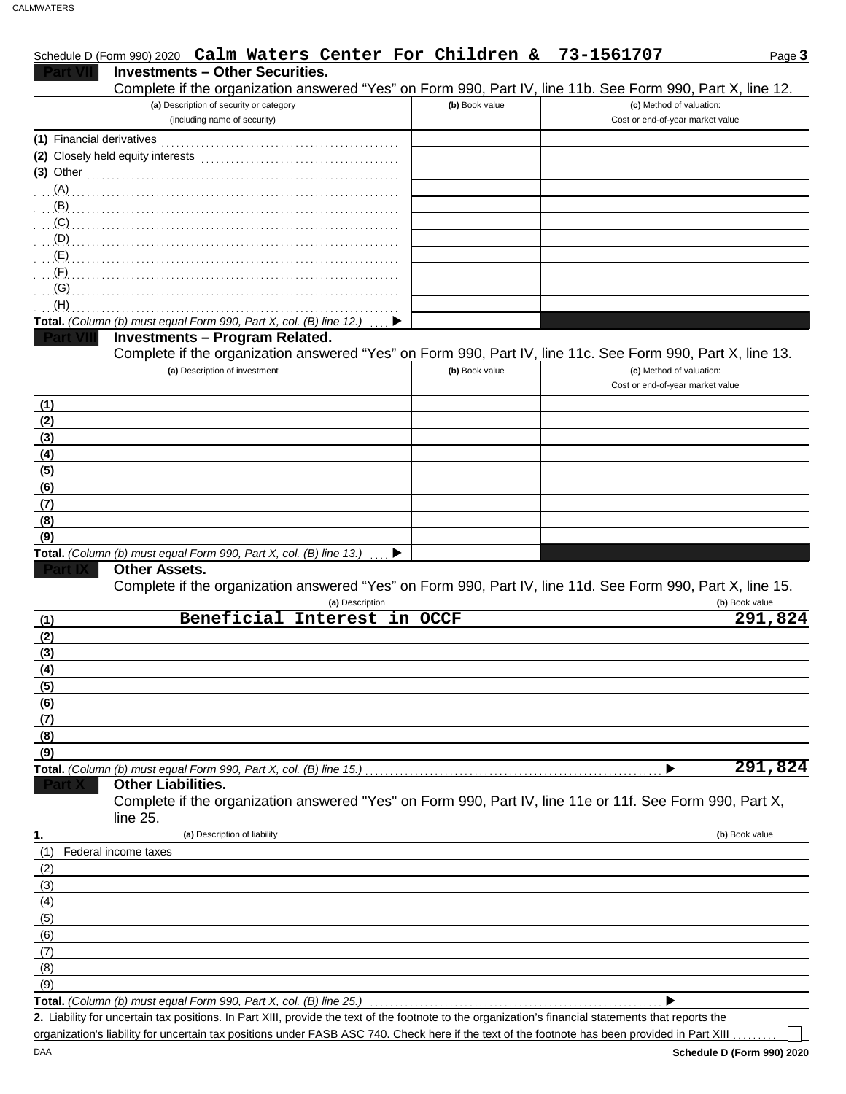|                           | Schedule D (Form 990) 2020 Calm Waters Center For Children &                                               |                             |                | 73-1561707 | Page 3                                                       |
|---------------------------|------------------------------------------------------------------------------------------------------------|-----------------------------|----------------|------------|--------------------------------------------------------------|
|                           | <b>Investments - Other Securities.</b>                                                                     |                             |                |            |                                                              |
|                           | Complete if the organization answered "Yes" on Form 990, Part IV, line 11b. See Form 990, Part X, line 12. |                             |                |            |                                                              |
|                           | (a) Description of security or category<br>(including name of security)                                    |                             | (b) Book value |            | (c) Method of valuation:<br>Cost or end-of-year market value |
| (1) Financial derivatives |                                                                                                            |                             |                |            |                                                              |
|                           |                                                                                                            |                             |                |            |                                                              |
| $(3)$ Other               |                                                                                                            |                             |                |            |                                                              |
| (A)                       |                                                                                                            |                             |                |            |                                                              |
| (B)                       |                                                                                                            |                             |                |            |                                                              |
| (C)                       |                                                                                                            |                             |                |            |                                                              |
| (D)                       |                                                                                                            |                             |                |            |                                                              |
| (E)                       |                                                                                                            |                             |                |            |                                                              |
| (F)<br>(G)                |                                                                                                            |                             |                |            |                                                              |
| (H)                       |                                                                                                            |                             |                |            |                                                              |
|                           | Total. (Column (b) must equal Form 990, Part X, col. (B) line 12.)                                         |                             |                |            |                                                              |
|                           | <b>Investments - Program Related.</b>                                                                      |                             |                |            |                                                              |
|                           | Complete if the organization answered "Yes" on Form 990, Part IV, line 11c. See Form 990, Part X, line 13. |                             |                |            |                                                              |
|                           | (a) Description of investment                                                                              |                             | (b) Book value |            | (c) Method of valuation:                                     |
|                           |                                                                                                            |                             |                |            | Cost or end-of-year market value                             |
| (1)                       |                                                                                                            |                             |                |            |                                                              |
| (2)                       |                                                                                                            |                             |                |            |                                                              |
| (3)                       |                                                                                                            |                             |                |            |                                                              |
| (4)                       |                                                                                                            |                             |                |            |                                                              |
| (5)                       |                                                                                                            |                             |                |            |                                                              |
| (6)<br>(7)                |                                                                                                            |                             |                |            |                                                              |
| (8)                       |                                                                                                            |                             |                |            |                                                              |
| (9)                       |                                                                                                            |                             |                |            |                                                              |
|                           | Total. (Column (b) must equal Form 990, Part X, col. (B) line 13.)                                         | ▶                           |                |            |                                                              |
|                           | <b>Other Assets.</b>                                                                                       |                             |                |            |                                                              |
|                           | Complete if the organization answered "Yes" on Form 990, Part IV, line 11d. See Form 990, Part X, line 15. |                             |                |            |                                                              |
|                           |                                                                                                            | (a) Description             |                |            | (b) Book value                                               |
| (1)                       |                                                                                                            | Beneficial Interest in OCCF |                |            | 291,824                                                      |
| (2)                       |                                                                                                            |                             |                |            |                                                              |
| (3)                       |                                                                                                            |                             |                |            |                                                              |
| (4)                       |                                                                                                            |                             |                |            |                                                              |
| (5)<br>(6)                |                                                                                                            |                             |                |            |                                                              |
| (7)                       |                                                                                                            |                             |                |            |                                                              |
| (8)                       |                                                                                                            |                             |                |            |                                                              |
| (9)                       |                                                                                                            |                             |                |            |                                                              |
|                           | Total. (Column (b) must equal Form 990, Part X, col. (B) line 15.)                                         |                             |                |            | 291,824                                                      |
|                           | <b>Other Liabilities.</b>                                                                                  |                             |                |            |                                                              |
|                           | Complete if the organization answered "Yes" on Form 990, Part IV, line 11e or 11f. See Form 990, Part X,   |                             |                |            |                                                              |
|                           | line 25.                                                                                                   |                             |                |            |                                                              |
| 1.                        | (a) Description of liability                                                                               |                             |                |            | (b) Book value                                               |
| (1)                       | Federal income taxes                                                                                       |                             |                |            |                                                              |
| (2)<br>(3)                |                                                                                                            |                             |                |            |                                                              |
| (4)                       |                                                                                                            |                             |                |            |                                                              |
| (5)                       |                                                                                                            |                             |                |            |                                                              |
| (6)                       |                                                                                                            |                             |                |            |                                                              |
| (7)                       |                                                                                                            |                             |                |            |                                                              |
| (8)                       |                                                                                                            |                             |                |            |                                                              |
| (9)                       |                                                                                                            |                             |                |            |                                                              |
|                           | Total. (Column (b) must equal Form 990, Part X, col. (B) line 25.)                                         |                             |                |            |                                                              |

Liability for uncertain tax positions. In Part XIII, provide the text of the footnote to the organization's financial statements that reports the **2.** organization's liability for uncertain tax positions under FASB ASC 740. Check here if the text of the footnote has been provided in Part XIII

┐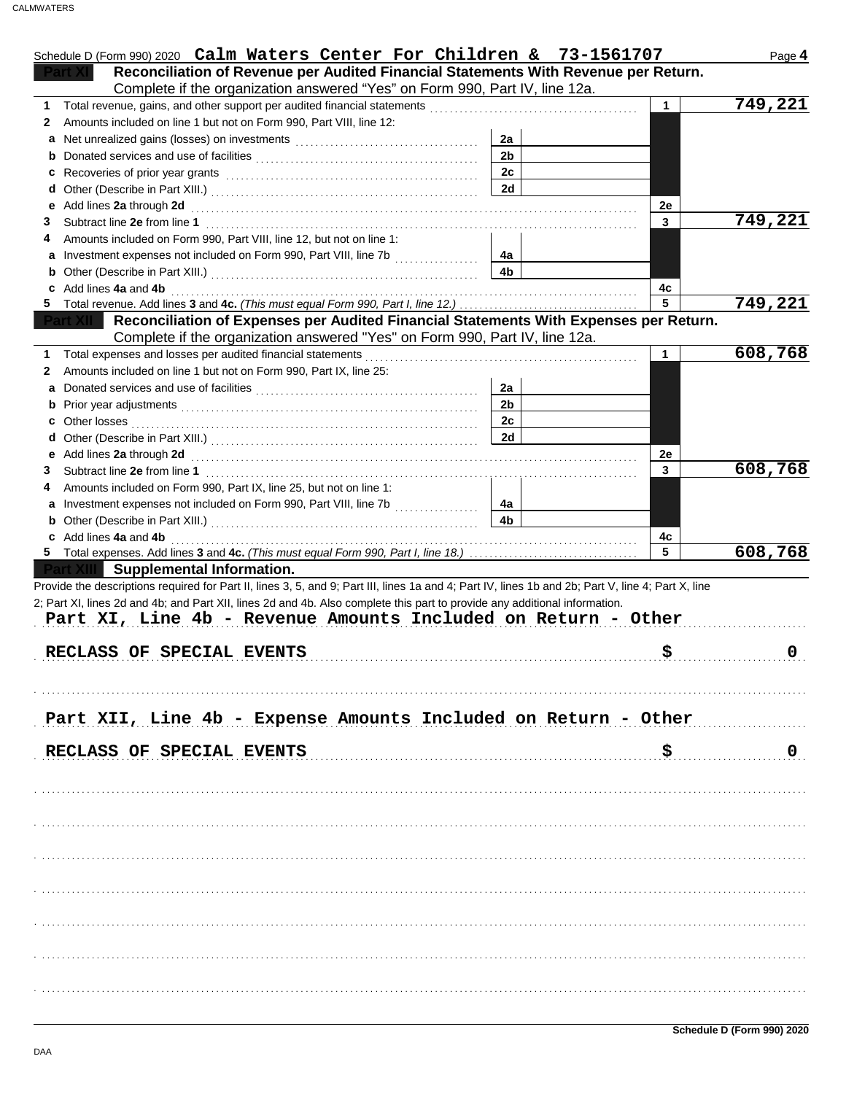|        | Schedule D (Form 990) 2020 Calm Waters Center For Children & 73-1561707                                                                            |                |         | Page 4  |
|--------|----------------------------------------------------------------------------------------------------------------------------------------------------|----------------|---------|---------|
|        | Reconciliation of Revenue per Audited Financial Statements With Revenue per Return.                                                                |                |         |         |
|        | Complete if the organization answered "Yes" on Form 990, Part IV, line 12a.                                                                        |                |         |         |
| 1.     | Total revenue, gains, and other support per audited financial statements                                                                           |                | 1.      | 749,221 |
| 2      | Amounts included on line 1 but not on Form 990, Part VIII, line 12:                                                                                |                |         |         |
|        |                                                                                                                                                    | 2a             |         |         |
|        |                                                                                                                                                    | 2 <sub>b</sub> |         |         |
|        |                                                                                                                                                    | 2c<br>2d       |         |         |
|        |                                                                                                                                                    |                |         |         |
|        | e Add lines 2a through 2d<br>Subtract line 2e from line 1                                                                                          |                | 2e<br>3 | 749,221 |
| 3<br>4 | Amounts included on Form 990, Part VIII, line 12, but not on line 1:                                                                               |                |         |         |
| a      |                                                                                                                                                    | 4а             |         |         |
|        |                                                                                                                                                    | 4b             |         |         |
|        | c Add lines 4a and 4b                                                                                                                              |                | 4c      |         |
| 5      |                                                                                                                                                    |                | 5       | 749,221 |
|        | Reconciliation of Expenses per Audited Financial Statements With Expenses per Return.                                                              |                |         |         |
|        | Complete if the organization answered "Yes" on Form 990, Part IV, line 12a.                                                                        |                |         |         |
| 1.     | Total expenses and losses per audited financial statements                                                                                         |                | 1       | 608,768 |
| 2      | Amounts included on line 1 but not on Form 990, Part IX, line 25:                                                                                  |                |         |         |
| a      |                                                                                                                                                    | 2a             |         |         |
|        |                                                                                                                                                    | 2 <sub>b</sub> |         |         |
|        | c Other losses                                                                                                                                     | 2c             |         |         |
|        |                                                                                                                                                    | 2d             |         |         |
|        | e Add lines 2a through 2d                                                                                                                          |                | 2e      |         |
| 3      | Subtract line 2e from line 1                                                                                                                       |                | 3       | 608,768 |
| 4      | Amounts included on Form 990, Part IX, line 25, but not on line 1:                                                                                 |                |         |         |
|        |                                                                                                                                                    | 4a             |         |         |
|        |                                                                                                                                                    | 4 <sub>b</sub> |         |         |
|        | c Add lines 4a and 4b                                                                                                                              |                | 4c      |         |
| 5      |                                                                                                                                                    |                | 5       | 608,768 |
|        | <b>Supplemental Information.</b>                                                                                                                   |                |         |         |
|        | Provide the descriptions required for Part II, lines 3, 5, and 9; Part III, lines 1a and 4; Part IV, lines 1b and 2b; Part V, line 4; Part X, line |                |         |         |
|        | 2; Part XI, lines 2d and 4b; and Part XII, lines 2d and 4b. Also complete this part to provide any additional information.                         |                |         |         |
|        | Part XI, Line 4b - Revenue Amounts Included on Return - Other                                                                                      |                |         |         |
|        |                                                                                                                                                    |                |         |         |
|        | RECLASS OF SPECIAL EVENTS                                                                                                                          |                | \$      |         |
|        |                                                                                                                                                    |                |         |         |
|        |                                                                                                                                                    |                |         |         |
|        |                                                                                                                                                    |                |         |         |
|        | Part XII, Line 4b - Expense Amounts Included on Return - Other                                                                                     |                |         |         |
|        |                                                                                                                                                    |                |         |         |
|        | RECLASS OF SPECIAL EVENTS                                                                                                                          |                |         |         |
|        |                                                                                                                                                    |                |         |         |
|        |                                                                                                                                                    |                |         |         |
|        |                                                                                                                                                    |                |         |         |
|        |                                                                                                                                                    |                |         |         |
|        |                                                                                                                                                    |                |         |         |
|        |                                                                                                                                                    |                |         |         |
|        |                                                                                                                                                    |                |         |         |
|        |                                                                                                                                                    |                |         |         |
|        |                                                                                                                                                    |                |         |         |
|        |                                                                                                                                                    |                |         |         |
|        |                                                                                                                                                    |                |         |         |
|        |                                                                                                                                                    |                |         |         |
|        |                                                                                                                                                    |                |         |         |
|        |                                                                                                                                                    |                |         |         |
|        |                                                                                                                                                    |                |         |         |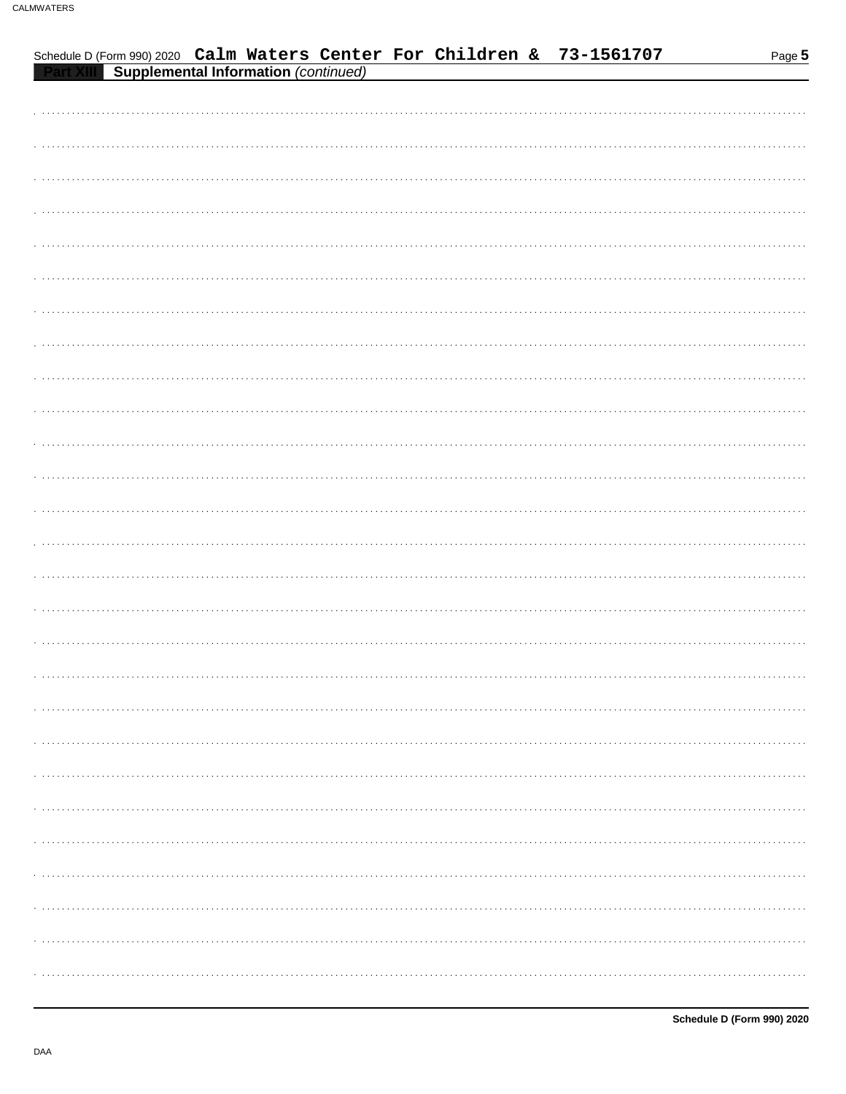|  |  |  |  | Schedule D (Form 990) 2020 Calm Waters Center For Children & 73-1561707<br>Supplemental Information (continued) | Page 5 |
|--|--|--|--|-----------------------------------------------------------------------------------------------------------------|--------|
|  |  |  |  |                                                                                                                 |        |
|  |  |  |  |                                                                                                                 |        |
|  |  |  |  |                                                                                                                 |        |
|  |  |  |  |                                                                                                                 |        |
|  |  |  |  |                                                                                                                 |        |
|  |  |  |  |                                                                                                                 |        |
|  |  |  |  |                                                                                                                 |        |
|  |  |  |  |                                                                                                                 |        |
|  |  |  |  |                                                                                                                 |        |
|  |  |  |  |                                                                                                                 |        |
|  |  |  |  |                                                                                                                 |        |
|  |  |  |  |                                                                                                                 |        |
|  |  |  |  |                                                                                                                 |        |
|  |  |  |  |                                                                                                                 |        |
|  |  |  |  |                                                                                                                 |        |
|  |  |  |  |                                                                                                                 |        |
|  |  |  |  |                                                                                                                 |        |
|  |  |  |  |                                                                                                                 |        |
|  |  |  |  |                                                                                                                 |        |
|  |  |  |  |                                                                                                                 |        |
|  |  |  |  |                                                                                                                 |        |
|  |  |  |  |                                                                                                                 |        |
|  |  |  |  |                                                                                                                 |        |
|  |  |  |  |                                                                                                                 |        |
|  |  |  |  |                                                                                                                 |        |
|  |  |  |  |                                                                                                                 |        |
|  |  |  |  |                                                                                                                 |        |
|  |  |  |  |                                                                                                                 |        |
|  |  |  |  |                                                                                                                 |        |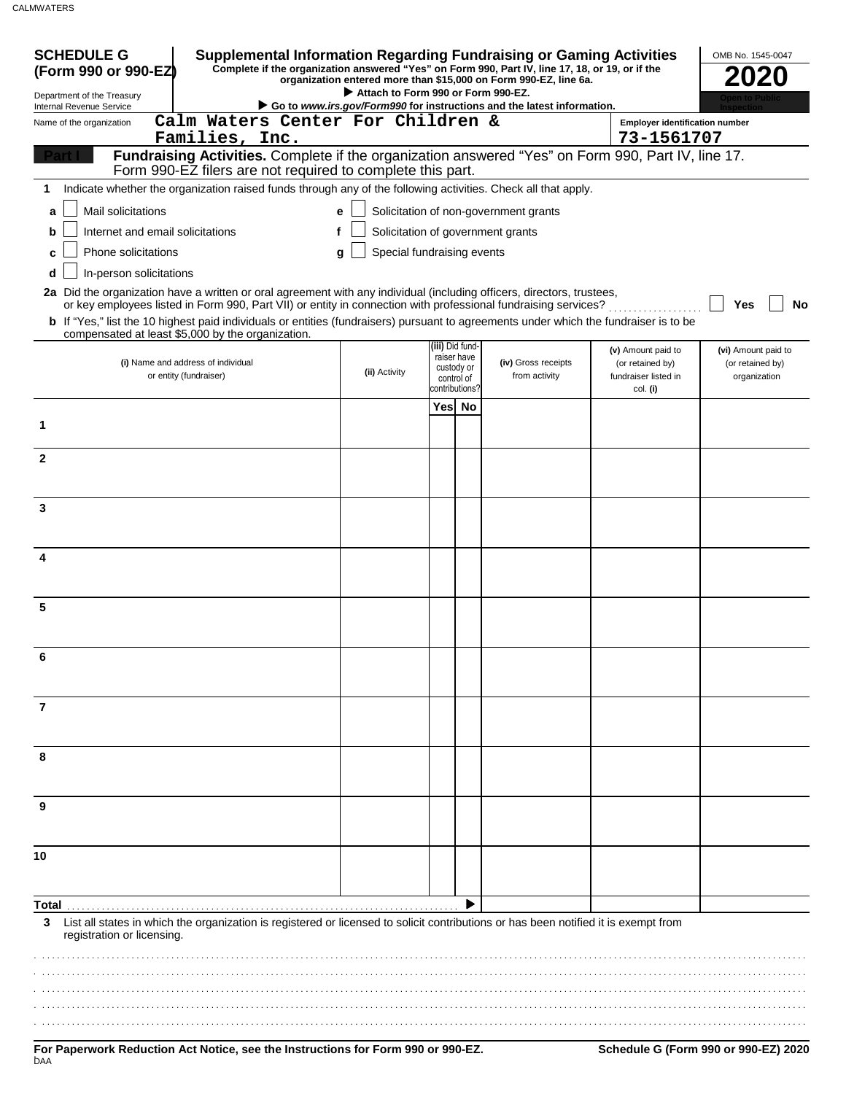| <b>SCHEDULE G</b><br><b>Supplemental Information Regarding Fundraising or Gaming Activities</b><br>Complete if the organization answered "Yes" on Form 990, Part IV, line 17, 18, or 19, or if the<br>(Form 990 or 990-EZ)<br>organization entered more than \$15,000 on Form 990-EZ, line 6a. |                                                                                                                                                                                                                                                                                                                                                                                   |                                    |                                                           |                 | OMB No. 1545-0047<br>2020                                              |                                                      |                                  |  |
|------------------------------------------------------------------------------------------------------------------------------------------------------------------------------------------------------------------------------------------------------------------------------------------------|-----------------------------------------------------------------------------------------------------------------------------------------------------------------------------------------------------------------------------------------------------------------------------------------------------------------------------------------------------------------------------------|------------------------------------|-----------------------------------------------------------|-----------------|------------------------------------------------------------------------|------------------------------------------------------|----------------------------------|--|
| Department of the Treasury<br>Internal Revenue Service                                                                                                                                                                                                                                         |                                                                                                                                                                                                                                                                                                                                                                                   | Attach to Form 990 or Form 990-EZ. |                                                           |                 | Go to www.irs.gov/Form990 for instructions and the latest information. |                                                      |                                  |  |
| Name of the organization                                                                                                                                                                                                                                                                       | Calm Waters Center For Children &                                                                                                                                                                                                                                                                                                                                                 |                                    |                                                           |                 |                                                                        | <b>Employer identification number</b>                |                                  |  |
|                                                                                                                                                                                                                                                                                                | Families, Inc.                                                                                                                                                                                                                                                                                                                                                                    |                                    |                                                           |                 |                                                                        | 73-1561707                                           |                                  |  |
|                                                                                                                                                                                                                                                                                                | Fundraising Activities. Complete if the organization answered "Yes" on Form 990, Part IV, line 17.<br>Form 990-EZ filers are not required to complete this part.                                                                                                                                                                                                                  |                                    |                                                           |                 |                                                                        |                                                      |                                  |  |
|                                                                                                                                                                                                                                                                                                | Indicate whether the organization raised funds through any of the following activities. Check all that apply.                                                                                                                                                                                                                                                                     |                                    |                                                           |                 |                                                                        |                                                      |                                  |  |
| Mail solicitations<br>a                                                                                                                                                                                                                                                                        |                                                                                                                                                                                                                                                                                                                                                                                   | e                                  |                                                           |                 | Solicitation of non-government grants                                  |                                                      |                                  |  |
| Internet and email solicitations<br>b                                                                                                                                                                                                                                                          |                                                                                                                                                                                                                                                                                                                                                                                   |                                    |                                                           |                 | Solicitation of government grants                                      |                                                      |                                  |  |
| Phone solicitations                                                                                                                                                                                                                                                                            |                                                                                                                                                                                                                                                                                                                                                                                   | Special fundraising events<br>q    |                                                           |                 |                                                                        |                                                      |                                  |  |
| In-person solicitations<br>d                                                                                                                                                                                                                                                                   |                                                                                                                                                                                                                                                                                                                                                                                   |                                    |                                                           |                 |                                                                        |                                                      |                                  |  |
|                                                                                                                                                                                                                                                                                                | 2a Did the organization have a written or oral agreement with any individual (including officers, directors, trustees,<br>or key employees listed in Form 990, Part VII) or entity in connection with professional fundraising services?<br>b If "Yes," list the 10 highest paid individuals or entities (fundraisers) pursuant to agreements under which the fundraiser is to be |                                    |                                                           |                 |                                                                        |                                                      | Yes<br>No                        |  |
| compensated at least \$5,000 by the organization.                                                                                                                                                                                                                                              |                                                                                                                                                                                                                                                                                                                                                                                   |                                    |                                                           | (iii) Did fund- |                                                                        | (v) Amount paid to                                   | (vi) Amount paid to              |  |
| (i) Name and address of individual<br>or entity (fundraiser)                                                                                                                                                                                                                                   |                                                                                                                                                                                                                                                                                                                                                                                   | (ii) Activity                      | raiser have<br>custody or<br>control of<br>contributions? |                 | (iv) Gross receipts<br>from activity                                   | (or retained by)<br>fundraiser listed in<br>col. (i) | (or retained by)<br>organization |  |
|                                                                                                                                                                                                                                                                                                |                                                                                                                                                                                                                                                                                                                                                                                   |                                    |                                                           | Yes No          |                                                                        |                                                      |                                  |  |
| 1                                                                                                                                                                                                                                                                                              |                                                                                                                                                                                                                                                                                                                                                                                   |                                    |                                                           |                 |                                                                        |                                                      |                                  |  |
| $\mathbf{2}$                                                                                                                                                                                                                                                                                   |                                                                                                                                                                                                                                                                                                                                                                                   |                                    |                                                           |                 |                                                                        |                                                      |                                  |  |
| 3                                                                                                                                                                                                                                                                                              |                                                                                                                                                                                                                                                                                                                                                                                   |                                    |                                                           |                 |                                                                        |                                                      |                                  |  |
|                                                                                                                                                                                                                                                                                                |                                                                                                                                                                                                                                                                                                                                                                                   |                                    |                                                           |                 |                                                                        |                                                      |                                  |  |
| 4                                                                                                                                                                                                                                                                                              |                                                                                                                                                                                                                                                                                                                                                                                   |                                    |                                                           |                 |                                                                        |                                                      |                                  |  |
| 5                                                                                                                                                                                                                                                                                              |                                                                                                                                                                                                                                                                                                                                                                                   |                                    |                                                           |                 |                                                                        |                                                      |                                  |  |
| 6                                                                                                                                                                                                                                                                                              |                                                                                                                                                                                                                                                                                                                                                                                   |                                    |                                                           |                 |                                                                        |                                                      |                                  |  |
|                                                                                                                                                                                                                                                                                                |                                                                                                                                                                                                                                                                                                                                                                                   |                                    |                                                           |                 |                                                                        |                                                      |                                  |  |
|                                                                                                                                                                                                                                                                                                |                                                                                                                                                                                                                                                                                                                                                                                   |                                    |                                                           |                 |                                                                        |                                                      |                                  |  |
|                                                                                                                                                                                                                                                                                                |                                                                                                                                                                                                                                                                                                                                                                                   |                                    |                                                           |                 |                                                                        |                                                      |                                  |  |
| 10                                                                                                                                                                                                                                                                                             |                                                                                                                                                                                                                                                                                                                                                                                   |                                    |                                                           |                 |                                                                        |                                                      |                                  |  |
| Total                                                                                                                                                                                                                                                                                          |                                                                                                                                                                                                                                                                                                                                                                                   |                                    |                                                           |                 |                                                                        |                                                      |                                  |  |
| List all states in which the organization is registered or licensed to solicit contributions or has been notified it is exempt from<br>registration or licensing.                                                                                                                              |                                                                                                                                                                                                                                                                                                                                                                                   |                                    |                                                           |                 |                                                                        |                                                      |                                  |  |
|                                                                                                                                                                                                                                                                                                |                                                                                                                                                                                                                                                                                                                                                                                   |                                    |                                                           |                 |                                                                        |                                                      |                                  |  |
|                                                                                                                                                                                                                                                                                                |                                                                                                                                                                                                                                                                                                                                                                                   |                                    |                                                           |                 |                                                                        |                                                      |                                  |  |
|                                                                                                                                                                                                                                                                                                |                                                                                                                                                                                                                                                                                                                                                                                   |                                    |                                                           |                 |                                                                        |                                                      |                                  |  |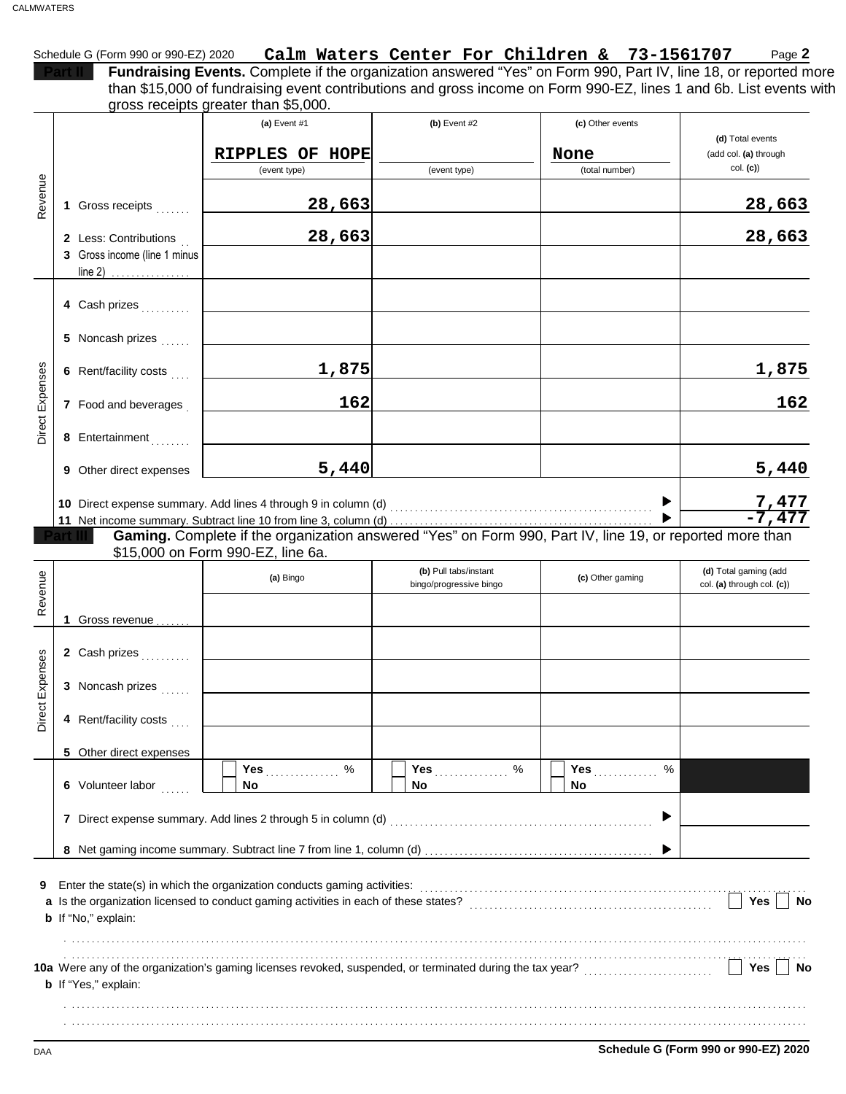|                        | Schedule G (Form 990 or 990-EZ) 2020                               | Fundraising Events. Complete if the organization answered "Yes" on Form 990, Part IV, line 18, or reported more<br>than \$15,000 of fundraising event contributions and gross income on Form 990-EZ, lines 1 and 6b. List events with | Calm Waters Center For Children & 73-1561707     |                                            | Page 2                                                |
|------------------------|--------------------------------------------------------------------|---------------------------------------------------------------------------------------------------------------------------------------------------------------------------------------------------------------------------------------|--------------------------------------------------|--------------------------------------------|-------------------------------------------------------|
|                        |                                                                    | gross receipts greater than \$5,000.<br>(a) Event $#1$<br>RIPPLES OF HOPE<br>(event type)                                                                                                                                             | (b) Event $#2$<br>(event type)                   | (c) Other events<br>None<br>(total number) | (d) Total events<br>(add col. (a) through<br>col. (c) |
| Revenue                | 1 Gross receipts                                                   | 28,663                                                                                                                                                                                                                                |                                                  |                                            | 28,663                                                |
|                        | 2 Less: Contributions<br>3 Gross income (line 1 minus<br>$line 2)$ | 28,663                                                                                                                                                                                                                                |                                                  |                                            | 28,663                                                |
|                        | 4 Cash prizes                                                      |                                                                                                                                                                                                                                       |                                                  |                                            |                                                       |
|                        | 5 Noncash prizes                                                   |                                                                                                                                                                                                                                       |                                                  |                                            |                                                       |
|                        | 6 Rent/facility costs                                              | 1,875                                                                                                                                                                                                                                 |                                                  |                                            | 1,875                                                 |
| <b>Direct Expenses</b> | 7 Food and beverages                                               | 162                                                                                                                                                                                                                                   |                                                  |                                            | 162                                                   |
|                        | 8 Entertainment                                                    |                                                                                                                                                                                                                                       |                                                  |                                            |                                                       |
|                        | 9 Other direct expenses                                            | 5,440                                                                                                                                                                                                                                 |                                                  |                                            | 5,440                                                 |
|                        |                                                                    | 10 Direct expense summary. Add lines 4 through 9 in column (d)<br>10 Direct expense summary. Add lines 4 through 9 in column (d)                                                                                                      |                                                  |                                            | $\frac{7,477}{-7,477}$                                |
| Revenue                |                                                                    | \$15,000 on Form 990-EZ, line 6a.<br>(a) Bingo                                                                                                                                                                                        | (b) Pull tabs/instant<br>bingo/progressive bingo | (c) Other gaming                           | (d) Total gaming (add<br>col. (a) through col. (c))   |
|                        | 1 Gross revenue                                                    |                                                                                                                                                                                                                                       |                                                  |                                            |                                                       |
| 3                      | 2 Cash prizes                                                      |                                                                                                                                                                                                                                       |                                                  |                                            |                                                       |
| Direct Expens          | 3 Noncash prizes                                                   |                                                                                                                                                                                                                                       |                                                  |                                            |                                                       |
|                        | 4 Rent/facility costs                                              |                                                                                                                                                                                                                                       |                                                  |                                            |                                                       |
|                        | 5 Other direct expenses                                            | <b>Yes Martin Property</b><br>%                                                                                                                                                                                                       | %<br>Yes <i></i>                                 | %<br>Yes <b>Market</b>                     |                                                       |
|                        | 6 Volunteer labor                                                  | No                                                                                                                                                                                                                                    | No                                               | No                                         |                                                       |
|                        |                                                                    |                                                                                                                                                                                                                                       |                                                  |                                            |                                                       |
| 9                      | <b>b</b> If "No," explain:                                         |                                                                                                                                                                                                                                       |                                                  |                                            | Yes<br>No<br>Yes<br>No                                |
|                        | <b>b</b> If "Yes," explain:                                        |                                                                                                                                                                                                                                       |                                                  |                                            |                                                       |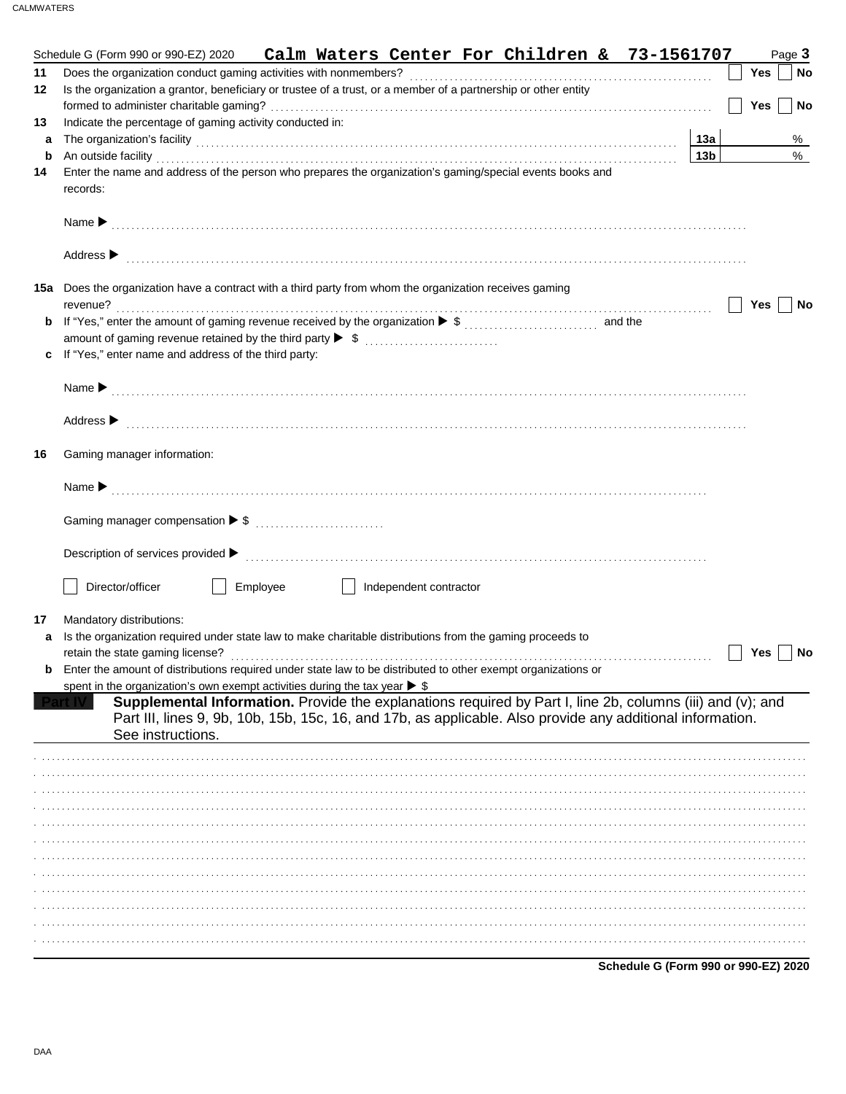|    | Calm Waters Center For Children & 73-1561707<br>Schedule G (Form 990 or 990-EZ) 2020                                                                                                                                                                                                                        |                 | Page 3           |
|----|-------------------------------------------------------------------------------------------------------------------------------------------------------------------------------------------------------------------------------------------------------------------------------------------------------------|-----------------|------------------|
| 11 |                                                                                                                                                                                                                                                                                                             |                 | Yes<br>No        |
| 12 | Is the organization a grantor, beneficiary or trustee of a trust, or a member of a partnership or other entity                                                                                                                                                                                              |                 |                  |
|    |                                                                                                                                                                                                                                                                                                             |                 | <b>Yes</b><br>No |
| 13 | Indicate the percentage of gaming activity conducted in:                                                                                                                                                                                                                                                    |                 |                  |
| a  | The organization's facility [1, 2003] The organization's facility [1, 2004] The organization's facility [1, 2004] The organization's facility [1, 2004] The organization's facility [1, 2004] The organization of the organiza                                                                              | 13a             | %                |
| b  | An outside facility <b>contained a set of a set of a set of a set of a set of a set of a set of a set of a set of a</b>                                                                                                                                                                                     | 13 <sub>b</sub> | $\%$             |
| 14 | Enter the name and address of the person who prepares the organization's gaming/special events books and                                                                                                                                                                                                    |                 |                  |
|    | records:                                                                                                                                                                                                                                                                                                    |                 |                  |
|    |                                                                                                                                                                                                                                                                                                             |                 |                  |
|    |                                                                                                                                                                                                                                                                                                             |                 |                  |
|    | Address $\blacktriangleright$                                                                                                                                                                                                                                                                               |                 |                  |
|    |                                                                                                                                                                                                                                                                                                             |                 |                  |
|    | 15a Does the organization have a contract with a third party from whom the organization receives gaming                                                                                                                                                                                                     |                 |                  |
|    |                                                                                                                                                                                                                                                                                                             |                 | Yes<br>No        |
|    |                                                                                                                                                                                                                                                                                                             |                 |                  |
|    |                                                                                                                                                                                                                                                                                                             |                 |                  |
| c  | If "Yes," enter name and address of the third party:                                                                                                                                                                                                                                                        |                 |                  |
|    |                                                                                                                                                                                                                                                                                                             |                 |                  |
|    | Name $\blacktriangleright$ [1] $\ldots$ [1] $\ldots$ [1] $\ldots$ [1] $\ldots$ [1] $\ldots$ [1] $\ldots$ [1] $\ldots$ [1] $\ldots$ [1] $\ldots$ [1] $\ldots$ [1] $\ldots$ [1] $\ldots$ [1] $\ldots$ [1] $\ldots$ [1] $\ldots$ [1] $\ldots$ [1] $\ldots$ [1] $\ldots$ [1] $\ldots$ [1] $\ldots$ [1] $\ldots$ |                 |                  |
|    |                                                                                                                                                                                                                                                                                                             |                 |                  |
|    | Address $\blacktriangleright$                                                                                                                                                                                                                                                                               |                 |                  |
|    |                                                                                                                                                                                                                                                                                                             |                 |                  |
| 16 | Gaming manager information:                                                                                                                                                                                                                                                                                 |                 |                  |
|    |                                                                                                                                                                                                                                                                                                             |                 |                  |
|    |                                                                                                                                                                                                                                                                                                             |                 |                  |
|    |                                                                                                                                                                                                                                                                                                             |                 |                  |
|    |                                                                                                                                                                                                                                                                                                             |                 |                  |
|    |                                                                                                                                                                                                                                                                                                             |                 |                  |
|    |                                                                                                                                                                                                                                                                                                             |                 |                  |
|    | Director/officer<br>Employee<br>Independent contractor                                                                                                                                                                                                                                                      |                 |                  |
|    |                                                                                                                                                                                                                                                                                                             |                 |                  |
| 17 | Mandatory distributions:                                                                                                                                                                                                                                                                                    |                 |                  |
| a  | Is the organization required under state law to make charitable distributions from the gaming proceeds to                                                                                                                                                                                                   |                 |                  |
|    |                                                                                                                                                                                                                                                                                                             |                 | Yes<br>No        |
| b  | Enter the amount of distributions required under state law to be distributed to other exempt organizations or                                                                                                                                                                                               |                 |                  |
|    | spent in the organization's own exempt activities during the tax year $\triangleright$ \$                                                                                                                                                                                                                   |                 |                  |
|    | Supplemental Information. Provide the explanations required by Part I, line 2b, columns (iii) and (v); and<br>Part III, lines 9, 9b, 10b, 15b, 15c, 16, and 17b, as applicable. Also provide any additional information.                                                                                    |                 |                  |
|    | See instructions.                                                                                                                                                                                                                                                                                           |                 |                  |
|    |                                                                                                                                                                                                                                                                                                             |                 |                  |
|    |                                                                                                                                                                                                                                                                                                             |                 |                  |
|    |                                                                                                                                                                                                                                                                                                             |                 |                  |
|    |                                                                                                                                                                                                                                                                                                             |                 |                  |
|    |                                                                                                                                                                                                                                                                                                             |                 |                  |
|    |                                                                                                                                                                                                                                                                                                             |                 |                  |
|    |                                                                                                                                                                                                                                                                                                             |                 |                  |
|    |                                                                                                                                                                                                                                                                                                             |                 |                  |
|    |                                                                                                                                                                                                                                                                                                             |                 |                  |
|    |                                                                                                                                                                                                                                                                                                             |                 |                  |
|    |                                                                                                                                                                                                                                                                                                             |                 |                  |
|    |                                                                                                                                                                                                                                                                                                             |                 |                  |
|    |                                                                                                                                                                                                                                                                                                             |                 |                  |